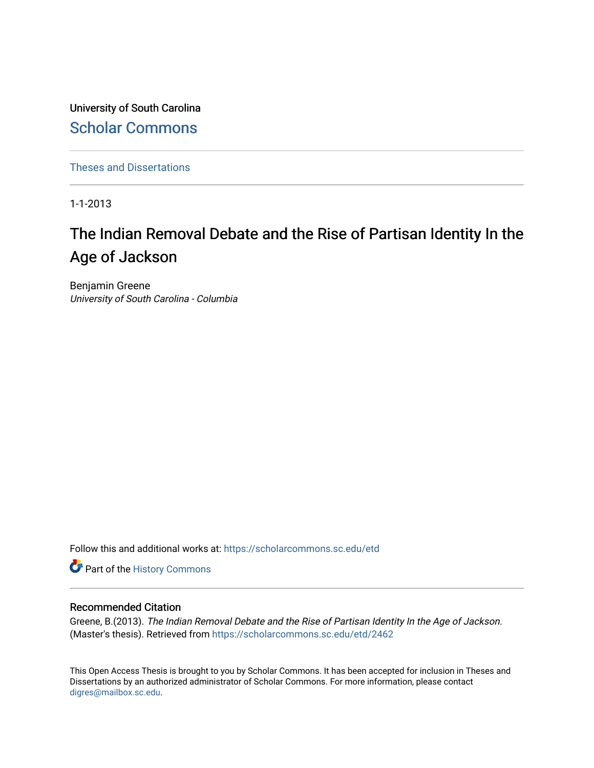University of South Carolina [Scholar Commons](https://scholarcommons.sc.edu/) 

[Theses and Dissertations](https://scholarcommons.sc.edu/etd)

1-1-2013

# The Indian Removal Debate and the Rise of Partisan Identity In the Age of Jackson

Benjamin Greene University of South Carolina - Columbia

Follow this and additional works at: [https://scholarcommons.sc.edu/etd](https://scholarcommons.sc.edu/etd?utm_source=scholarcommons.sc.edu%2Fetd%2F2462&utm_medium=PDF&utm_campaign=PDFCoverPages)

Part of the [History Commons](http://network.bepress.com/hgg/discipline/489?utm_source=scholarcommons.sc.edu%2Fetd%2F2462&utm_medium=PDF&utm_campaign=PDFCoverPages) 

#### Recommended Citation

Greene, B.(2013). The Indian Removal Debate and the Rise of Partisan Identity In the Age of Jackson. (Master's thesis). Retrieved from [https://scholarcommons.sc.edu/etd/2462](https://scholarcommons.sc.edu/etd/2462?utm_source=scholarcommons.sc.edu%2Fetd%2F2462&utm_medium=PDF&utm_campaign=PDFCoverPages) 

This Open Access Thesis is brought to you by Scholar Commons. It has been accepted for inclusion in Theses and Dissertations by an authorized administrator of Scholar Commons. For more information, please contact [digres@mailbox.sc.edu](mailto:digres@mailbox.sc.edu).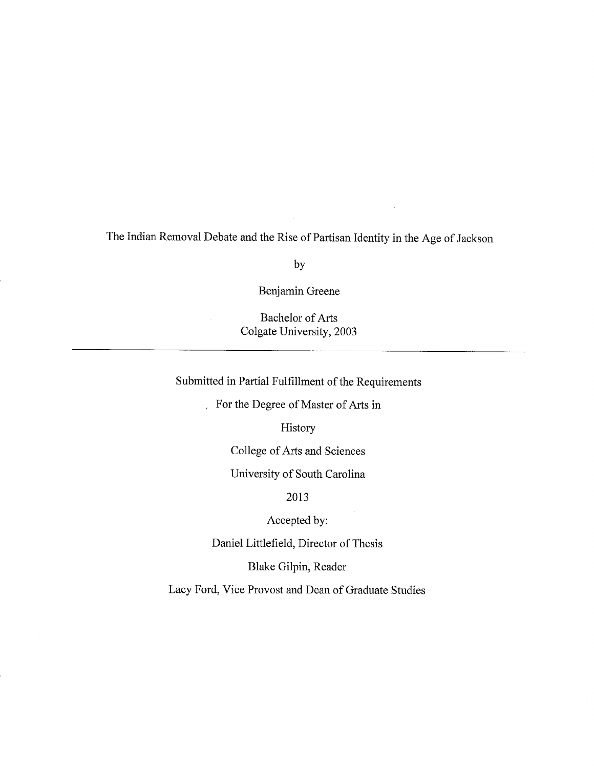The Indian Removal Debate and the Rise of Partisan Identity in the Age of Jackson

by

Benjamin Greene

**Bachelor of Arts** Colgate University, 2003

Submitted in Partial Fulfillment of the Requirements

For the Degree of Master of Arts in

History

College of Arts and Sciences

University of South Carolina

2013

Accepted by:

Daniel Littlefield, Director of Thesis

Blake Gilpin, Reader

Lacy Ford, Vice Provost and Dean of Graduate Studies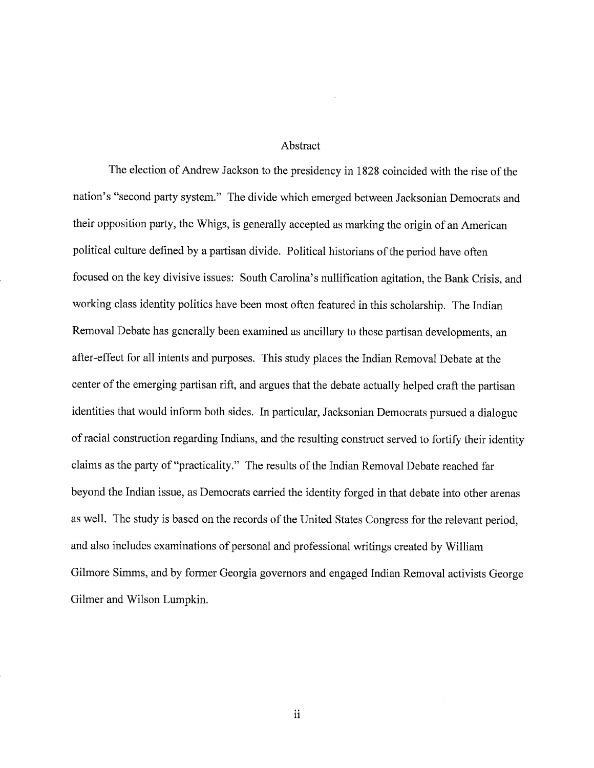#### Abstract

The election of Andrew Jackson to the presidency in 1828 coincided with the rise of the nation's "second party system." The divide which emerged between Jacksonian Democrats and their opposition party, the Whigs, is generally accepted as marking the origin of an American political culture defined by a partisan divide. Political historians of the period have often focused on the key divisive issues: South Carolina's nullification agitation, the Bank Crisis, and working class identity politics have been most often featured in this scholarship. The Indian Removal Debate has generally been examined as ancillary to these partisan developments, an after-effect for all intents and purposes. This study places the Indian Removal Debate at the center of the emerging partisan rift, and argues that the debate actually helped craft the partisan identities that would inform both sides. In particular, Jacksonian Democrats pursued a dialogue of racial construction regarding Indians, and the resulting construct served to fortify their identity claims as the party of "practicality." The results of the Indian Removal Debate reached far beyond the Indian issue, as Democrats carried the identity forged in that debate into other arenas as well. The study is based on the records of the United States Congress for the relevant period. and also includes examinations of personal and professional writings created by William Gilmore Simms, and by former Georgia governors and engaged Indian Removal activists George Gilmer and Wilson Lumpkin.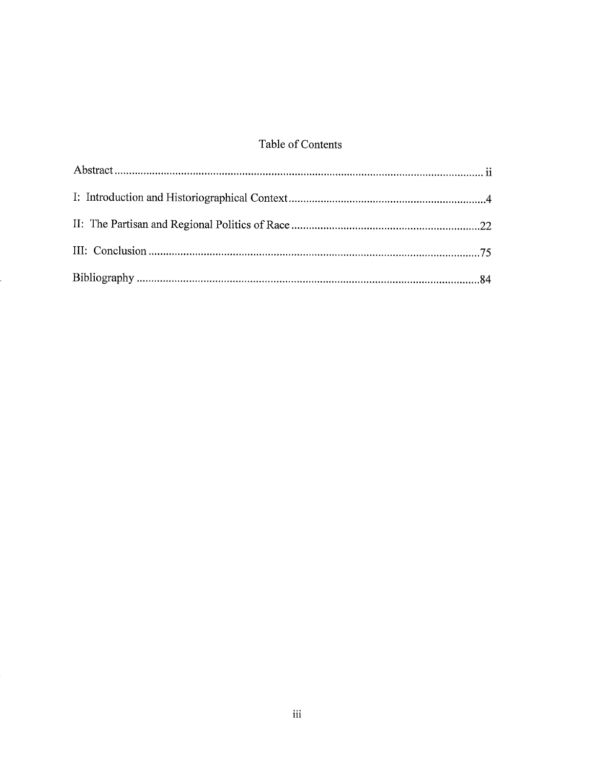## Table of Contents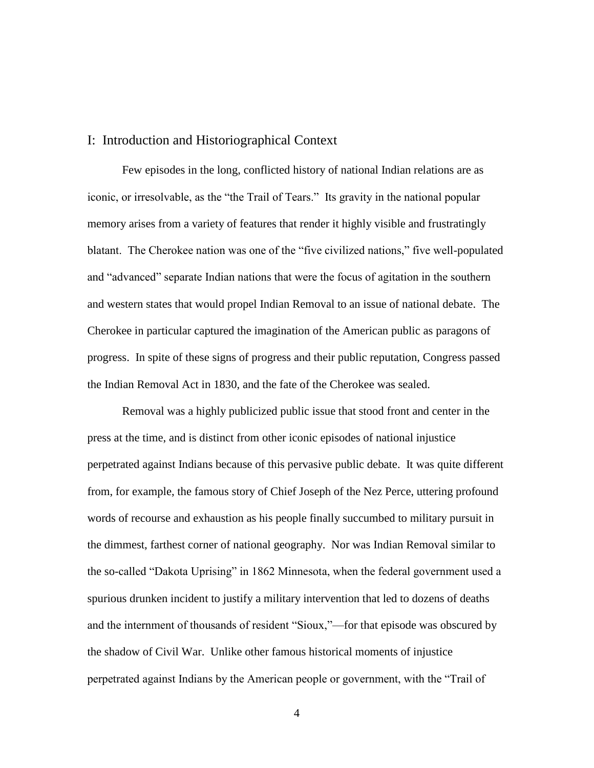### I: Introduction and Historiographical Context

Few episodes in the long, conflicted history of national Indian relations are as iconic, or irresolvable, as the "the Trail of Tears." Its gravity in the national popular memory arises from a variety of features that render it highly visible and frustratingly blatant. The Cherokee nation was one of the "five civilized nations," five well-populated and "advanced" separate Indian nations that were the focus of agitation in the southern and western states that would propel Indian Removal to an issue of national debate. The Cherokee in particular captured the imagination of the American public as paragons of progress. In spite of these signs of progress and their public reputation, Congress passed the Indian Removal Act in 1830, and the fate of the Cherokee was sealed.

Removal was a highly publicized public issue that stood front and center in the press at the time, and is distinct from other iconic episodes of national injustice perpetrated against Indians because of this pervasive public debate. It was quite different from, for example, the famous story of Chief Joseph of the Nez Perce, uttering profound words of recourse and exhaustion as his people finally succumbed to military pursuit in the dimmest, farthest corner of national geography. Nor was Indian Removal similar to the so-called "Dakota Uprising" in 1862 Minnesota, when the federal government used a spurious drunken incident to justify a military intervention that led to dozens of deaths and the internment of thousands of resident "Sioux,"—for that episode was obscured by the shadow of Civil War. Unlike other famous historical moments of injustice perpetrated against Indians by the American people or government, with the "Trail of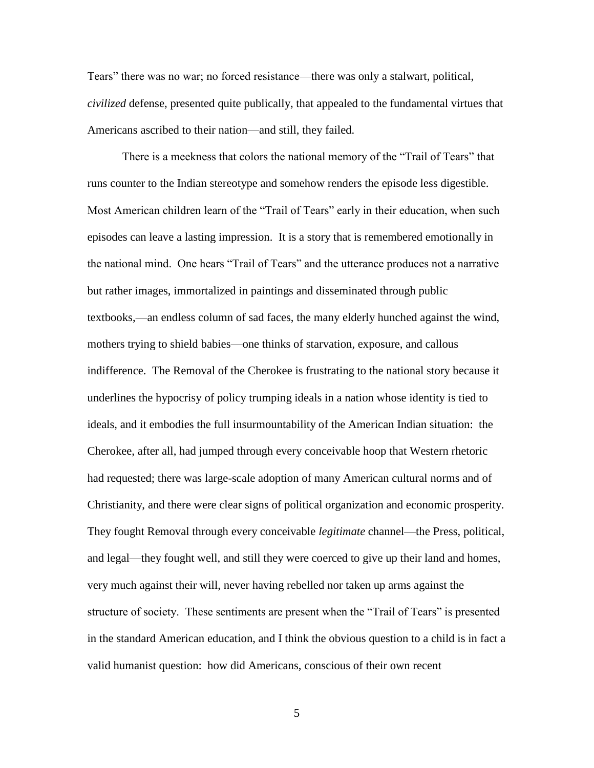Tears" there was no war; no forced resistance—there was only a stalwart, political, *civilized* defense, presented quite publically, that appealed to the fundamental virtues that Americans ascribed to their nation—and still, they failed.

There is a meekness that colors the national memory of the "Trail of Tears" that runs counter to the Indian stereotype and somehow renders the episode less digestible. Most American children learn of the "Trail of Tears" early in their education, when such episodes can leave a lasting impression. It is a story that is remembered emotionally in the national mind. One hears "Trail of Tears" and the utterance produces not a narrative but rather images, immortalized in paintings and disseminated through public textbooks,—an endless column of sad faces, the many elderly hunched against the wind, mothers trying to shield babies—one thinks of starvation, exposure, and callous indifference. The Removal of the Cherokee is frustrating to the national story because it underlines the hypocrisy of policy trumping ideals in a nation whose identity is tied to ideals, and it embodies the full insurmountability of the American Indian situation: the Cherokee, after all, had jumped through every conceivable hoop that Western rhetoric had requested; there was large-scale adoption of many American cultural norms and of Christianity, and there were clear signs of political organization and economic prosperity. They fought Removal through every conceivable *legitimate* channel—the Press, political, and legal—they fought well, and still they were coerced to give up their land and homes, very much against their will, never having rebelled nor taken up arms against the structure of society. These sentiments are present when the "Trail of Tears" is presented in the standard American education, and I think the obvious question to a child is in fact a valid humanist question: how did Americans, conscious of their own recent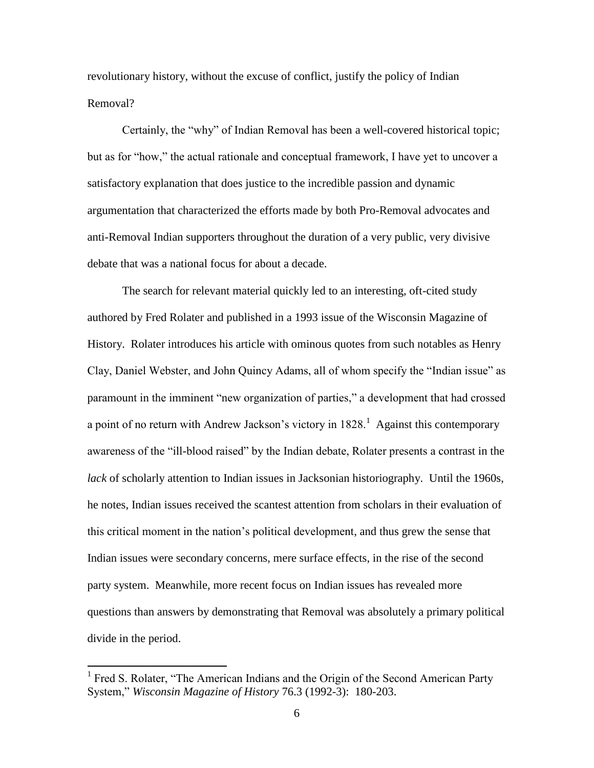revolutionary history, without the excuse of conflict, justify the policy of Indian Removal?

Certainly, the "why" of Indian Removal has been a well-covered historical topic; but as for "how," the actual rationale and conceptual framework, I have yet to uncover a satisfactory explanation that does justice to the incredible passion and dynamic argumentation that characterized the efforts made by both Pro-Removal advocates and anti-Removal Indian supporters throughout the duration of a very public, very divisive debate that was a national focus for about a decade.

The search for relevant material quickly led to an interesting, oft-cited study authored by Fred Rolater and published in a 1993 issue of the Wisconsin Magazine of History. Rolater introduces his article with ominous quotes from such notables as Henry Clay, Daniel Webster, and John Quincy Adams, all of whom specify the "Indian issue" as paramount in the imminent "new organization of parties," a development that had crossed a point of no return with Andrew Jackson's victory in  $1828$ <sup>1</sup> Against this contemporary awareness of the "ill-blood raised" by the Indian debate, Rolater presents a contrast in the *lack* of scholarly attention to Indian issues in Jacksonian historiography. Until the 1960s, he notes, Indian issues received the scantest attention from scholars in their evaluation of this critical moment in the nation's political development, and thus grew the sense that Indian issues were secondary concerns, mere surface effects, in the rise of the second party system. Meanwhile, more recent focus on Indian issues has revealed more questions than answers by demonstrating that Removal was absolutely a primary political divide in the period.

<sup>&</sup>lt;sup>1</sup> Fred S. Rolater, "The American Indians and the Origin of the Second American Party System," *Wisconsin Magazine of History* 76.3 (1992-3): 180-203.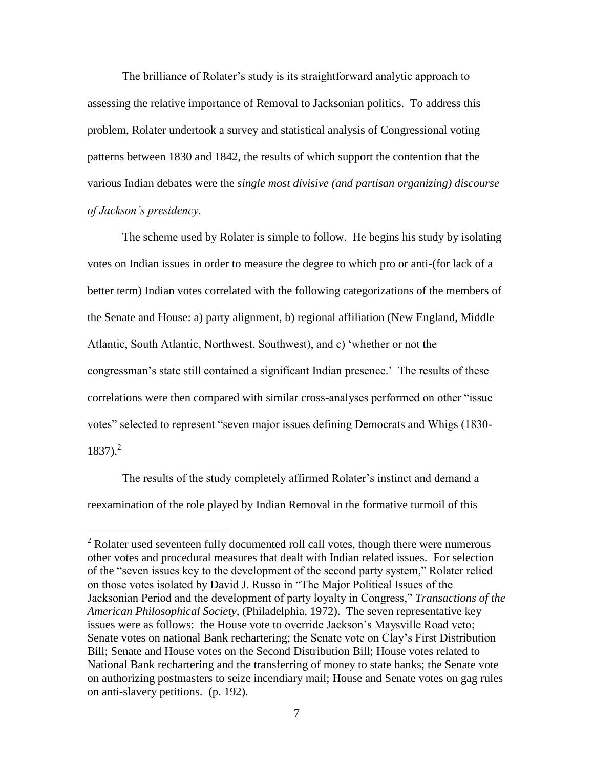The brilliance of Rolater's study is its straightforward analytic approach to assessing the relative importance of Removal to Jacksonian politics. To address this problem, Rolater undertook a survey and statistical analysis of Congressional voting patterns between 1830 and 1842, the results of which support the contention that the various Indian debates were the *single most divisive (and partisan organizing) discourse of Jackson's presidency.*

The scheme used by Rolater is simple to follow. He begins his study by isolating votes on Indian issues in order to measure the degree to which pro or anti-(for lack of a better term) Indian votes correlated with the following categorizations of the members of the Senate and House: a) party alignment, b) regional affiliation (New England, Middle Atlantic, South Atlantic, Northwest, Southwest), and c) 'whether or not the congressman's state still contained a significant Indian presence.' The results of these correlations were then compared with similar cross-analyses performed on other "issue votes" selected to represent "seven major issues defining Democrats and Whigs (1830-  $1837$ ).<sup>2</sup>

The results of the study completely affirmed Rolater's instinct and demand a reexamination of the role played by Indian Removal in the formative turmoil of this

 $2^2$  Rolater used seventeen fully documented roll call votes, though there were numerous other votes and procedural measures that dealt with Indian related issues. For selection of the "seven issues key to the development of the second party system," Rolater relied on those votes isolated by David J. Russo in "The Major Political Issues of the Jacksonian Period and the development of party loyalty in Congress," *Transactions of the American Philosophical Society,* (Philadelphia, 1972). The seven representative key issues were as follows: the House vote to override Jackson's Maysville Road veto; Senate votes on national Bank rechartering; the Senate vote on Clay's First Distribution Bill; Senate and House votes on the Second Distribution Bill; House votes related to National Bank rechartering and the transferring of money to state banks; the Senate vote on authorizing postmasters to seize incendiary mail; House and Senate votes on gag rules on anti-slavery petitions. (p. 192).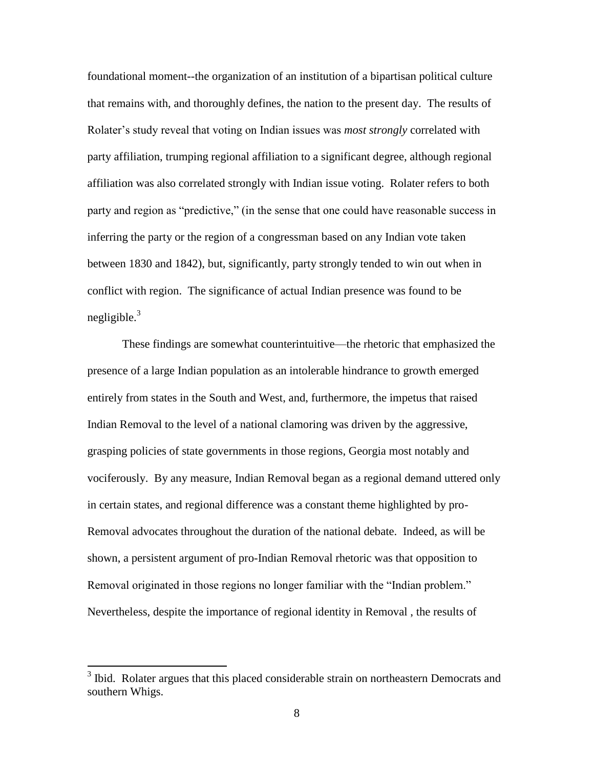foundational moment--the organization of an institution of a bipartisan political culture that remains with, and thoroughly defines, the nation to the present day. The results of Rolater's study reveal that voting on Indian issues was *most strongly* correlated with party affiliation, trumping regional affiliation to a significant degree, although regional affiliation was also correlated strongly with Indian issue voting. Rolater refers to both party and region as "predictive," (in the sense that one could have reasonable success in inferring the party or the region of a congressman based on any Indian vote taken between 1830 and 1842), but, significantly, party strongly tended to win out when in conflict with region. The significance of actual Indian presence was found to be negligible. $3$ 

These findings are somewhat counterintuitive—the rhetoric that emphasized the presence of a large Indian population as an intolerable hindrance to growth emerged entirely from states in the South and West, and, furthermore, the impetus that raised Indian Removal to the level of a national clamoring was driven by the aggressive, grasping policies of state governments in those regions, Georgia most notably and vociferously. By any measure, Indian Removal began as a regional demand uttered only in certain states, and regional difference was a constant theme highlighted by pro-Removal advocates throughout the duration of the national debate. Indeed, as will be shown, a persistent argument of pro-Indian Removal rhetoric was that opposition to Removal originated in those regions no longer familiar with the "Indian problem." Nevertheless, despite the importance of regional identity in Removal , the results of

<sup>&</sup>lt;sup>3</sup> Ibid. Rolater argues that this placed considerable strain on northeastern Democrats and southern Whigs.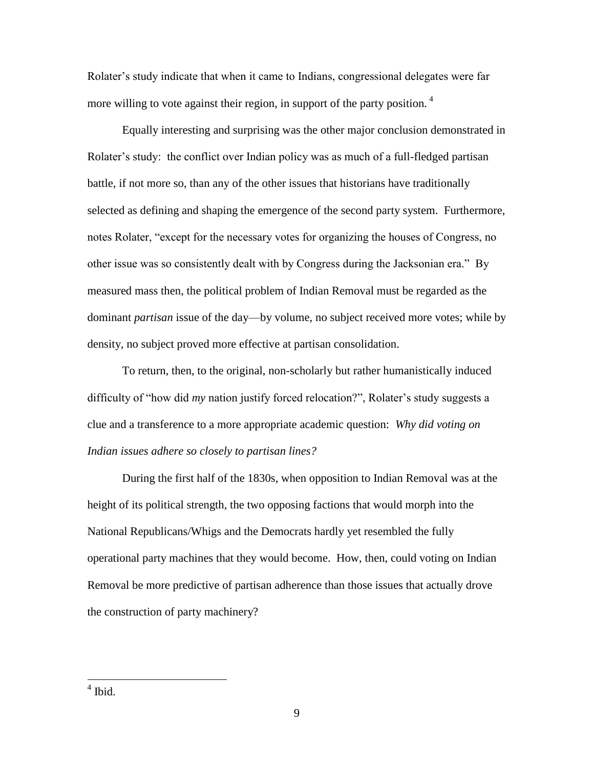Rolater's study indicate that when it came to Indians, congressional delegates were far more willing to vote against their region, in support of the party position.  $4\overline{ }$ 

Equally interesting and surprising was the other major conclusion demonstrated in Rolater's study: the conflict over Indian policy was as much of a full-fledged partisan battle, if not more so, than any of the other issues that historians have traditionally selected as defining and shaping the emergence of the second party system. Furthermore, notes Rolater, "except for the necessary votes for organizing the houses of Congress, no other issue was so consistently dealt with by Congress during the Jacksonian era." By measured mass then, the political problem of Indian Removal must be regarded as the dominant *partisan* issue of the day—by volume, no subject received more votes; while by density, no subject proved more effective at partisan consolidation.

To return, then, to the original, non-scholarly but rather humanistically induced difficulty of "how did *my* nation justify forced relocation?", Rolater's study suggests a clue and a transference to a more appropriate academic question: *Why did voting on Indian issues adhere so closely to partisan lines?*

During the first half of the 1830s, when opposition to Indian Removal was at the height of its political strength, the two opposing factions that would morph into the National Republicans/Whigs and the Democrats hardly yet resembled the fully operational party machines that they would become. How, then, could voting on Indian Removal be more predictive of partisan adherence than those issues that actually drove the construction of party machinery?

<sup>4</sup> Ibid.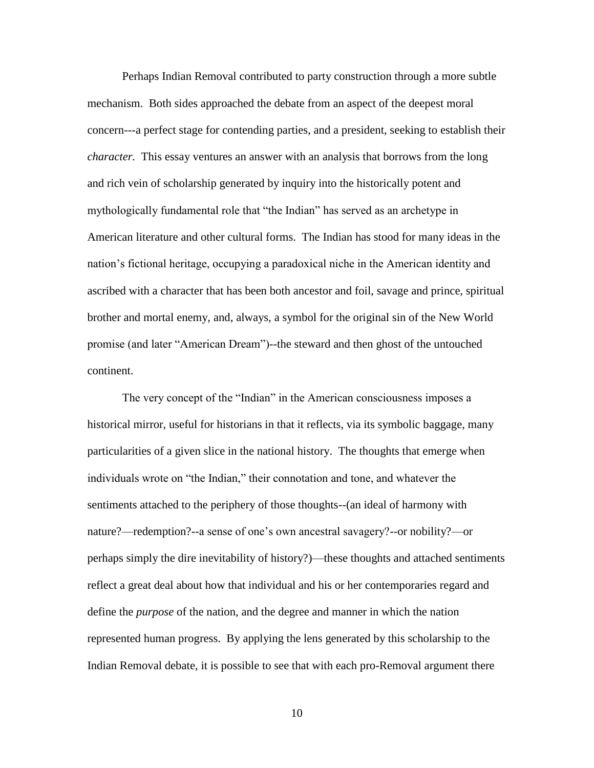Perhaps Indian Removal contributed to party construction through a more subtle mechanism. Both sides approached the debate from an aspect of the deepest moral concern---a perfect stage for contending parties, and a president, seeking to establish their *character.* This essay ventures an answer with an analysis that borrows from the long and rich vein of scholarship generated by inquiry into the historically potent and mythologically fundamental role that "the Indian" has served as an archetype in American literature and other cultural forms. The Indian has stood for many ideas in the nation's fictional heritage, occupying a paradoxical niche in the American identity and ascribed with a character that has been both ancestor and foil, savage and prince, spiritual brother and mortal enemy, and, always, a symbol for the original sin of the New World promise (and later "American Dream")--the steward and then ghost of the untouched continent.

The very concept of the "Indian" in the American consciousness imposes a historical mirror, useful for historians in that it reflects, via its symbolic baggage, many particularities of a given slice in the national history. The thoughts that emerge when individuals wrote on "the Indian," their connotation and tone, and whatever the sentiments attached to the periphery of those thoughts--(an ideal of harmony with nature?—redemption?--a sense of one's own ancestral savagery?--or nobility?—or perhaps simply the dire inevitability of history?)—these thoughts and attached sentiments reflect a great deal about how that individual and his or her contemporaries regard and define the *purpose* of the nation, and the degree and manner in which the nation represented human progress. By applying the lens generated by this scholarship to the Indian Removal debate, it is possible to see that with each pro-Removal argument there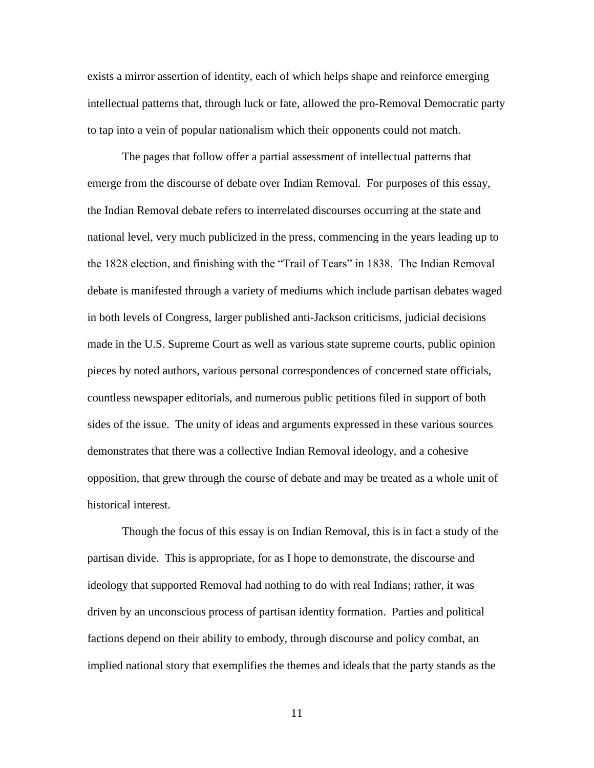exists a mirror assertion of identity, each of which helps shape and reinforce emerging intellectual patterns that, through luck or fate, allowed the pro-Removal Democratic party to tap into a vein of popular nationalism which their opponents could not match.

The pages that follow offer a partial assessment of intellectual patterns that emerge from the discourse of debate over Indian Removal. For purposes of this essay, the Indian Removal debate refers to interrelated discourses occurring at the state and national level, very much publicized in the press, commencing in the years leading up to the 1828 election, and finishing with the "Trail of Tears" in 1838. The Indian Removal debate is manifested through a variety of mediums which include partisan debates waged in both levels of Congress, larger published anti-Jackson criticisms, judicial decisions made in the U.S. Supreme Court as well as various state supreme courts, public opinion pieces by noted authors, various personal correspondences of concerned state officials, countless newspaper editorials, and numerous public petitions filed in support of both sides of the issue. The unity of ideas and arguments expressed in these various sources demonstrates that there was a collective Indian Removal ideology, and a cohesive opposition, that grew through the course of debate and may be treated as a whole unit of historical interest.

Though the focus of this essay is on Indian Removal, this is in fact a study of the partisan divide. This is appropriate, for as I hope to demonstrate, the discourse and ideology that supported Removal had nothing to do with real Indians; rather, it was driven by an unconscious process of partisan identity formation. Parties and political factions depend on their ability to embody, through discourse and policy combat, an implied national story that exemplifies the themes and ideals that the party stands as the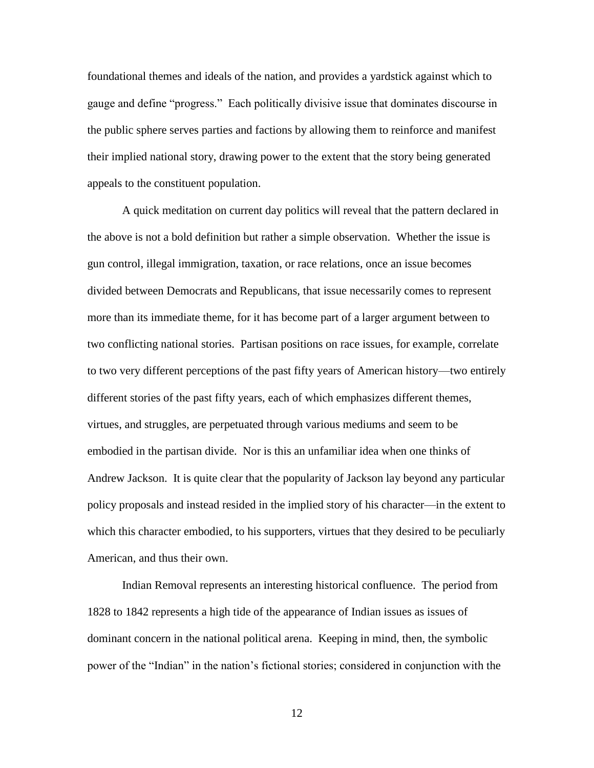foundational themes and ideals of the nation, and provides a yardstick against which to gauge and define "progress." Each politically divisive issue that dominates discourse in the public sphere serves parties and factions by allowing them to reinforce and manifest their implied national story, drawing power to the extent that the story being generated appeals to the constituent population.

A quick meditation on current day politics will reveal that the pattern declared in the above is not a bold definition but rather a simple observation. Whether the issue is gun control, illegal immigration, taxation, or race relations, once an issue becomes divided between Democrats and Republicans, that issue necessarily comes to represent more than its immediate theme, for it has become part of a larger argument between to two conflicting national stories. Partisan positions on race issues, for example, correlate to two very different perceptions of the past fifty years of American history—two entirely different stories of the past fifty years, each of which emphasizes different themes, virtues, and struggles, are perpetuated through various mediums and seem to be embodied in the partisan divide. Nor is this an unfamiliar idea when one thinks of Andrew Jackson. It is quite clear that the popularity of Jackson lay beyond any particular policy proposals and instead resided in the implied story of his character—in the extent to which this character embodied, to his supporters, virtues that they desired to be peculiarly American, and thus their own.

Indian Removal represents an interesting historical confluence. The period from 1828 to 1842 represents a high tide of the appearance of Indian issues as issues of dominant concern in the national political arena. Keeping in mind, then, the symbolic power of the "Indian" in the nation's fictional stories; considered in conjunction with the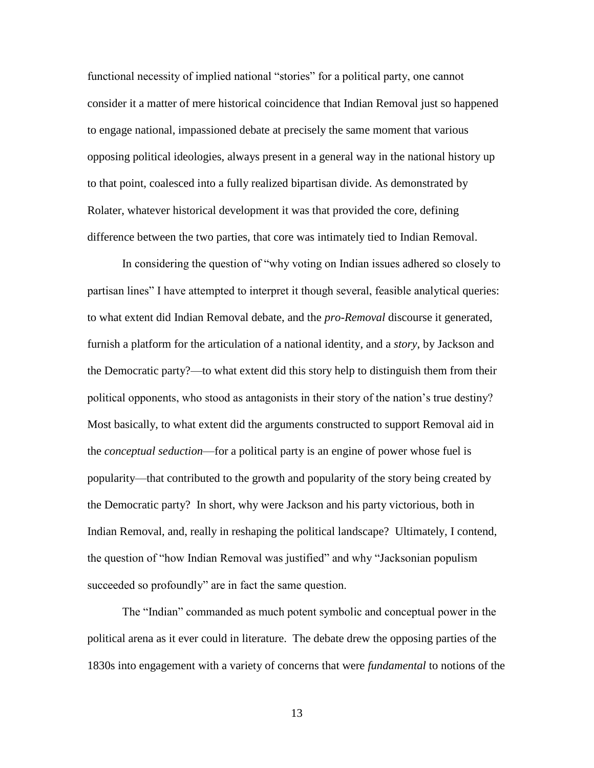functional necessity of implied national "stories" for a political party, one cannot consider it a matter of mere historical coincidence that Indian Removal just so happened to engage national, impassioned debate at precisely the same moment that various opposing political ideologies, always present in a general way in the national history up to that point, coalesced into a fully realized bipartisan divide. As demonstrated by Rolater, whatever historical development it was that provided the core, defining difference between the two parties, that core was intimately tied to Indian Removal.

In considering the question of "why voting on Indian issues adhered so closely to partisan lines" I have attempted to interpret it though several, feasible analytical queries: to what extent did Indian Removal debate, and the *pro-Removal* discourse it generated, furnish a platform for the articulation of a national identity, and a *story*, by Jackson and the Democratic party?—to what extent did this story help to distinguish them from their political opponents, who stood as antagonists in their story of the nation's true destiny? Most basically, to what extent did the arguments constructed to support Removal aid in the *conceptual seduction*—for a political party is an engine of power whose fuel is popularity—that contributed to the growth and popularity of the story being created by the Democratic party? In short, why were Jackson and his party victorious, both in Indian Removal, and, really in reshaping the political landscape? Ultimately, I contend, the question of "how Indian Removal was justified" and why "Jacksonian populism succeeded so profoundly" are in fact the same question.

The "Indian" commanded as much potent symbolic and conceptual power in the political arena as it ever could in literature. The debate drew the opposing parties of the 1830s into engagement with a variety of concerns that were *fundamental* to notions of the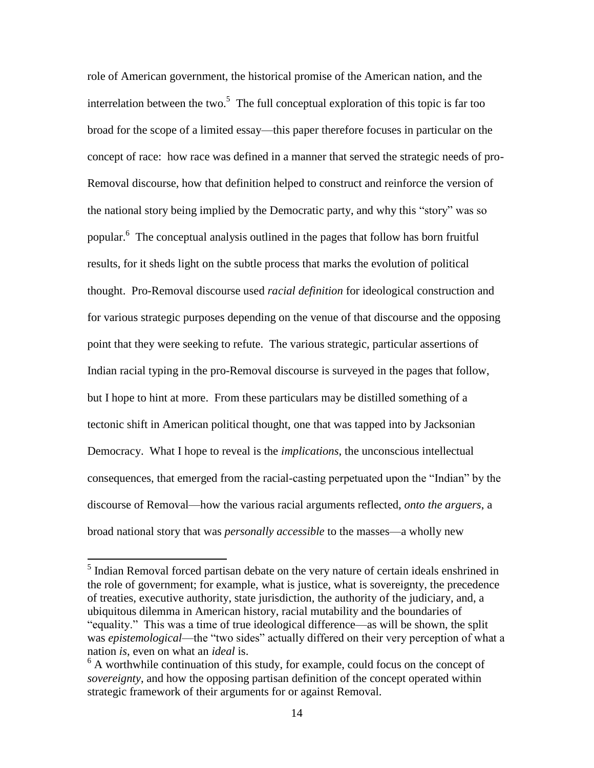role of American government, the historical promise of the American nation, and the interrelation between the two.<sup>5</sup> The full conceptual exploration of this topic is far too broad for the scope of a limited essay—this paper therefore focuses in particular on the concept of race: how race was defined in a manner that served the strategic needs of pro-Removal discourse, how that definition helped to construct and reinforce the version of the national story being implied by the Democratic party, and why this "story" was so popular.<sup>6</sup> The conceptual analysis outlined in the pages that follow has born fruitful results, for it sheds light on the subtle process that marks the evolution of political thought. Pro-Removal discourse used *racial definition* for ideological construction and for various strategic purposes depending on the venue of that discourse and the opposing point that they were seeking to refute. The various strategic, particular assertions of Indian racial typing in the pro-Removal discourse is surveyed in the pages that follow, but I hope to hint at more. From these particulars may be distilled something of a tectonic shift in American political thought, one that was tapped into by Jacksonian Democracy. What I hope to reveal is the *implications*, the unconscious intellectual consequences, that emerged from the racial-casting perpetuated upon the "Indian" by the discourse of Removal—how the various racial arguments reflected, *onto the arguers*, a broad national story that was *personally accessible* to the masses—a wholly new

<sup>&</sup>lt;sup>5</sup> Indian Removal forced partisan debate on the very nature of certain ideals enshrined in the role of government; for example, what is justice, what is sovereignty, the precedence of treaties, executive authority, state jurisdiction, the authority of the judiciary, and, a ubiquitous dilemma in American history, racial mutability and the boundaries of "equality." This was a time of true ideological difference—as will be shown, the split was *epistemological*—the "two sides" actually differed on their very perception of what a nation *is*, even on what an *ideal* is.

 $6$  A worthwhile continuation of this study, for example, could focus on the concept of *sovereignty*, and how the opposing partisan definition of the concept operated within strategic framework of their arguments for or against Removal.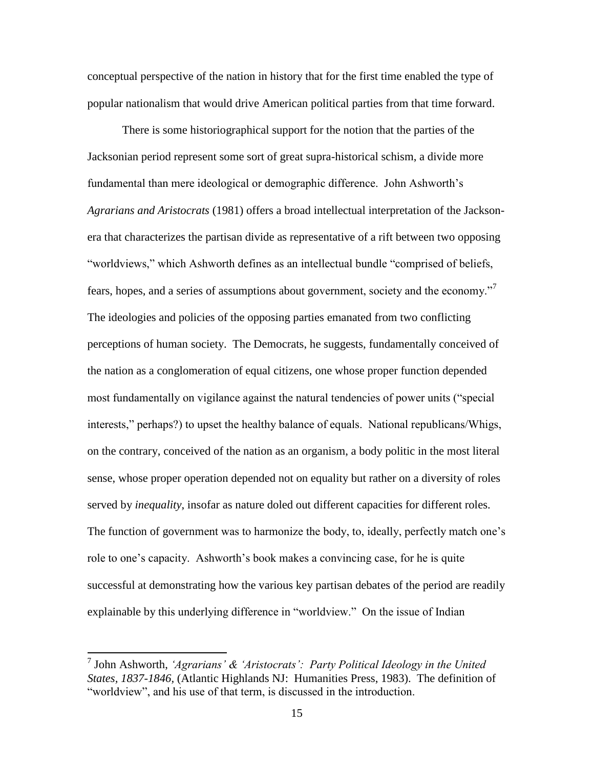conceptual perspective of the nation in history that for the first time enabled the type of popular nationalism that would drive American political parties from that time forward.

There is some historiographical support for the notion that the parties of the Jacksonian period represent some sort of great supra-historical schism, a divide more fundamental than mere ideological or demographic difference. John Ashworth's *Agrarians and Aristocrats* (1981) offers a broad intellectual interpretation of the Jacksonera that characterizes the partisan divide as representative of a rift between two opposing "worldviews," which Ashworth defines as an intellectual bundle "comprised of beliefs, fears, hopes, and a series of assumptions about government, society and the economy."<sup>7</sup> The ideologies and policies of the opposing parties emanated from two conflicting perceptions of human society. The Democrats, he suggests, fundamentally conceived of the nation as a conglomeration of equal citizens, one whose proper function depended most fundamentally on vigilance against the natural tendencies of power units ("special interests," perhaps?) to upset the healthy balance of equals. National republicans/Whigs, on the contrary, conceived of the nation as an organism, a body politic in the most literal sense, whose proper operation depended not on equality but rather on a diversity of roles served by *inequality*, insofar as nature doled out different capacities for different roles. The function of government was to harmonize the body, to, ideally, perfectly match one's role to one's capacity. Ashworth's book makes a convincing case, for he is quite successful at demonstrating how the various key partisan debates of the period are readily explainable by this underlying difference in "worldview." On the issue of Indian

<sup>7</sup> John Ashworth, *'Agrarians' & 'Aristocrats': Party Political Ideology in the United States, 1837-1846,* (Atlantic Highlands NJ: Humanities Press, 1983). The definition of "worldview", and his use of that term, is discussed in the introduction.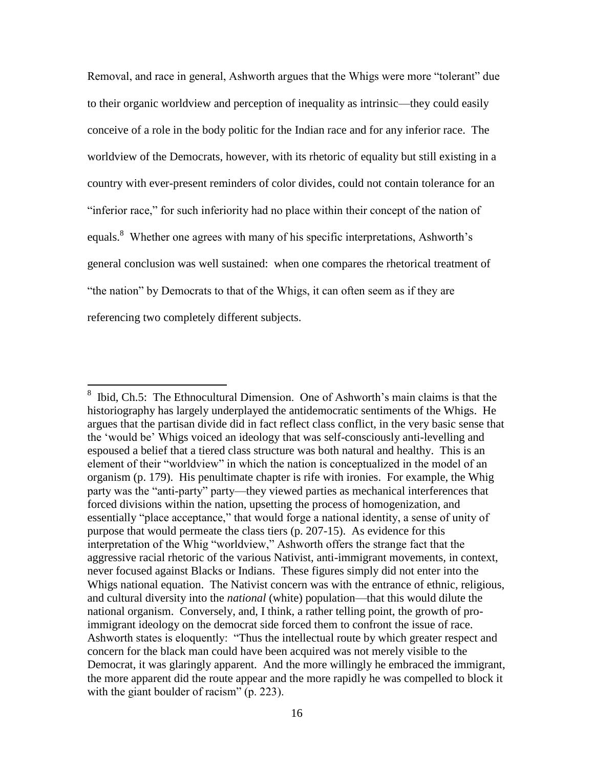Removal, and race in general, Ashworth argues that the Whigs were more "tolerant" due to their organic worldview and perception of inequality as intrinsic—they could easily conceive of a role in the body politic for the Indian race and for any inferior race. The worldview of the Democrats, however, with its rhetoric of equality but still existing in a country with ever-present reminders of color divides, could not contain tolerance for an "inferior race," for such inferiority had no place within their concept of the nation of equals.<sup>8</sup> Whether one agrees with many of his specific interpretations, Ashworth's general conclusion was well sustained: when one compares the rhetorical treatment of "the nation" by Democrats to that of the Whigs, it can often seem as if they are referencing two completely different subjects.

<sup>8</sup> Ibid, Ch.5: The Ethnocultural Dimension. One of Ashworth's main claims is that the historiography has largely underplayed the antidemocratic sentiments of the Whigs. He argues that the partisan divide did in fact reflect class conflict, in the very basic sense that the 'would be' Whigs voiced an ideology that was self-consciously anti-levelling and espoused a belief that a tiered class structure was both natural and healthy. This is an element of their "worldview" in which the nation is conceptualized in the model of an organism (p. 179). His penultimate chapter is rife with ironies. For example, the Whig party was the "anti-party" party—they viewed parties as mechanical interferences that forced divisions within the nation, upsetting the process of homogenization, and essentially "place acceptance," that would forge a national identity, a sense of unity of purpose that would permeate the class tiers (p. 207-15). As evidence for this interpretation of the Whig "worldview," Ashworth offers the strange fact that the aggressive racial rhetoric of the various Nativist, anti-immigrant movements, in context, never focused against Blacks or Indians. These figures simply did not enter into the Whigs national equation. The Nativist concern was with the entrance of ethnic, religious, and cultural diversity into the *national* (white) population—that this would dilute the national organism. Conversely, and, I think, a rather telling point, the growth of proimmigrant ideology on the democrat side forced them to confront the issue of race. Ashworth states is eloquently: "Thus the intellectual route by which greater respect and concern for the black man could have been acquired was not merely visible to the Democrat, it was glaringly apparent. And the more willingly he embraced the immigrant, the more apparent did the route appear and the more rapidly he was compelled to block it with the giant boulder of racism" (p. 223).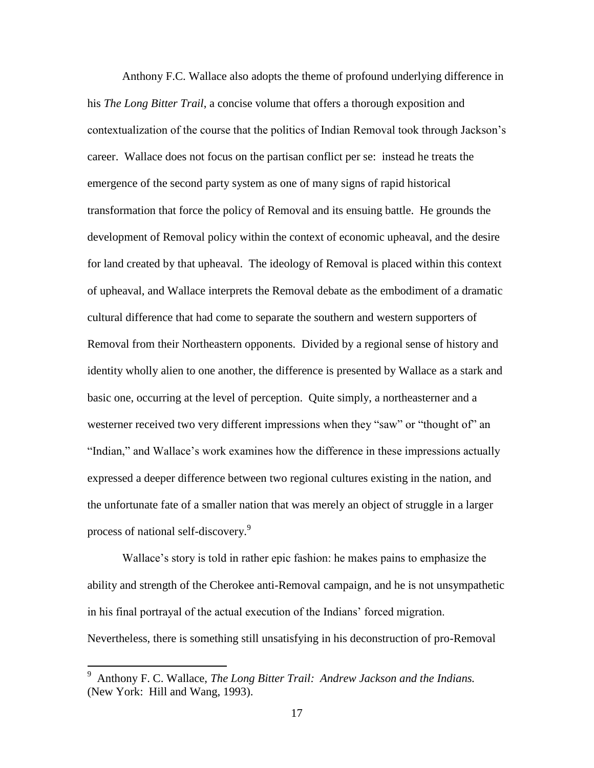Anthony F.C. Wallace also adopts the theme of profound underlying difference in his *The Long Bitter Trail*, a concise volume that offers a thorough exposition and contextualization of the course that the politics of Indian Removal took through Jackson's career. Wallace does not focus on the partisan conflict per se: instead he treats the emergence of the second party system as one of many signs of rapid historical transformation that force the policy of Removal and its ensuing battle. He grounds the development of Removal policy within the context of economic upheaval, and the desire for land created by that upheaval. The ideology of Removal is placed within this context of upheaval, and Wallace interprets the Removal debate as the embodiment of a dramatic cultural difference that had come to separate the southern and western supporters of Removal from their Northeastern opponents. Divided by a regional sense of history and identity wholly alien to one another, the difference is presented by Wallace as a stark and basic one, occurring at the level of perception. Quite simply, a northeasterner and a westerner received two very different impressions when they "saw" or "thought of" an "Indian," and Wallace's work examines how the difference in these impressions actually expressed a deeper difference between two regional cultures existing in the nation, and the unfortunate fate of a smaller nation that was merely an object of struggle in a larger process of national self-discovery.<sup>9</sup>

Wallace's story is told in rather epic fashion: he makes pains to emphasize the ability and strength of the Cherokee anti-Removal campaign, and he is not unsympathetic in his final portrayal of the actual execution of the Indians' forced migration. Nevertheless, there is something still unsatisfying in his deconstruction of pro-Removal

<sup>9</sup> Anthony F. C. Wallace, *The Long Bitter Trail: Andrew Jackson and the Indians.*  (New York: Hill and Wang, 1993).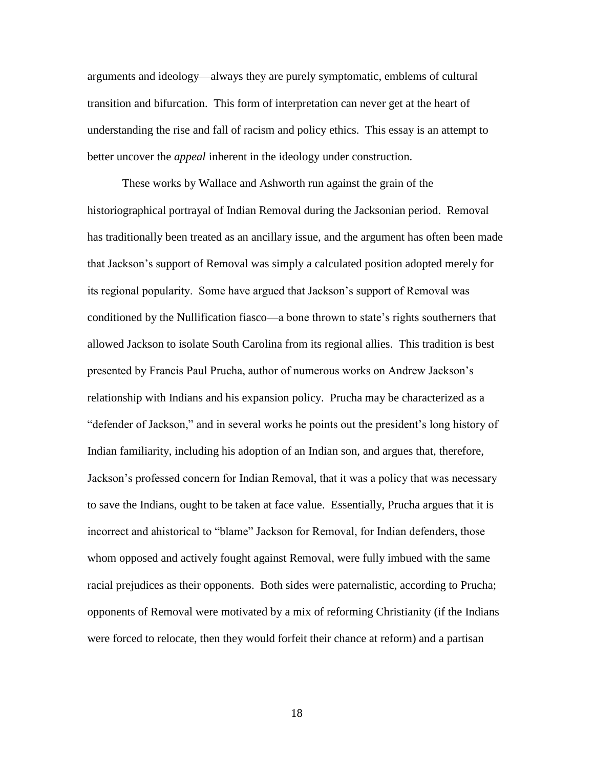arguments and ideology—always they are purely symptomatic, emblems of cultural transition and bifurcation. This form of interpretation can never get at the heart of understanding the rise and fall of racism and policy ethics. This essay is an attempt to better uncover the *appeal* inherent in the ideology under construction.

These works by Wallace and Ashworth run against the grain of the historiographical portrayal of Indian Removal during the Jacksonian period. Removal has traditionally been treated as an ancillary issue, and the argument has often been made that Jackson's support of Removal was simply a calculated position adopted merely for its regional popularity. Some have argued that Jackson's support of Removal was conditioned by the Nullification fiasco—a bone thrown to state's rights southerners that allowed Jackson to isolate South Carolina from its regional allies. This tradition is best presented by Francis Paul Prucha, author of numerous works on Andrew Jackson's relationship with Indians and his expansion policy. Prucha may be characterized as a "defender of Jackson," and in several works he points out the president's long history of Indian familiarity, including his adoption of an Indian son, and argues that, therefore, Jackson's professed concern for Indian Removal, that it was a policy that was necessary to save the Indians, ought to be taken at face value. Essentially, Prucha argues that it is incorrect and ahistorical to "blame" Jackson for Removal, for Indian defenders, those whom opposed and actively fought against Removal, were fully imbued with the same racial prejudices as their opponents. Both sides were paternalistic, according to Prucha; opponents of Removal were motivated by a mix of reforming Christianity (if the Indians were forced to relocate, then they would forfeit their chance at reform) and a partisan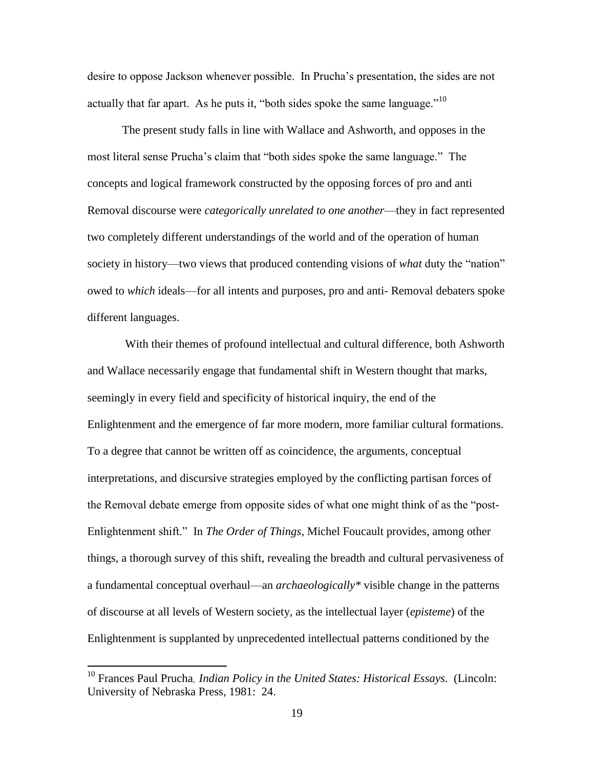desire to oppose Jackson whenever possible. In Prucha's presentation, the sides are not actually that far apart. As he puts it, "both sides spoke the same language."<sup>10</sup>

The present study falls in line with Wallace and Ashworth, and opposes in the most literal sense Prucha's claim that "both sides spoke the same language." The concepts and logical framework constructed by the opposing forces of pro and anti Removal discourse were *categorically unrelated to one another*—they in fact represented two completely different understandings of the world and of the operation of human society in history—two views that produced contending visions of *what* duty the "nation" owed to *which* ideals—for all intents and purposes, pro and anti- Removal debaters spoke different languages.

With their themes of profound intellectual and cultural difference, both Ashworth and Wallace necessarily engage that fundamental shift in Western thought that marks, seemingly in every field and specificity of historical inquiry, the end of the Enlightenment and the emergence of far more modern, more familiar cultural formations. To a degree that cannot be written off as coincidence, the arguments, conceptual interpretations, and discursive strategies employed by the conflicting partisan forces of the Removal debate emerge from opposite sides of what one might think of as the "post-Enlightenment shift." In *The Order of Things*, Michel Foucault provides, among other things, a thorough survey of this shift, revealing the breadth and cultural pervasiveness of a fundamental conceptual overhaul—an *archaeologically\** visible change in the patterns of discourse at all levels of Western society, as the intellectual layer (*episteme*) of the Enlightenment is supplanted by unprecedented intellectual patterns conditioned by the

<sup>10</sup> Frances Paul Prucha, *Indian Policy in the United States: Historical Essays*. (Lincoln: University of Nebraska Press, 1981: 24.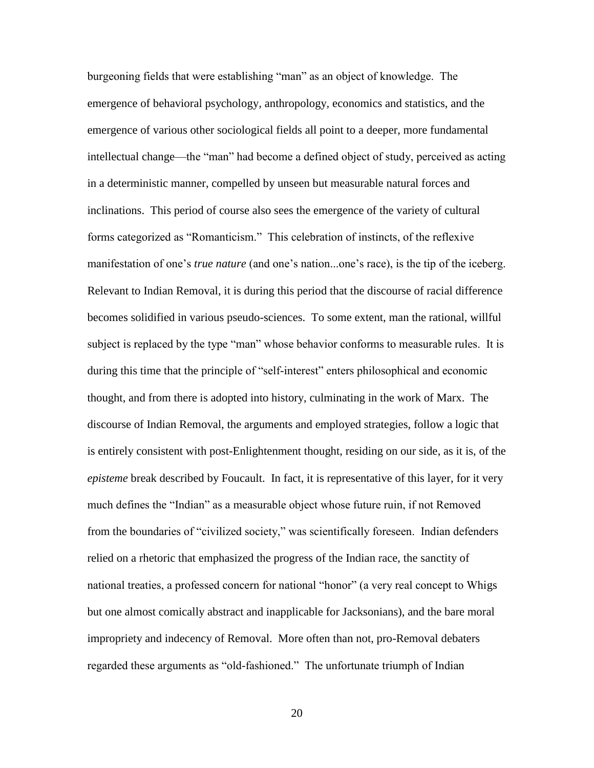burgeoning fields that were establishing "man" as an object of knowledge. The emergence of behavioral psychology*,* anthropology*,* economics and statistics, and the emergence of various other sociological fields all point to a deeper, more fundamental intellectual change—the "man" had become a defined object of study, perceived as acting in a deterministic manner, compelled by unseen but measurable natural forces and inclinations. This period of course also sees the emergence of the variety of cultural forms categorized as "Romanticism." This celebration of instincts, of the reflexive manifestation of one's *true nature* (and one's nation...one's race), is the tip of the iceberg. Relevant to Indian Removal, it is during this period that the discourse of racial difference becomes solidified in various pseudo-sciences. To some extent, man the rational, willful subject is replaced by the type "man" whose behavior conforms to measurable rules. It is during this time that the principle of "self-interest" enters philosophical and economic thought, and from there is adopted into history, culminating in the work of Marx. The discourse of Indian Removal, the arguments and employed strategies, follow a logic that is entirely consistent with post-Enlightenment thought, residing on our side, as it is, of the *episteme* break described by Foucault. In fact, it is representative of this layer, for it very much defines the "Indian" as a measurable object whose future ruin, if not Removed from the boundaries of "civilized society," was scientifically foreseen. Indian defenders relied on a rhetoric that emphasized the progress of the Indian race, the sanctity of national treaties, a professed concern for national "honor" (a very real concept to Whigs but one almost comically abstract and inapplicable for Jacksonians), and the bare moral impropriety and indecency of Removal. More often than not, pro-Removal debaters regarded these arguments as "old-fashioned." The unfortunate triumph of Indian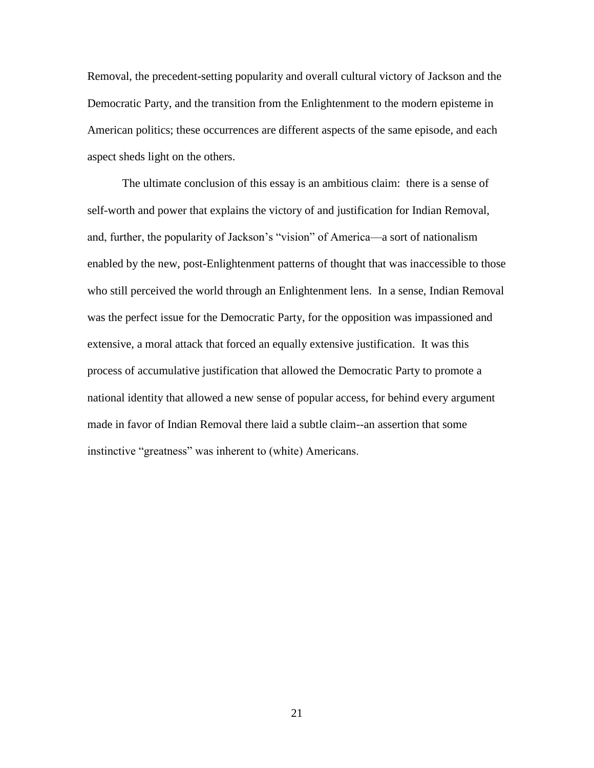Removal, the precedent-setting popularity and overall cultural victory of Jackson and the Democratic Party, and the transition from the Enlightenment to the modern episteme in American politics; these occurrences are different aspects of the same episode, and each aspect sheds light on the others.

The ultimate conclusion of this essay is an ambitious claim: there is a sense of self-worth and power that explains the victory of and justification for Indian Removal, and, further, the popularity of Jackson's "vision" of America—a sort of nationalism enabled by the new, post-Enlightenment patterns of thought that was inaccessible to those who still perceived the world through an Enlightenment lens. In a sense, Indian Removal was the perfect issue for the Democratic Party, for the opposition was impassioned and extensive, a moral attack that forced an equally extensive justification. It was this process of accumulative justification that allowed the Democratic Party to promote a national identity that allowed a new sense of popular access, for behind every argument made in favor of Indian Removal there laid a subtle claim--an assertion that some instinctive "greatness" was inherent to (white) Americans.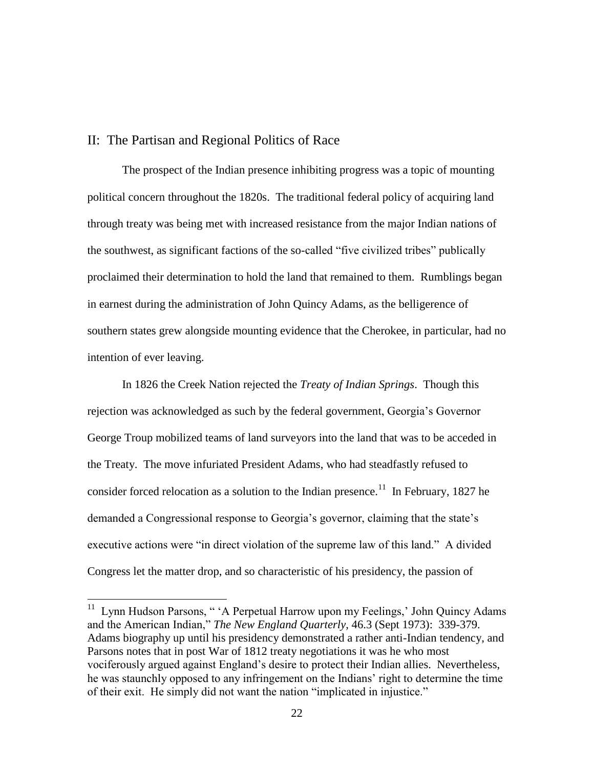## II: The Partisan and Regional Politics of Race

The prospect of the Indian presence inhibiting progress was a topic of mounting political concern throughout the 1820s. The traditional federal policy of acquiring land through treaty was being met with increased resistance from the major Indian nations of the southwest, as significant factions of the so-called "five civilized tribes" publically proclaimed their determination to hold the land that remained to them. Rumblings began in earnest during the administration of John Quincy Adams, as the belligerence of southern states grew alongside mounting evidence that the Cherokee, in particular, had no intention of ever leaving.

In 1826 the Creek Nation rejected the *Treaty of Indian Springs*. Though this rejection was acknowledged as such by the federal government, Georgia's Governor George Troup mobilized teams of land surveyors into the land that was to be acceded in the Treaty. The move infuriated President Adams, who had steadfastly refused to consider forced relocation as a solution to the Indian presence.<sup>11</sup> In February, 1827 he demanded a Congressional response to Georgia's governor, claiming that the state's executive actions were "in direct violation of the supreme law of this land." A divided Congress let the matter drop, and so characteristic of his presidency, the passion of

<sup>&</sup>lt;sup>11</sup> Lynn Hudson Parsons, " 'A Perpetual Harrow upon my Feelings,' John Quincy Adams and the American Indian," *The New England Quarterly*, 46.3 (Sept 1973): 339-379. Adams biography up until his presidency demonstrated a rather anti-Indian tendency, and Parsons notes that in post War of 1812 treaty negotiations it was he who most vociferously argued against England's desire to protect their Indian allies. Nevertheless, he was staunchly opposed to any infringement on the Indians' right to determine the time of their exit. He simply did not want the nation "implicated in injustice."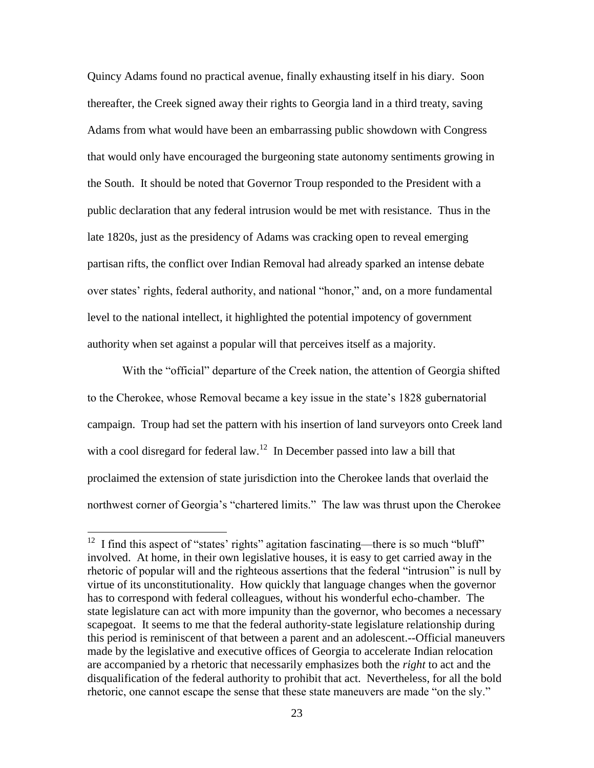Quincy Adams found no practical avenue, finally exhausting itself in his diary. Soon thereafter, the Creek signed away their rights to Georgia land in a third treaty, saving Adams from what would have been an embarrassing public showdown with Congress that would only have encouraged the burgeoning state autonomy sentiments growing in the South. It should be noted that Governor Troup responded to the President with a public declaration that any federal intrusion would be met with resistance. Thus in the late 1820s, just as the presidency of Adams was cracking open to reveal emerging partisan rifts, the conflict over Indian Removal had already sparked an intense debate over states' rights, federal authority, and national "honor," and, on a more fundamental level to the national intellect, it highlighted the potential impotency of government authority when set against a popular will that perceives itself as a majority.

With the "official" departure of the Creek nation, the attention of Georgia shifted to the Cherokee, whose Removal became a key issue in the state's 1828 gubernatorial campaign. Troup had set the pattern with his insertion of land surveyors onto Creek land with a cool disregard for federal law.<sup>12</sup> In December passed into law a bill that proclaimed the extension of state jurisdiction into the Cherokee lands that overlaid the northwest corner of Georgia's "chartered limits." The law was thrust upon the Cherokee

<sup>&</sup>lt;sup>12</sup> I find this aspect of "states' rights" agitation fascinating—there is so much "bluff" involved. At home, in their own legislative houses, it is easy to get carried away in the rhetoric of popular will and the righteous assertions that the federal "intrusion" is null by virtue of its unconstitutionality. How quickly that language changes when the governor has to correspond with federal colleagues, without his wonderful echo-chamber. The state legislature can act with more impunity than the governor, who becomes a necessary scapegoat. It seems to me that the federal authority-state legislature relationship during this period is reminiscent of that between a parent and an adolescent.--Official maneuvers made by the legislative and executive offices of Georgia to accelerate Indian relocation are accompanied by a rhetoric that necessarily emphasizes both the *right* to act and the disqualification of the federal authority to prohibit that act. Nevertheless, for all the bold rhetoric, one cannot escape the sense that these state maneuvers are made "on the sly."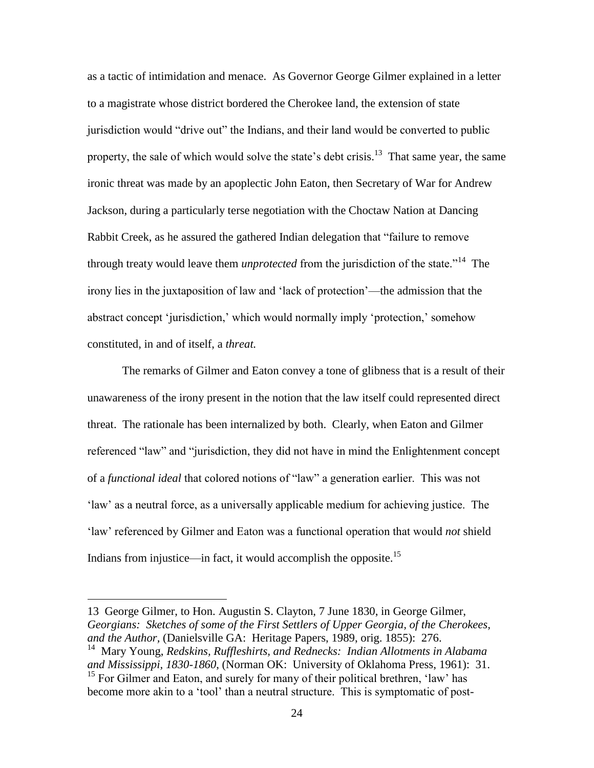as a tactic of intimidation and menace. As Governor George Gilmer explained in a letter to a magistrate whose district bordered the Cherokee land, the extension of state jurisdiction would "drive out" the Indians, and their land would be converted to public property, the sale of which would solve the state's debt crisis.<sup>13</sup> That same year, the same ironic threat was made by an apoplectic John Eaton, then Secretary of War for Andrew Jackson, during a particularly terse negotiation with the Choctaw Nation at Dancing Rabbit Creek, as he assured the gathered Indian delegation that "failure to remove through treaty would leave them *unprotected* from the jurisdiction of the state."<sup>14</sup> The irony lies in the juxtaposition of law and 'lack of protection'—the admission that the abstract concept 'jurisdiction,' which would normally imply 'protection,' somehow constituted, in and of itself, a *threat.*

The remarks of Gilmer and Eaton convey a tone of glibness that is a result of their unawareness of the irony present in the notion that the law itself could represented direct threat. The rationale has been internalized by both. Clearly, when Eaton and Gilmer referenced "law" and "jurisdiction, they did not have in mind the Enlightenment concept of a *functional ideal* that colored notions of "law" a generation earlier. This was not 'law' as a neutral force, as a universally applicable medium for achieving justice. The 'law' referenced by Gilmer and Eaton was a functional operation that would *not* shield Indians from injustice—in fact, it would accomplish the opposite.<sup>15</sup>

<sup>13</sup> George Gilmer, to Hon. Augustin S. Clayton, 7 June 1830, in George Gilmer, *Georgians: Sketches of some of the First Settlers of Upper Georgia, of the Cherokees, and the Author,* (Danielsville GA: Heritage Papers, 1989, orig. 1855): 276.

<sup>&</sup>lt;sup>14</sup> Mary Young, *Redskins, Ruffleshirts, and Rednecks: Indian Allotments in Alabama and Mississippi, 1830-1860*, (Norman OK: University of Oklahoma Press, 1961): 31.

<sup>&</sup>lt;sup>15</sup> For Gilmer and Eaton, and surely for many of their political brethren, 'law' has become more akin to a 'tool' than a neutral structure. This is symptomatic of post-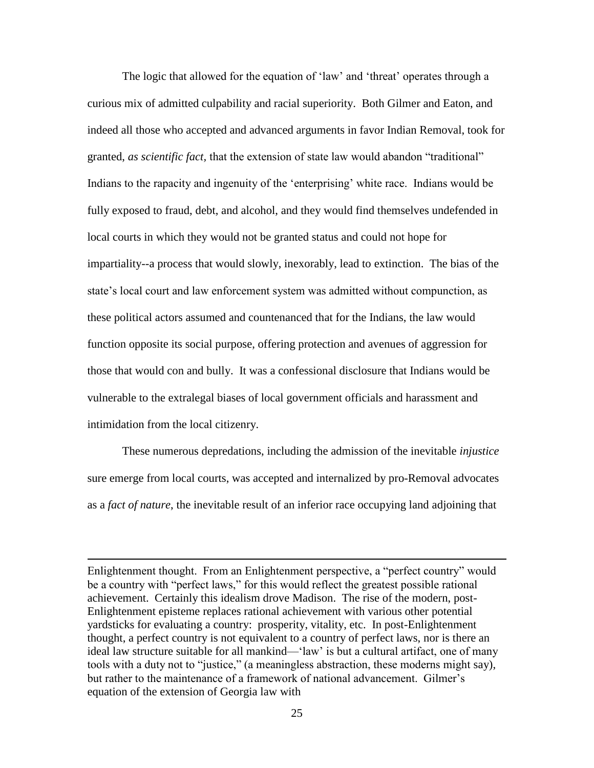The logic that allowed for the equation of 'law' and 'threat' operates through a curious mix of admitted culpability and racial superiority. Both Gilmer and Eaton, and indeed all those who accepted and advanced arguments in favor Indian Removal, took for granted, *as scientific fact,* that the extension of state law would abandon "traditional" Indians to the rapacity and ingenuity of the 'enterprising' white race. Indians would be fully exposed to fraud, debt, and alcohol, and they would find themselves undefended in local courts in which they would not be granted status and could not hope for impartiality--a process that would slowly, inexorably, lead to extinction. The bias of the state's local court and law enforcement system was admitted without compunction, as these political actors assumed and countenanced that for the Indians, the law would function opposite its social purpose, offering protection and avenues of aggression for those that would con and bully. It was a confessional disclosure that Indians would be vulnerable to the extralegal biases of local government officials and harassment and intimidation from the local citizenry.

These numerous depredations, including the admission of the inevitable *injustice* sure emerge from local courts, was accepted and internalized by pro-Removal advocates as a *fact of nature*, the inevitable result of an inferior race occupying land adjoining that

Enlightenment thought. From an Enlightenment perspective, a "perfect country" would be a country with "perfect laws," for this would reflect the greatest possible rational achievement. Certainly this idealism drove Madison. The rise of the modern, post-Enlightenment episteme replaces rational achievement with various other potential yardsticks for evaluating a country: prosperity, vitality, etc. In post-Enlightenment thought, a perfect country is not equivalent to a country of perfect laws, nor is there an ideal law structure suitable for all mankind—'law' is but a cultural artifact, one of many tools with a duty not to "justice," (a meaningless abstraction, these moderns might say), but rather to the maintenance of a framework of national advancement. Gilmer's equation of the extension of Georgia law with

 $\overline{a}$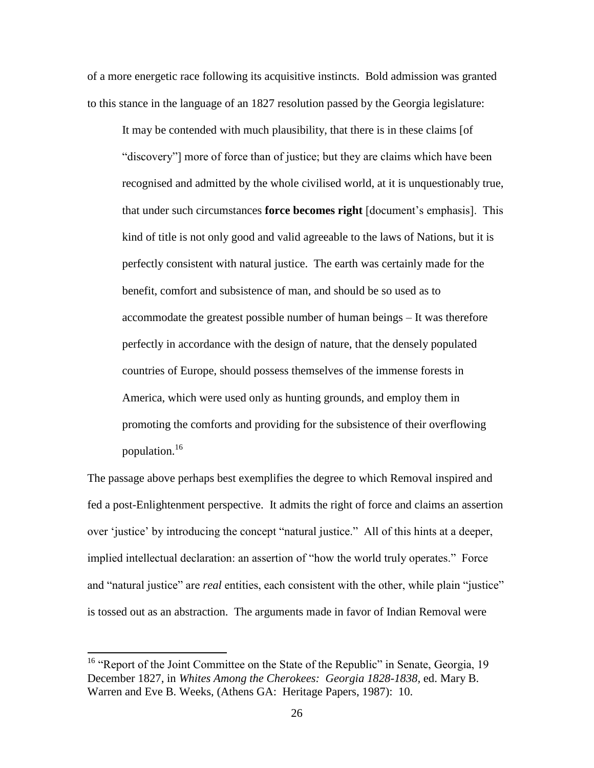of a more energetic race following its acquisitive instincts. Bold admission was granted to this stance in the language of an 1827 resolution passed by the Georgia legislature:

It may be contended with much plausibility, that there is in these claims [of "discovery"] more of force than of justice; but they are claims which have been recognised and admitted by the whole civilised world, at it is unquestionably true, that under such circumstances **force becomes right** [document's emphasis]. This kind of title is not only good and valid agreeable to the laws of Nations, but it is perfectly consistent with natural justice. The earth was certainly made for the benefit, comfort and subsistence of man, and should be so used as to accommodate the greatest possible number of human beings – It was therefore perfectly in accordance with the design of nature, that the densely populated countries of Europe, should possess themselves of the immense forests in America, which were used only as hunting grounds, and employ them in promoting the comforts and providing for the subsistence of their overflowing population.<sup>16</sup>

The passage above perhaps best exemplifies the degree to which Removal inspired and fed a post-Enlightenment perspective. It admits the right of force and claims an assertion over 'justice' by introducing the concept "natural justice." All of this hints at a deeper, implied intellectual declaration: an assertion of "how the world truly operates." Force and "natural justice" are *real* entities, each consistent with the other, while plain "justice" is tossed out as an abstraction. The arguments made in favor of Indian Removal were

<sup>&</sup>lt;sup>16</sup> "Report of the Joint Committee on the State of the Republic" in Senate, Georgia, 19 December 1827, in *Whites Among the Cherokees: Georgia 1828-1838,* ed. Mary B. Warren and Eve B. Weeks, (Athens GA: Heritage Papers, 1987): 10.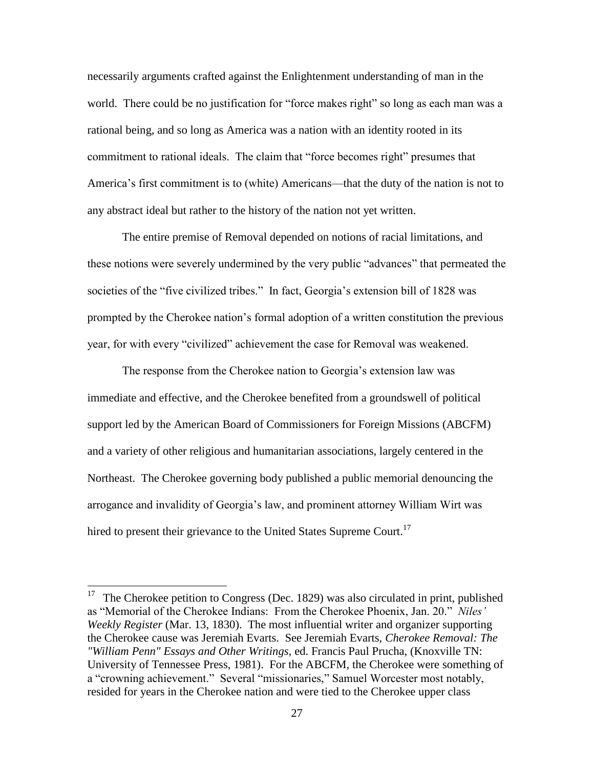necessarily arguments crafted against the Enlightenment understanding of man in the world. There could be no justification for "force makes right" so long as each man was a rational being, and so long as America was a nation with an identity rooted in its commitment to rational ideals. The claim that "force becomes right" presumes that America's first commitment is to (white) Americans—that the duty of the nation is not to any abstract ideal but rather to the history of the nation not yet written.

The entire premise of Removal depended on notions of racial limitations, and these notions were severely undermined by the very public "advances" that permeated the societies of the "five civilized tribes." In fact, Georgia's extension bill of 1828 was prompted by the Cherokee nation's formal adoption of a written constitution the previous year, for with every "civilized" achievement the case for Removal was weakened.

The response from the Cherokee nation to Georgia's extension law was immediate and effective, and the Cherokee benefited from a groundswell of political support led by the American Board of Commissioners for Foreign Missions (ABCFM) and a variety of other religious and humanitarian associations, largely centered in the Northeast. The Cherokee governing body published a public memorial denouncing the arrogance and invalidity of Georgia's law, and prominent attorney William Wirt was hired to present their grievance to the United States Supreme Court.<sup>17</sup>

<sup>17</sup> The Cherokee petition to Congress (Dec. 1829) was also circulated in print, published as "Memorial of the Cherokee Indians: From the Cherokee Phoenix, Jan. 20." *Niles' Weekly Register* (Mar. 13, 1830). The most influential writer and organizer supporting the Cherokee cause was Jeremiah Evarts. See Jeremiah Evarts, *Cherokee Removal: The "William Penn" Essays and Other Writings,* ed. Francis Paul Prucha, (Knoxville TN: University of Tennessee Press, 1981). For the ABCFM, the Cherokee were something of a "crowning achievement." Several "missionaries," Samuel Worcester most notably, resided for years in the Cherokee nation and were tied to the Cherokee upper class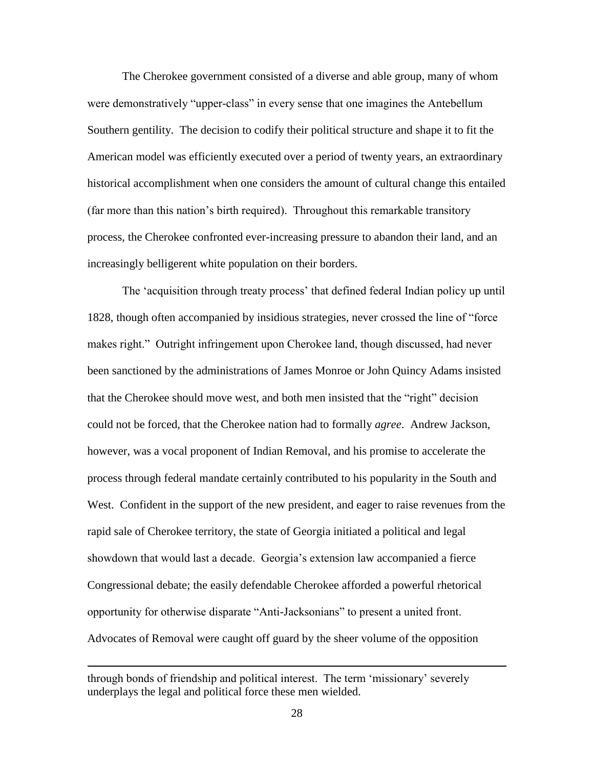The Cherokee government consisted of a diverse and able group, many of whom were demonstratively "upper-class" in every sense that one imagines the Antebellum Southern gentility. The decision to codify their political structure and shape it to fit the American model was efficiently executed over a period of twenty years, an extraordinary historical accomplishment when one considers the amount of cultural change this entailed (far more than this nation's birth required). Throughout this remarkable transitory process, the Cherokee confronted ever-increasing pressure to abandon their land, and an increasingly belligerent white population on their borders.

The 'acquisition through treaty process' that defined federal Indian policy up until 1828, though often accompanied by insidious strategies, never crossed the line of "force makes right." Outright infringement upon Cherokee land, though discussed, had never been sanctioned by the administrations of James Monroe or John Quincy Adams insisted that the Cherokee should move west, and both men insisted that the "right" decision could not be forced, that the Cherokee nation had to formally *agree*. Andrew Jackson, however, was a vocal proponent of Indian Removal, and his promise to accelerate the process through federal mandate certainly contributed to his popularity in the South and West. Confident in the support of the new president, and eager to raise revenues from the rapid sale of Cherokee territory, the state of Georgia initiated a political and legal showdown that would last a decade. Georgia's extension law accompanied a fierce Congressional debate; the easily defendable Cherokee afforded a powerful rhetorical opportunity for otherwise disparate "Anti-Jacksonians" to present a united front. Advocates of Removal were caught off guard by the sheer volume of the opposition

through bonds of friendship and political interest. The term 'missionary' severely underplays the legal and political force these men wielded.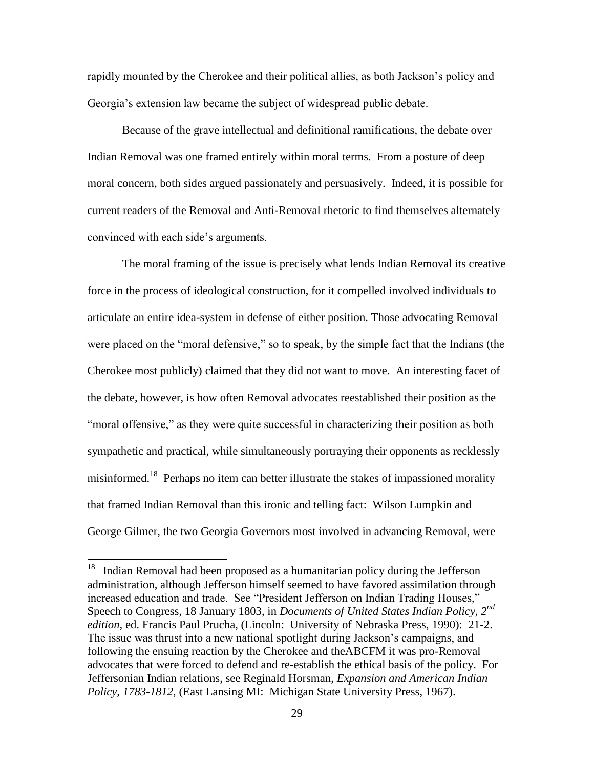rapidly mounted by the Cherokee and their political allies, as both Jackson's policy and Georgia's extension law became the subject of widespread public debate.

Because of the grave intellectual and definitional ramifications, the debate over Indian Removal was one framed entirely within moral terms. From a posture of deep moral concern, both sides argued passionately and persuasively. Indeed, it is possible for current readers of the Removal and Anti-Removal rhetoric to find themselves alternately convinced with each side's arguments.

The moral framing of the issue is precisely what lends Indian Removal its creative force in the process of ideological construction, for it compelled involved individuals to articulate an entire idea-system in defense of either position. Those advocating Removal were placed on the "moral defensive," so to speak, by the simple fact that the Indians (the Cherokee most publicly) claimed that they did not want to move. An interesting facet of the debate, however, is how often Removal advocates reestablished their position as the "moral offensive," as they were quite successful in characterizing their position as both sympathetic and practical, while simultaneously portraying their opponents as recklessly misinformed.<sup>18</sup> Perhaps no item can better illustrate the stakes of impassioned morality that framed Indian Removal than this ironic and telling fact: Wilson Lumpkin and George Gilmer, the two Georgia Governors most involved in advancing Removal, were

<sup>&</sup>lt;sup>18</sup> Indian Removal had been proposed as a humanitarian policy during the Jefferson administration, although Jefferson himself seemed to have favored assimilation through increased education and trade. See "President Jefferson on Indian Trading Houses," Speech to Congress, 18 January 1803, in *Documents of United States Indian Policy, 2nd edition,* ed. Francis Paul Prucha, (Lincoln: University of Nebraska Press, 1990): 21-2. The issue was thrust into a new national spotlight during Jackson's campaigns, and following the ensuing reaction by the Cherokee and theABCFM it was pro-Removal advocates that were forced to defend and re-establish the ethical basis of the policy. For Jeffersonian Indian relations, see Reginald Horsman, *Expansion and American Indian Policy, 1783-1812*, (East Lansing MI: Michigan State University Press, 1967).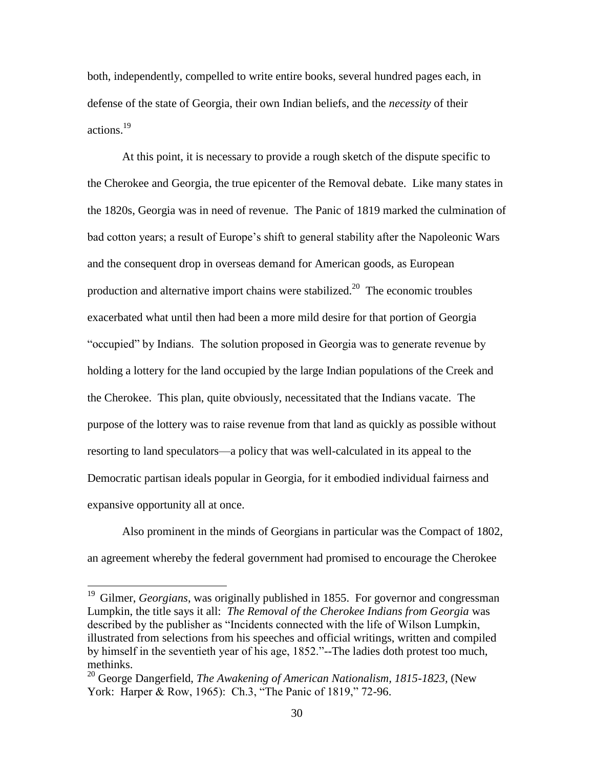both, independently, compelled to write entire books, several hundred pages each, in defense of the state of Georgia, their own Indian beliefs, and the *necessity* of their actions.<sup>19</sup>

At this point, it is necessary to provide a rough sketch of the dispute specific to the Cherokee and Georgia, the true epicenter of the Removal debate. Like many states in the 1820s, Georgia was in need of revenue. The Panic of 1819 marked the culmination of bad cotton years; a result of Europe's shift to general stability after the Napoleonic Wars and the consequent drop in overseas demand for American goods, as European production and alternative import chains were stabilized.<sup>20</sup> The economic troubles exacerbated what until then had been a more mild desire for that portion of Georgia "occupied" by Indians. The solution proposed in Georgia was to generate revenue by holding a lottery for the land occupied by the large Indian populations of the Creek and the Cherokee. This plan, quite obviously, necessitated that the Indians vacate. The purpose of the lottery was to raise revenue from that land as quickly as possible without resorting to land speculators—a policy that was well-calculated in its appeal to the Democratic partisan ideals popular in Georgia, for it embodied individual fairness and expansive opportunity all at once.

Also prominent in the minds of Georgians in particular was the Compact of 1802, an agreement whereby the federal government had promised to encourage the Cherokee

<sup>&</sup>lt;sup>19</sup> Gilmer, *Georgians*, was originally published in 1855. For governor and congressman Lumpkin, the title says it all: *The Removal of the Cherokee Indians from Georgia* was described by the publisher as "Incidents connected with the life of Wilson Lumpkin, illustrated from selections from his speeches and official writings, written and compiled by himself in the seventieth year of his age, 1852."--The ladies doth protest too much, methinks.

<sup>20</sup> George Dangerfield, *The Awakening of American Nationalism, 1815-1823,* (New York: Harper & Row, 1965): Ch.3, "The Panic of 1819," 72-96.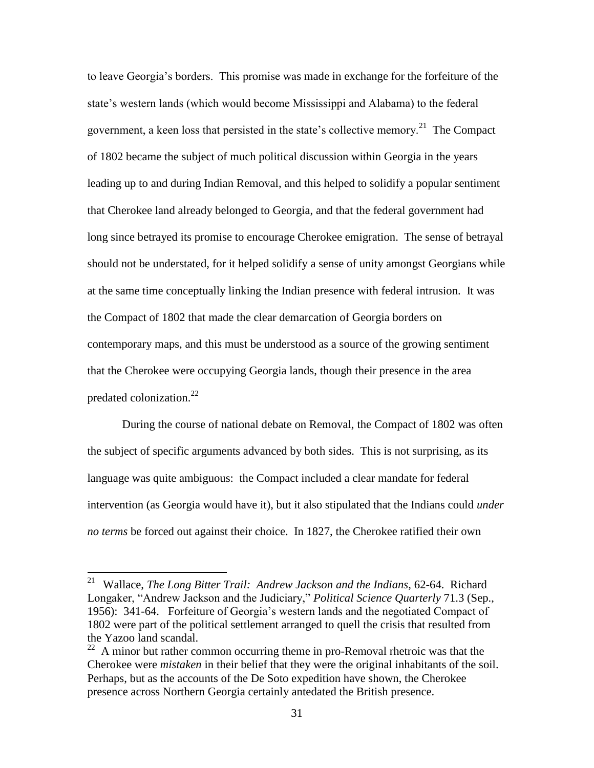to leave Georgia's borders. This promise was made in exchange for the forfeiture of the state's western lands (which would become Mississippi and Alabama) to the federal government, a keen loss that persisted in the state's collective memory.<sup>21</sup> The Compact of 1802 became the subject of much political discussion within Georgia in the years leading up to and during Indian Removal, and this helped to solidify a popular sentiment that Cherokee land already belonged to Georgia, and that the federal government had long since betrayed its promise to encourage Cherokee emigration. The sense of betrayal should not be understated, for it helped solidify a sense of unity amongst Georgians while at the same time conceptually linking the Indian presence with federal intrusion. It was the Compact of 1802 that made the clear demarcation of Georgia borders on contemporary maps, and this must be understood as a source of the growing sentiment that the Cherokee were occupying Georgia lands, though their presence in the area predated colonization. $^{22}$ 

During the course of national debate on Removal, the Compact of 1802 was often the subject of specific arguments advanced by both sides. This is not surprising, as its language was quite ambiguous: the Compact included a clear mandate for federal intervention (as Georgia would have it), but it also stipulated that the Indians could *under no terms* be forced out against their choice. In 1827, the Cherokee ratified their own

<sup>&</sup>lt;sup>21</sup> Wallace, *The Long Bitter Trail: Andrew Jackson and the Indians*, 62-64. Richard Longaker, "Andrew Jackson and the Judiciary," *Political Science Quarterly* 71.3 (Sep., 1956): 341-64. Forfeiture of Georgia's western lands and the negotiated Compact of 1802 were part of the political settlement arranged to quell the crisis that resulted from the Yazoo land scandal.

 $22$  A minor but rather common occurring theme in pro-Removal rhetroic was that the Cherokee were *mistaken* in their belief that they were the original inhabitants of the soil. Perhaps, but as the accounts of the De Soto expedition have shown, the Cherokee presence across Northern Georgia certainly antedated the British presence.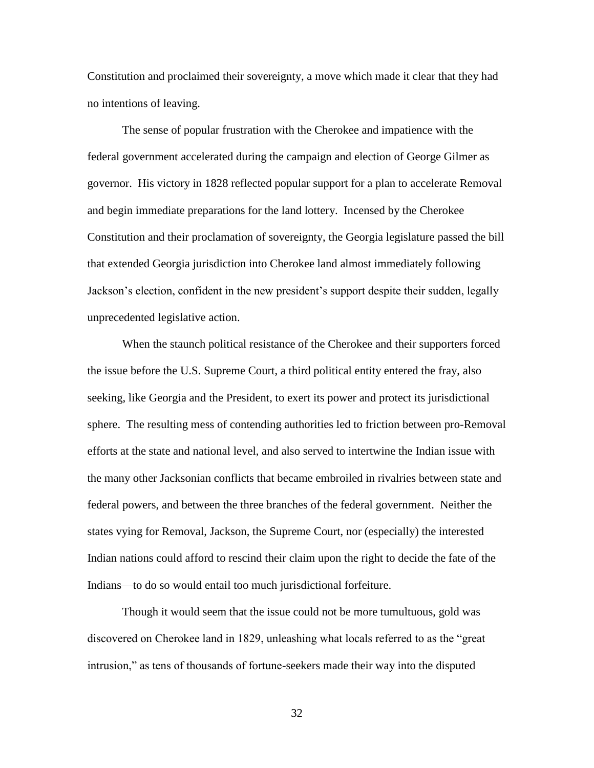Constitution and proclaimed their sovereignty, a move which made it clear that they had no intentions of leaving.

The sense of popular frustration with the Cherokee and impatience with the federal government accelerated during the campaign and election of George Gilmer as governor. His victory in 1828 reflected popular support for a plan to accelerate Removal and begin immediate preparations for the land lottery. Incensed by the Cherokee Constitution and their proclamation of sovereignty, the Georgia legislature passed the bill that extended Georgia jurisdiction into Cherokee land almost immediately following Jackson's election, confident in the new president's support despite their sudden, legally unprecedented legislative action.

When the staunch political resistance of the Cherokee and their supporters forced the issue before the U.S. Supreme Court, a third political entity entered the fray, also seeking, like Georgia and the President, to exert its power and protect its jurisdictional sphere. The resulting mess of contending authorities led to friction between pro-Removal efforts at the state and national level, and also served to intertwine the Indian issue with the many other Jacksonian conflicts that became embroiled in rivalries between state and federal powers, and between the three branches of the federal government. Neither the states vying for Removal, Jackson, the Supreme Court, nor (especially) the interested Indian nations could afford to rescind their claim upon the right to decide the fate of the Indians—to do so would entail too much jurisdictional forfeiture.

Though it would seem that the issue could not be more tumultuous, gold was discovered on Cherokee land in 1829, unleashing what locals referred to as the "great intrusion," as tens of thousands of fortune-seekers made their way into the disputed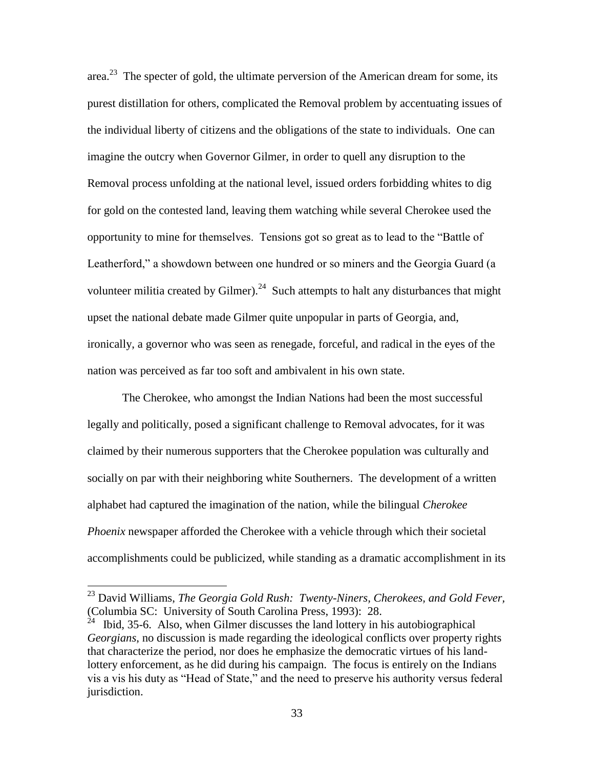area.<sup>23</sup> The specter of gold, the ultimate perversion of the American dream for some, its purest distillation for others, complicated the Removal problem by accentuating issues of the individual liberty of citizens and the obligations of the state to individuals. One can imagine the outcry when Governor Gilmer, in order to quell any disruption to the Removal process unfolding at the national level, issued orders forbidding whites to dig for gold on the contested land, leaving them watching while several Cherokee used the opportunity to mine for themselves. Tensions got so great as to lead to the "Battle of Leatherford," a showdown between one hundred or so miners and the Georgia Guard (a volunteer militia created by Gilmer).<sup>24</sup> Such attempts to halt any disturbances that might upset the national debate made Gilmer quite unpopular in parts of Georgia, and, ironically, a governor who was seen as renegade, forceful, and radical in the eyes of the nation was perceived as far too soft and ambivalent in his own state.

The Cherokee, who amongst the Indian Nations had been the most successful legally and politically, posed a significant challenge to Removal advocates, for it was claimed by their numerous supporters that the Cherokee population was culturally and socially on par with their neighboring white Southerners. The development of a written alphabet had captured the imagination of the nation, while the bilingual *Cherokee Phoenix* newspaper afforded the Cherokee with a vehicle through which their societal accomplishments could be publicized, while standing as a dramatic accomplishment in its

<sup>23</sup> David Williams, *The Georgia Gold Rush: Twenty-Niners, Cherokees, and Gold Fever,*  (Columbia SC: University of South Carolina Press, 1993): 28.

 $^{24}$  Ibid, 35-6. Also, when Gilmer discusses the land lottery in his autobiographical *Georgians*, no discussion is made regarding the ideological conflicts over property rights that characterize the period, nor does he emphasize the democratic virtues of his landlottery enforcement, as he did during his campaign. The focus is entirely on the Indians vis a vis his duty as "Head of State," and the need to preserve his authority versus federal jurisdiction.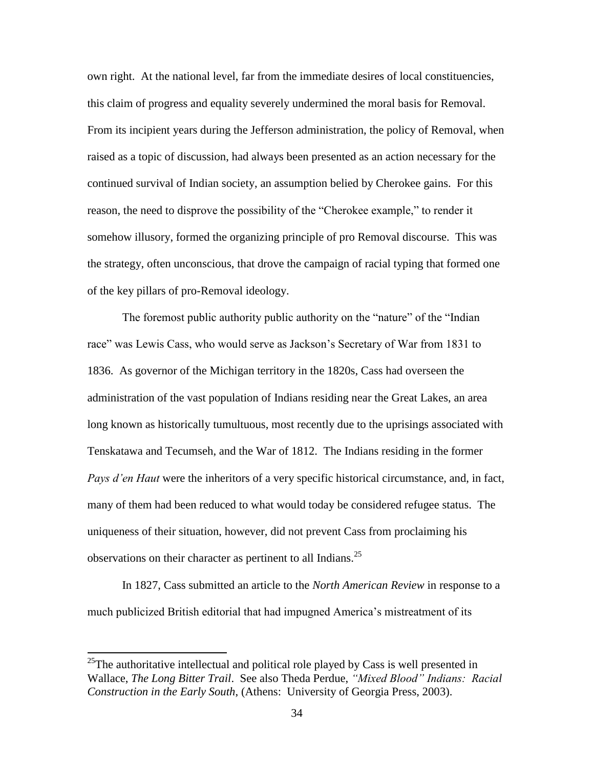own right. At the national level, far from the immediate desires of local constituencies, this claim of progress and equality severely undermined the moral basis for Removal. From its incipient years during the Jefferson administration, the policy of Removal, when raised as a topic of discussion, had always been presented as an action necessary for the continued survival of Indian society, an assumption belied by Cherokee gains. For this reason, the need to disprove the possibility of the "Cherokee example," to render it somehow illusory, formed the organizing principle of pro Removal discourse. This was the strategy, often unconscious, that drove the campaign of racial typing that formed one of the key pillars of pro-Removal ideology.

The foremost public authority public authority on the "nature" of the "Indian race" was Lewis Cass, who would serve as Jackson's Secretary of War from 1831 to 1836. As governor of the Michigan territory in the 1820s, Cass had overseen the administration of the vast population of Indians residing near the Great Lakes, an area long known as historically tumultuous, most recently due to the uprisings associated with Tenskatawa and Tecumseh, and the War of 1812. The Indians residing in the former *Pays d'en Haut* were the inheritors of a very specific historical circumstance, and, in fact, many of them had been reduced to what would today be considered refugee status. The uniqueness of their situation, however, did not prevent Cass from proclaiming his observations on their character as pertinent to all Indians.<sup>25</sup>

In 1827, Cass submitted an article to the *North American Review* in response to a much publicized British editorial that had impugned America's mistreatment of its

<sup>&</sup>lt;sup>25</sup>The authoritative intellectual and political role played by Cass is well presented in Wallace, *The Long Bitter Trail*. See also Theda Perdue, *"Mixed Blood" Indians: Racial Construction in the Early South*, (Athens: University of Georgia Press, 2003).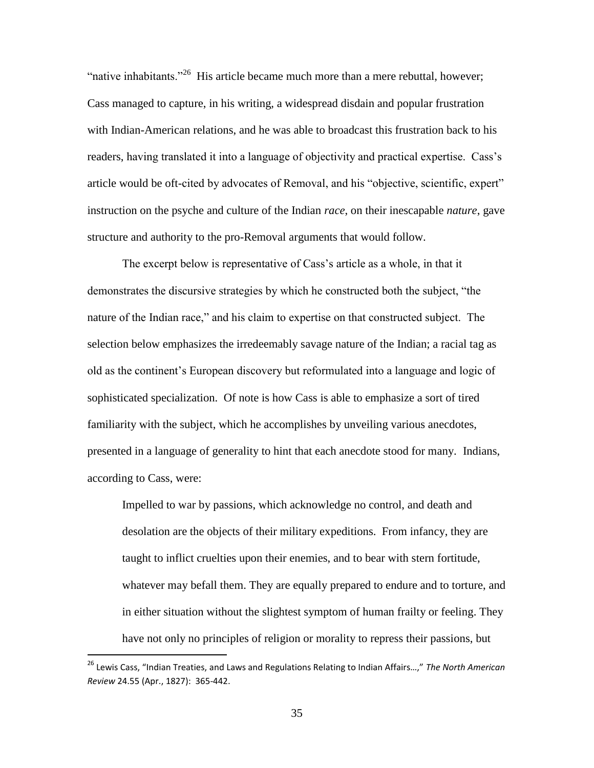"native inhabitants."<sup>26</sup> His article became much more than a mere rebuttal, however; Cass managed to capture, in his writing, a widespread disdain and popular frustration with Indian-American relations, and he was able to broadcast this frustration back to his readers, having translated it into a language of objectivity and practical expertise. Cass's article would be oft-cited by advocates of Removal, and his "objective, scientific, expert" instruction on the psyche and culture of the Indian *race*, on their inescapable *nature*, gave structure and authority to the pro-Removal arguments that would follow.

The excerpt below is representative of Cass's article as a whole, in that it demonstrates the discursive strategies by which he constructed both the subject, "the nature of the Indian race," and his claim to expertise on that constructed subject. The selection below emphasizes the irredeemably savage nature of the Indian; a racial tag as old as the continent's European discovery but reformulated into a language and logic of sophisticated specialization. Of note is how Cass is able to emphasize a sort of tired familiarity with the subject, which he accomplishes by unveiling various anecdotes, presented in a language of generality to hint that each anecdote stood for many. Indians, according to Cass, were:

Impelled to war by passions, which acknowledge no control, and death and desolation are the objects of their military expeditions. From infancy, they are taught to inflict cruelties upon their enemies, and to bear with stern fortitude, whatever may befall them. They are equally prepared to endure and to torture, and in either situation without the slightest symptom of human frailty or feeling. They have not only no principles of religion or morality to repress their passions, but

<sup>26</sup> Lewis Cass, "Indian Treaties, and Laws and Regulations Relating to Indian Affairs…," *The North American Review* 24.55 (Apr., 1827): 365-442.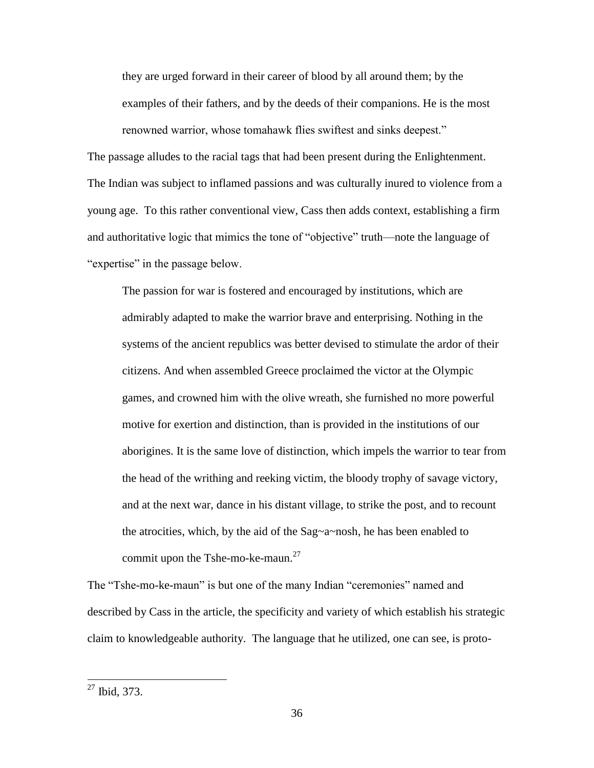they are urged forward in their career of blood by all around them; by the examples of their fathers, and by the deeds of their companions. He is the most renowned warrior, whose tomahawk flies swiftest and sinks deepest."

The passage alludes to the racial tags that had been present during the Enlightenment. The Indian was subject to inflamed passions and was culturally inured to violence from a young age. To this rather conventional view, Cass then adds context, establishing a firm and authoritative logic that mimics the tone of "objective" truth—note the language of "expertise" in the passage below.

The passion for war is fostered and encouraged by institutions, which are admirably adapted to make the warrior brave and enterprising. Nothing in the systems of the ancient republics was better devised to stimulate the ardor of their citizens. And when assembled Greece proclaimed the victor at the Olympic games, and crowned him with the olive wreath, she furnished no more powerful motive for exertion and distinction, than is provided in the institutions of our aborigines. It is the same love of distinction, which impels the warrior to tear from the head of the writhing and reeking victim, the bloody trophy of savage victory, and at the next war, dance in his distant village, to strike the post, and to recount the atrocities, which, by the aid of the Sag~a~nosh, he has been enabled to commit upon the Tshe-mo-ke-maun.<sup>27</sup>

The "Tshe-mo-ke-maun" is but one of the many Indian "ceremonies" named and described by Cass in the article, the specificity and variety of which establish his strategic claim to knowledgeable authority. The language that he utilized, one can see, is proto-

 $27$  Ibid, 373.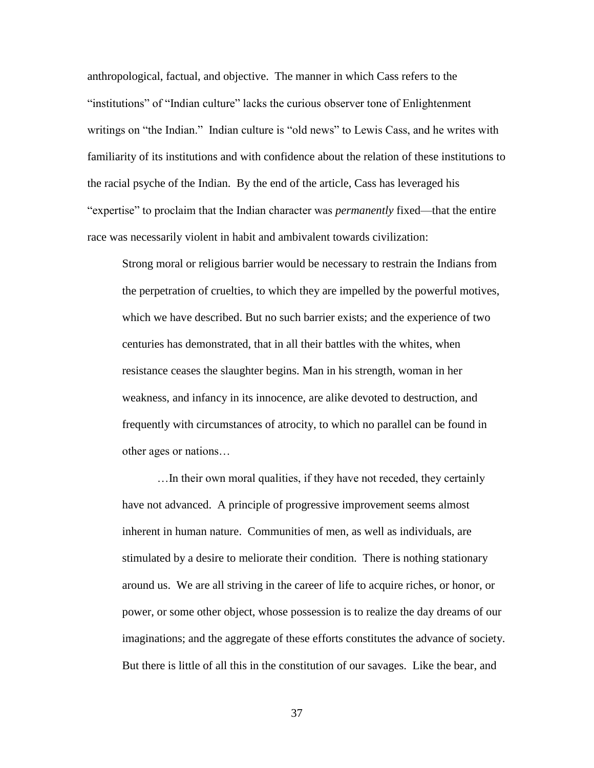anthropological, factual, and objective. The manner in which Cass refers to the "institutions" of "Indian culture" lacks the curious observer tone of Enlightenment writings on "the Indian." Indian culture is "old news" to Lewis Cass, and he writes with familiarity of its institutions and with confidence about the relation of these institutions to the racial psyche of the Indian. By the end of the article, Cass has leveraged his "expertise" to proclaim that the Indian character was *permanently* fixed—that the entire race was necessarily violent in habit and ambivalent towards civilization:

Strong moral or religious barrier would be necessary to restrain the Indians from the perpetration of cruelties, to which they are impelled by the powerful motives, which we have described. But no such barrier exists; and the experience of two centuries has demonstrated, that in all their battles with the whites, when resistance ceases the slaughter begins. Man in his strength, woman in her weakness, and infancy in its innocence, are alike devoted to destruction, and frequently with circumstances of atrocity, to which no parallel can be found in other ages or nations…

…In their own moral qualities, if they have not receded, they certainly have not advanced. A principle of progressive improvement seems almost inherent in human nature. Communities of men, as well as individuals, are stimulated by a desire to meliorate their condition. There is nothing stationary around us. We are all striving in the career of life to acquire riches, or honor, or power, or some other object, whose possession is to realize the day dreams of our imaginations; and the aggregate of these efforts constitutes the advance of society. But there is little of all this in the constitution of our savages. Like the bear, and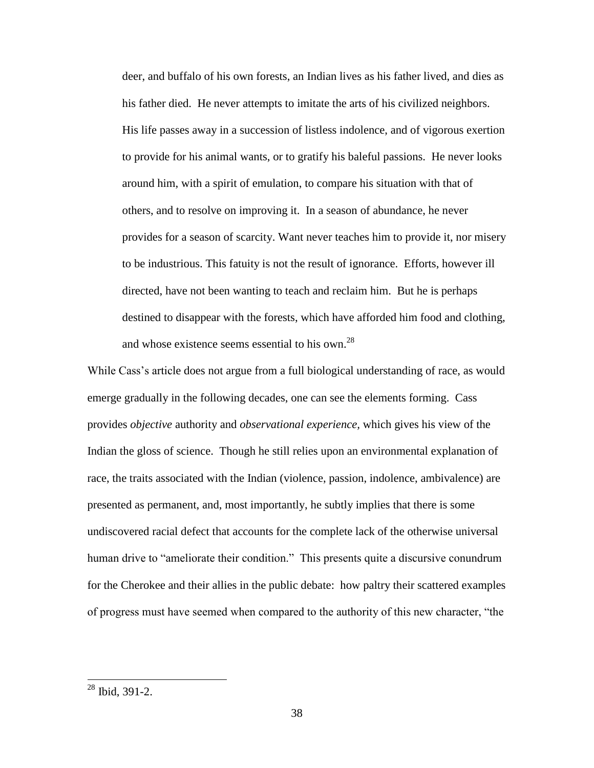deer, and buffalo of his own forests, an Indian lives as his father lived, and dies as his father died. He never attempts to imitate the arts of his civilized neighbors. His life passes away in a succession of listless indolence, and of vigorous exertion to provide for his animal wants, or to gratify his baleful passions. He never looks around him, with a spirit of emulation, to compare his situation with that of others, and to resolve on improving it. In a season of abundance, he never provides for a season of scarcity. Want never teaches him to provide it, nor misery to be industrious. This fatuity is not the result of ignorance. Efforts, however ill directed, have not been wanting to teach and reclaim him. But he is perhaps destined to disappear with the forests, which have afforded him food and clothing, and whose existence seems essential to his own. $^{28}$ 

While Cass's article does not argue from a full biological understanding of race, as would emerge gradually in the following decades, one can see the elements forming. Cass provides *objective* authority and *observational experience,* which gives his view of the Indian the gloss of science. Though he still relies upon an environmental explanation of race, the traits associated with the Indian (violence, passion, indolence, ambivalence) are presented as permanent, and, most importantly, he subtly implies that there is some undiscovered racial defect that accounts for the complete lack of the otherwise universal human drive to "ameliorate their condition." This presents quite a discursive conundrum for the Cherokee and their allies in the public debate: how paltry their scattered examples of progress must have seemed when compared to the authority of this new character, "the

 $28$  Ibid, 391-2.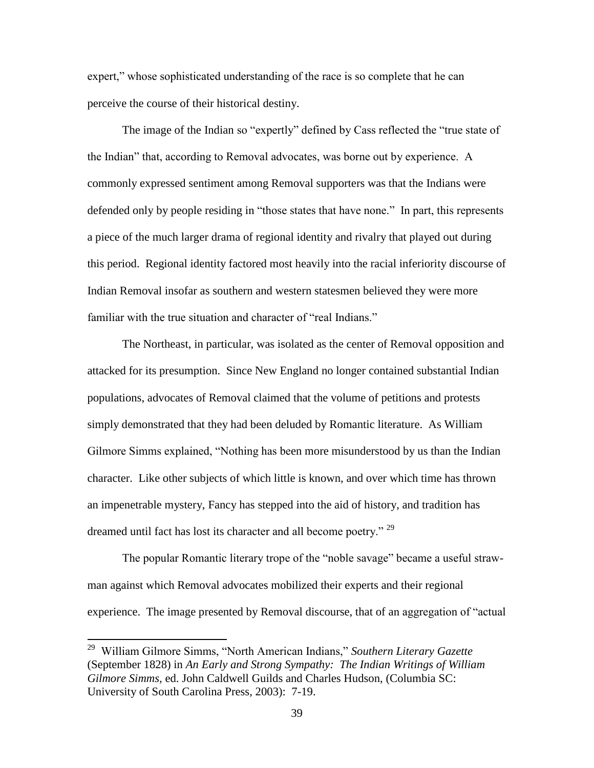expert," whose sophisticated understanding of the race is so complete that he can perceive the course of their historical destiny.

The image of the Indian so "expertly" defined by Cass reflected the "true state of the Indian" that, according to Removal advocates, was borne out by experience. A commonly expressed sentiment among Removal supporters was that the Indians were defended only by people residing in "those states that have none." In part, this represents a piece of the much larger drama of regional identity and rivalry that played out during this period. Regional identity factored most heavily into the racial inferiority discourse of Indian Removal insofar as southern and western statesmen believed they were more familiar with the true situation and character of "real Indians."

The Northeast, in particular, was isolated as the center of Removal opposition and attacked for its presumption. Since New England no longer contained substantial Indian populations, advocates of Removal claimed that the volume of petitions and protests simply demonstrated that they had been deluded by Romantic literature. As William Gilmore Simms explained, "Nothing has been more misunderstood by us than the Indian character. Like other subjects of which little is known, and over which time has thrown an impenetrable mystery, Fancy has stepped into the aid of history, and tradition has dreamed until fact has lost its character and all become poetry."<sup>29</sup>

The popular Romantic literary trope of the "noble savage" became a useful strawman against which Removal advocates mobilized their experts and their regional experience. The image presented by Removal discourse, that of an aggregation of "actual

 $\overline{a}$ 

<sup>29</sup> William Gilmore Simms, "North American Indians," *Southern Literary Gazette*  (September 1828) in *An Early and Strong Sympathy: The Indian Writings of William Gilmore Simms,* ed. John Caldwell Guilds and Charles Hudson, (Columbia SC: University of South Carolina Press, 2003): 7-19.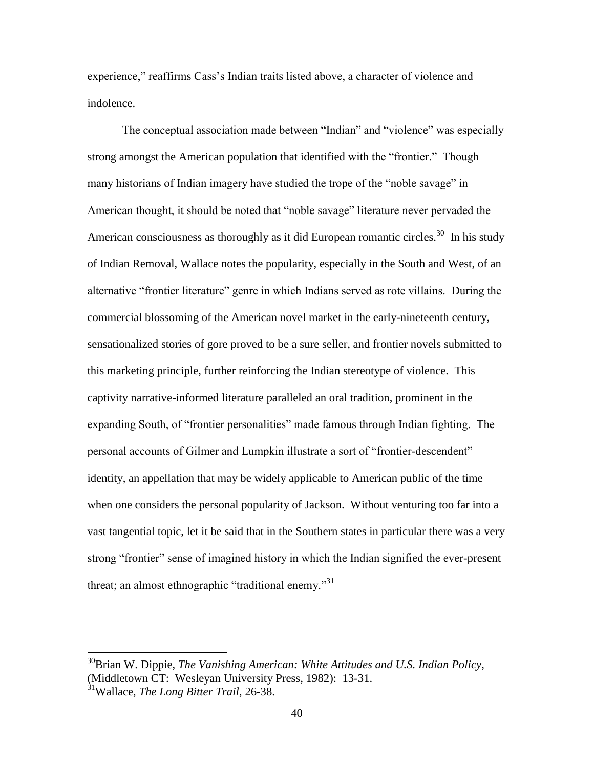experience," reaffirms Cass's Indian traits listed above, a character of violence and indolence.

The conceptual association made between "Indian" and "violence" was especially strong amongst the American population that identified with the "frontier." Though many historians of Indian imagery have studied the trope of the "noble savage" in American thought, it should be noted that "noble savage" literature never pervaded the American consciousness as thoroughly as it did European romantic circles.<sup>30</sup> In his study of Indian Removal, Wallace notes the popularity, especially in the South and West, of an alternative "frontier literature" genre in which Indians served as rote villains. During the commercial blossoming of the American novel market in the early-nineteenth century, sensationalized stories of gore proved to be a sure seller, and frontier novels submitted to this marketing principle, further reinforcing the Indian stereotype of violence. This captivity narrative-informed literature paralleled an oral tradition, prominent in the expanding South, of "frontier personalities" made famous through Indian fighting. The personal accounts of Gilmer and Lumpkin illustrate a sort of "frontier-descendent" identity, an appellation that may be widely applicable to American public of the time when one considers the personal popularity of Jackson. Without venturing too far into a vast tangential topic, let it be said that in the Southern states in particular there was a very strong "frontier" sense of imagined history in which the Indian signified the ever-present threat; an almost ethnographic "traditional enemy."<sup>31</sup>

<sup>30</sup>Brian W. Dippie, *The Vanishing American: White Attitudes and U.S. Indian Policy*, (Middletown CT: Wesleyan University Press, 1982): 13-31.

<sup>31</sup>Wallace, *The Long Bitter Trail*, 26-38.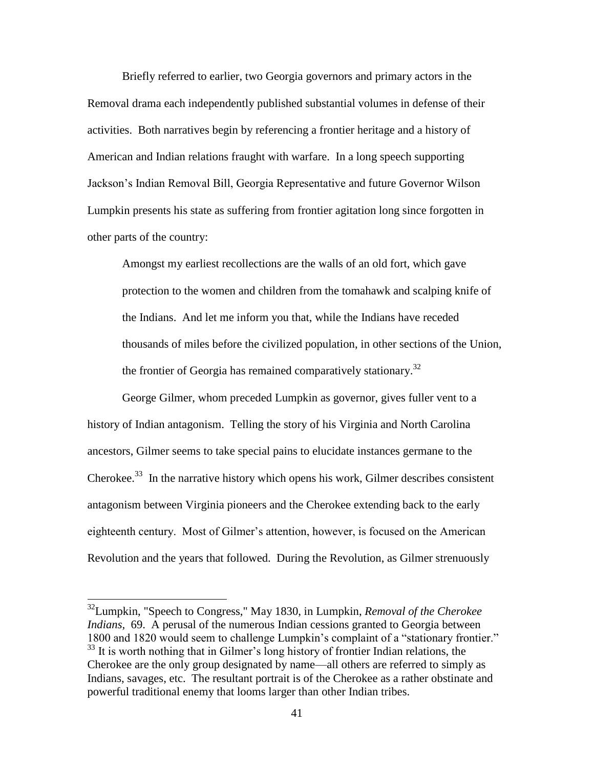Briefly referred to earlier, two Georgia governors and primary actors in the Removal drama each independently published substantial volumes in defense of their activities. Both narratives begin by referencing a frontier heritage and a history of American and Indian relations fraught with warfare. In a long speech supporting Jackson's Indian Removal Bill, Georgia Representative and future Governor Wilson Lumpkin presents his state as suffering from frontier agitation long since forgotten in other parts of the country:

Amongst my earliest recollections are the walls of an old fort, which gave protection to the women and children from the tomahawk and scalping knife of the Indians. And let me inform you that, while the Indians have receded thousands of miles before the civilized population, in other sections of the Union, the frontier of Georgia has remained comparatively stationary.<sup>32</sup>

George Gilmer, whom preceded Lumpkin as governor, gives fuller vent to a history of Indian antagonism. Telling the story of his Virginia and North Carolina ancestors, Gilmer seems to take special pains to elucidate instances germane to the Cherokee.<sup>33</sup> In the narrative history which opens his work, Gilmer describes consistent antagonism between Virginia pioneers and the Cherokee extending back to the early eighteenth century. Most of Gilmer's attention, however, is focused on the American Revolution and the years that followed. During the Revolution, as Gilmer strenuously

<sup>32</sup>Lumpkin, "Speech to Congress," May 1830, in Lumpkin, *Removal of the Cherokee Indians,* 69. A perusal of the numerous Indian cessions granted to Georgia between 1800 and 1820 would seem to challenge Lumpkin's complaint of a "stationary frontier." <sup>33</sup> It is worth nothing that in Gilmer's long history of frontier Indian relations, the Cherokee are the only group designated by name—all others are referred to simply as Indians, savages, etc. The resultant portrait is of the Cherokee as a rather obstinate and powerful traditional enemy that looms larger than other Indian tribes.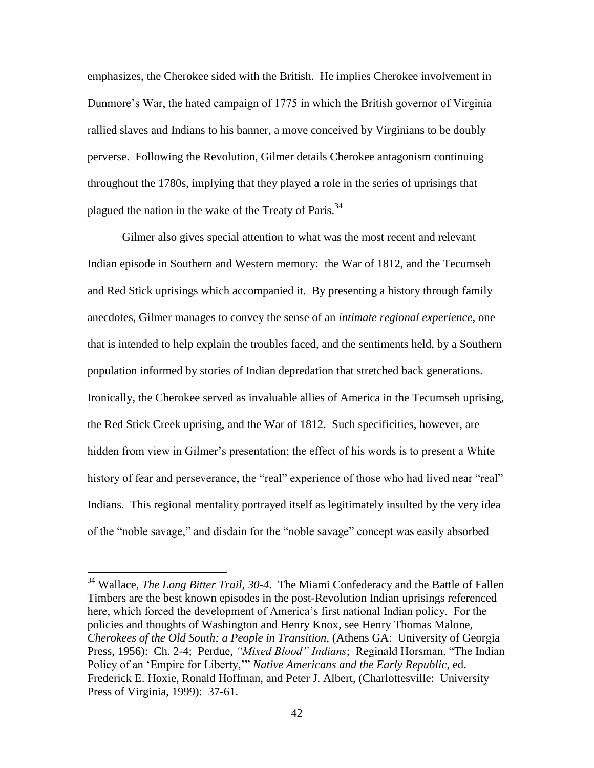emphasizes, the Cherokee sided with the British. He implies Cherokee involvement in Dunmore's War, the hated campaign of 1775 in which the British governor of Virginia rallied slaves and Indians to his banner, a move conceived by Virginians to be doubly perverse. Following the Revolution, Gilmer details Cherokee antagonism continuing throughout the 1780s, implying that they played a role in the series of uprisings that plagued the nation in the wake of the Treaty of Paris.<sup>34</sup>

Gilmer also gives special attention to what was the most recent and relevant Indian episode in Southern and Western memory: the War of 1812, and the Tecumseh and Red Stick uprisings which accompanied it. By presenting a history through family anecdotes, Gilmer manages to convey the sense of an *intimate regional experience*, one that is intended to help explain the troubles faced, and the sentiments held, by a Southern population informed by stories of Indian depredation that stretched back generations. Ironically, the Cherokee served as invaluable allies of America in the Tecumseh uprising, the Red Stick Creek uprising, and the War of 1812. Such specificities, however, are hidden from view in Gilmer's presentation; the effect of his words is to present a White history of fear and perseverance, the "real" experience of those who had lived near "real" Indians. This regional mentality portrayed itself as legitimately insulted by the very idea of the "noble savage," and disdain for the "noble savage" concept was easily absorbed

 $\overline{a}$ 

<sup>34</sup> Wallace, *The Long Bitter Trail, 30-4.* The Miami Confederacy and the Battle of Fallen Timbers are the best known episodes in the post-Revolution Indian uprisings referenced here, which forced the development of America's first national Indian policy. For the policies and thoughts of Washington and Henry Knox, see Henry Thomas Malone, *Cherokees of the Old South; a People in Transition,* (Athens GA: University of Georgia Press, 1956): Ch. 2-4; Perdue, *"Mixed Blood" Indians*; Reginald Horsman, "The Indian Policy of an 'Empire for Liberty,'" *Native Americans and the Early Republic*, ed. Frederick E. Hoxie, Ronald Hoffman, and Peter J. Albert, (Charlottesville: University Press of Virginia, 1999): 37-61.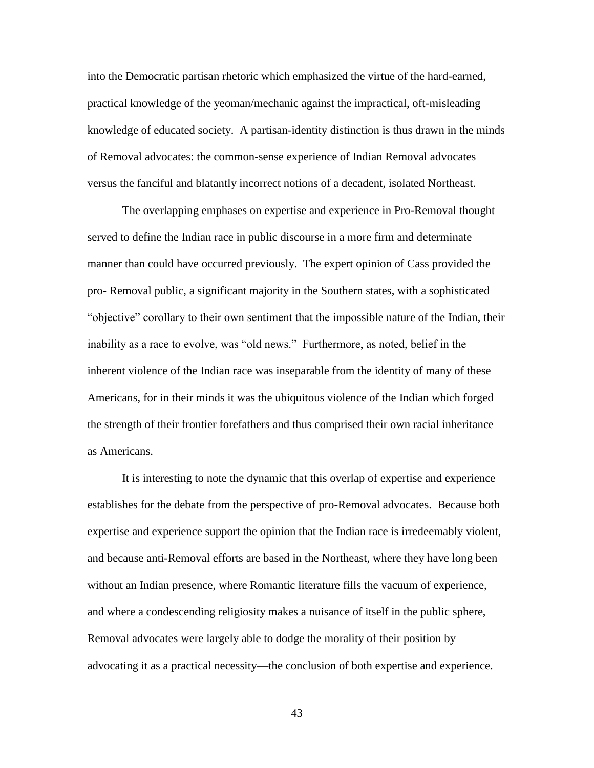into the Democratic partisan rhetoric which emphasized the virtue of the hard-earned, practical knowledge of the yeoman/mechanic against the impractical, oft-misleading knowledge of educated society. A partisan-identity distinction is thus drawn in the minds of Removal advocates: the common-sense experience of Indian Removal advocates versus the fanciful and blatantly incorrect notions of a decadent, isolated Northeast.

The overlapping emphases on expertise and experience in Pro-Removal thought served to define the Indian race in public discourse in a more firm and determinate manner than could have occurred previously. The expert opinion of Cass provided the pro- Removal public, a significant majority in the Southern states, with a sophisticated "objective" corollary to their own sentiment that the impossible nature of the Indian, their inability as a race to evolve, was "old news." Furthermore, as noted, belief in the inherent violence of the Indian race was inseparable from the identity of many of these Americans, for in their minds it was the ubiquitous violence of the Indian which forged the strength of their frontier forefathers and thus comprised their own racial inheritance as Americans.

It is interesting to note the dynamic that this overlap of expertise and experience establishes for the debate from the perspective of pro-Removal advocates. Because both expertise and experience support the opinion that the Indian race is irredeemably violent, and because anti-Removal efforts are based in the Northeast, where they have long been without an Indian presence, where Romantic literature fills the vacuum of experience, and where a condescending religiosity makes a nuisance of itself in the public sphere, Removal advocates were largely able to dodge the morality of their position by advocating it as a practical necessity—the conclusion of both expertise and experience.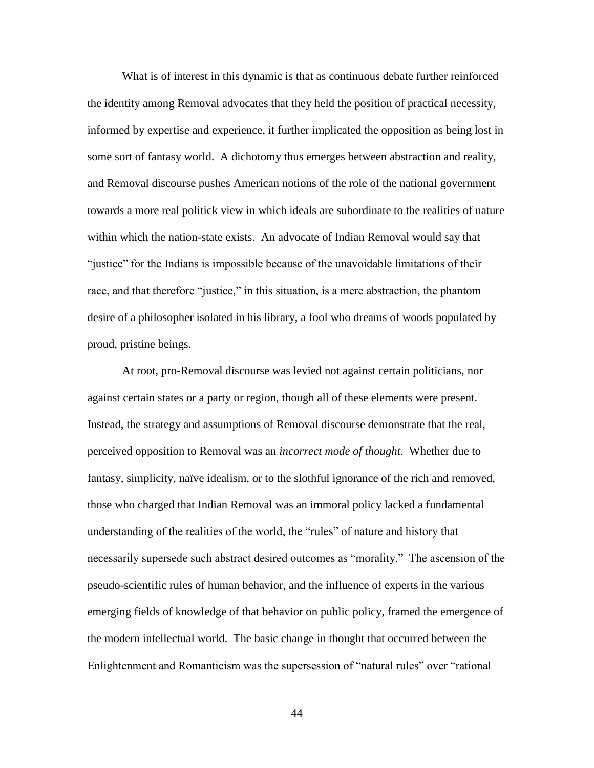What is of interest in this dynamic is that as continuous debate further reinforced the identity among Removal advocates that they held the position of practical necessity, informed by expertise and experience, it further implicated the opposition as being lost in some sort of fantasy world. A dichotomy thus emerges between abstraction and reality, and Removal discourse pushes American notions of the role of the national government towards a more real politick view in which ideals are subordinate to the realities of nature within which the nation-state exists. An advocate of Indian Removal would say that "justice" for the Indians is impossible because of the unavoidable limitations of their race, and that therefore "justice," in this situation, is a mere abstraction, the phantom desire of a philosopher isolated in his library, a fool who dreams of woods populated by proud, pristine beings.

At root, pro-Removal discourse was levied not against certain politicians, nor against certain states or a party or region, though all of these elements were present. Instead, the strategy and assumptions of Removal discourse demonstrate that the real, perceived opposition to Removal was an *incorrect mode of thought*. Whether due to fantasy, simplicity, naïve idealism, or to the slothful ignorance of the rich and removed, those who charged that Indian Removal was an immoral policy lacked a fundamental understanding of the realities of the world, the "rules" of nature and history that necessarily supersede such abstract desired outcomes as "morality." The ascension of the pseudo-scientific rules of human behavior, and the influence of experts in the various emerging fields of knowledge of that behavior on public policy, framed the emergence of the modern intellectual world. The basic change in thought that occurred between the Enlightenment and Romanticism was the supersession of "natural rules" over "rational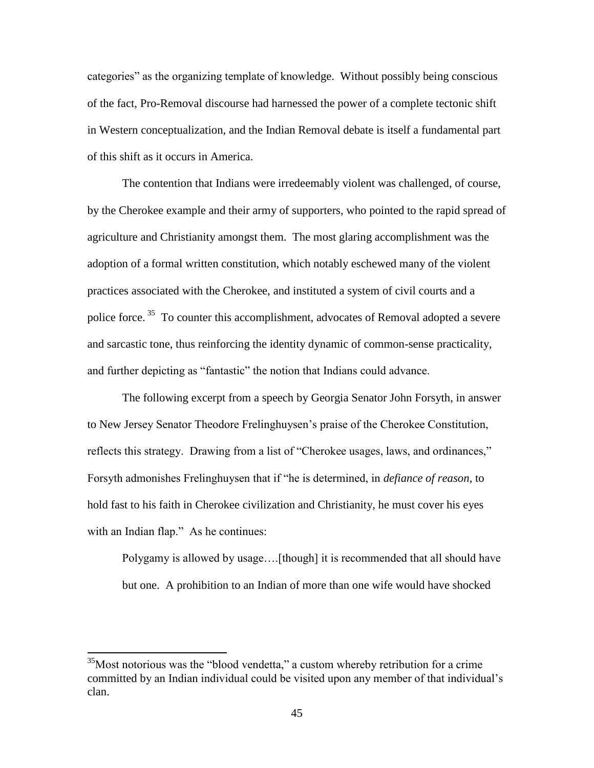categories" as the organizing template of knowledge. Without possibly being conscious of the fact, Pro-Removal discourse had harnessed the power of a complete tectonic shift in Western conceptualization, and the Indian Removal debate is itself a fundamental part of this shift as it occurs in America.

The contention that Indians were irredeemably violent was challenged, of course, by the Cherokee example and their army of supporters, who pointed to the rapid spread of agriculture and Christianity amongst them. The most glaring accomplishment was the adoption of a formal written constitution, which notably eschewed many of the violent practices associated with the Cherokee, and instituted a system of civil courts and a police force.<sup>35</sup> To counter this accomplishment, advocates of Removal adopted a severe and sarcastic tone, thus reinforcing the identity dynamic of common-sense practicality, and further depicting as "fantastic" the notion that Indians could advance.

The following excerpt from a speech by Georgia Senator John Forsyth, in answer to New Jersey Senator Theodore Frelinghuysen's praise of the Cherokee Constitution, reflects this strategy. Drawing from a list of "Cherokee usages, laws, and ordinances," Forsyth admonishes Frelinghuysen that if "he is determined, in *defiance of reason*, to hold fast to his faith in Cherokee civilization and Christianity, he must cover his eyes with an Indian flap." As he continues:

Polygamy is allowed by usage….[though] it is recommended that all should have but one. A prohibition to an Indian of more than one wife would have shocked

<sup>&</sup>lt;sup>35</sup>Most notorious was the "blood vendetta," a custom whereby retribution for a crime committed by an Indian individual could be visited upon any member of that individual's clan.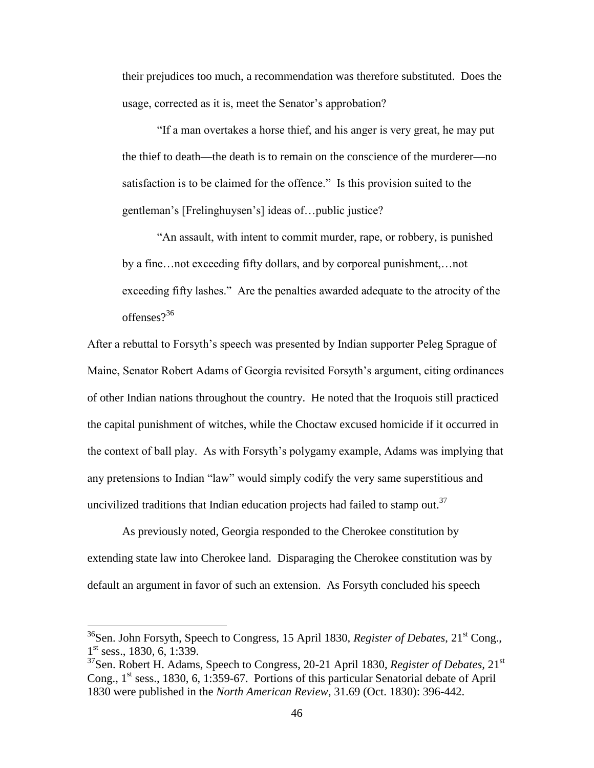their prejudices too much, a recommendation was therefore substituted. Does the usage, corrected as it is, meet the Senator's approbation?

"If a man overtakes a horse thief, and his anger is very great, he may put the thief to death—the death is to remain on the conscience of the murderer—no satisfaction is to be claimed for the offence." Is this provision suited to the gentleman's [Frelinghuysen's] ideas of…public justice?

"An assault, with intent to commit murder, rape, or robbery, is punished by a fine…not exceeding fifty dollars, and by corporeal punishment,…not exceeding fifty lashes." Are the penalties awarded adequate to the atrocity of the offenses?<sup>36</sup>

After a rebuttal to Forsyth's speech was presented by Indian supporter Peleg Sprague of Maine, Senator Robert Adams of Georgia revisited Forsyth's argument, citing ordinances of other Indian nations throughout the country. He noted that the Iroquois still practiced the capital punishment of witches, while the Choctaw excused homicide if it occurred in the context of ball play. As with Forsyth's polygamy example, Adams was implying that any pretensions to Indian "law" would simply codify the very same superstitious and uncivilized traditions that Indian education projects had failed to stamp out.<sup>37</sup>

As previously noted, Georgia responded to the Cherokee constitution by extending state law into Cherokee land. Disparaging the Cherokee constitution was by default an argument in favor of such an extension. As Forsyth concluded his speech

l

<sup>&</sup>lt;sup>36</sup>Sen. John Forsyth, Speech to Congress, 15 April 1830, *Register of Debates*, 21<sup>st</sup> Cong., 1<sup>st</sup> sess., 1830, 6, 1:339.

<sup>37</sup>Sen. Robert H. Adams, Speech to Congress, 20-21 April 1830, *Register of Debates,* 21st Cong.,  $1<sup>st</sup>$  sess., 1830, 6, 1:359-67. Portions of this particular Senatorial debate of April 1830 were published in the *North American Review*, 31.69 (Oct. 1830): 396-442.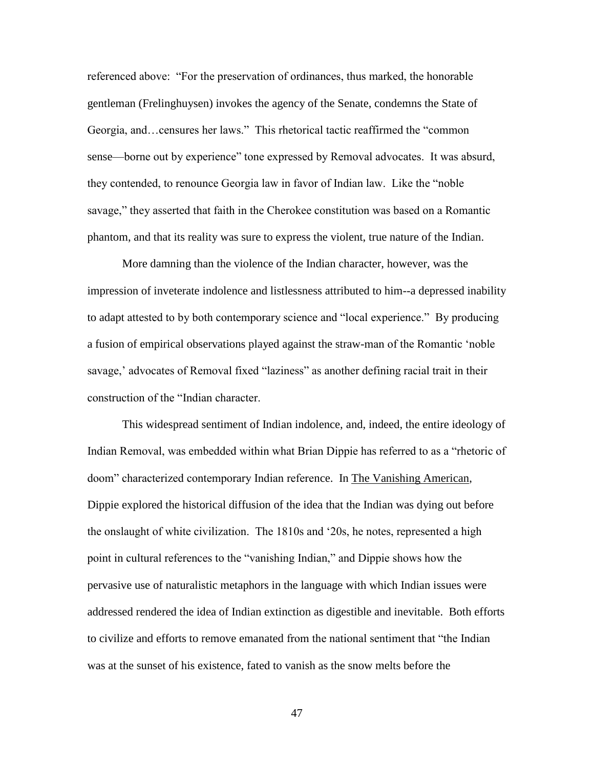referenced above: "For the preservation of ordinances, thus marked, the honorable gentleman (Frelinghuysen) invokes the agency of the Senate, condemns the State of Georgia, and…censures her laws." This rhetorical tactic reaffirmed the "common sense—borne out by experience" tone expressed by Removal advocates. It was absurd, they contended, to renounce Georgia law in favor of Indian law. Like the "noble savage," they asserted that faith in the Cherokee constitution was based on a Romantic phantom, and that its reality was sure to express the violent, true nature of the Indian.

More damning than the violence of the Indian character, however, was the impression of inveterate indolence and listlessness attributed to him--a depressed inability to adapt attested to by both contemporary science and "local experience." By producing a fusion of empirical observations played against the straw-man of the Romantic 'noble savage,' advocates of Removal fixed "laziness" as another defining racial trait in their construction of the "Indian character.

This widespread sentiment of Indian indolence, and, indeed, the entire ideology of Indian Removal, was embedded within what Brian Dippie has referred to as a "rhetoric of doom" characterized contemporary Indian reference. In The Vanishing American, Dippie explored the historical diffusion of the idea that the Indian was dying out before the onslaught of white civilization. The 1810s and '20s, he notes, represented a high point in cultural references to the "vanishing Indian," and Dippie shows how the pervasive use of naturalistic metaphors in the language with which Indian issues were addressed rendered the idea of Indian extinction as digestible and inevitable. Both efforts to civilize and efforts to remove emanated from the national sentiment that "the Indian was at the sunset of his existence, fated to vanish as the snow melts before the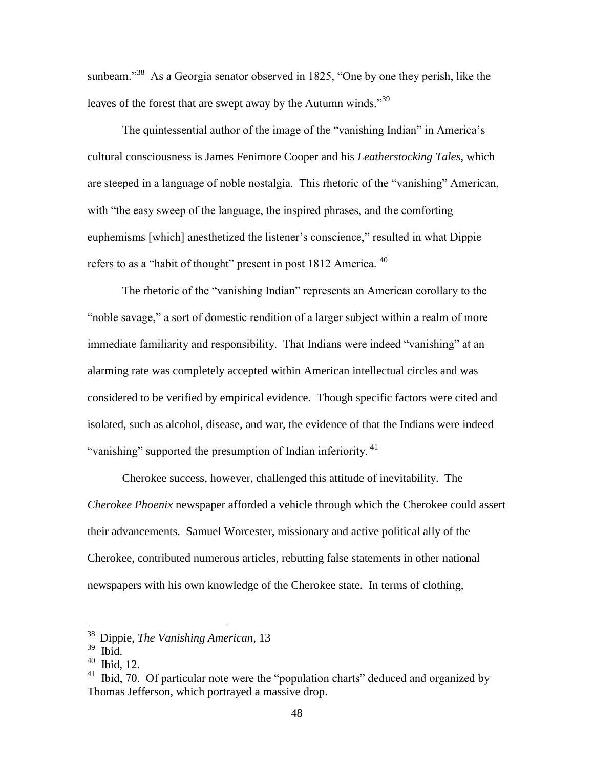sunbeam."<sup>38</sup> As a Georgia senator observed in 1825, "One by one they perish, like the leaves of the forest that are swept away by the Autumn winds."<sup>39</sup>

The quintessential author of the image of the "vanishing Indian" in America's cultural consciousness is James Fenimore Cooper and his *Leatherstocking Tales*, which are steeped in a language of noble nostalgia. This rhetoric of the "vanishing" American, with "the easy sweep of the language, the inspired phrases, and the comforting euphemisms [which] anesthetized the listener's conscience," resulted in what Dippie refers to as a "habit of thought" present in post  $1812$  America.  $40$ 

The rhetoric of the "vanishing Indian" represents an American corollary to the "noble savage," a sort of domestic rendition of a larger subject within a realm of more immediate familiarity and responsibility. That Indians were indeed "vanishing" at an alarming rate was completely accepted within American intellectual circles and was considered to be verified by empirical evidence. Though specific factors were cited and isolated, such as alcohol, disease, and war, the evidence of that the Indians were indeed "vanishing" supported the presumption of Indian inferiority.<sup>41</sup>

Cherokee success, however, challenged this attitude of inevitability. The *Cherokee Phoenix* newspaper afforded a vehicle through which the Cherokee could assert their advancements. Samuel Worcester, missionary and active political ally of the Cherokee, contributed numerous articles, rebutting false statements in other national newspapers with his own knowledge of the Cherokee state. In terms of clothing,

l

<sup>38</sup> Dippie, *The Vanishing American,* 13

 $39$  Ibid.

<sup>40</sup> Ibid, 12.

 $41$  Ibid, 70. Of particular note were the "population charts" deduced and organized by Thomas Jefferson, which portrayed a massive drop.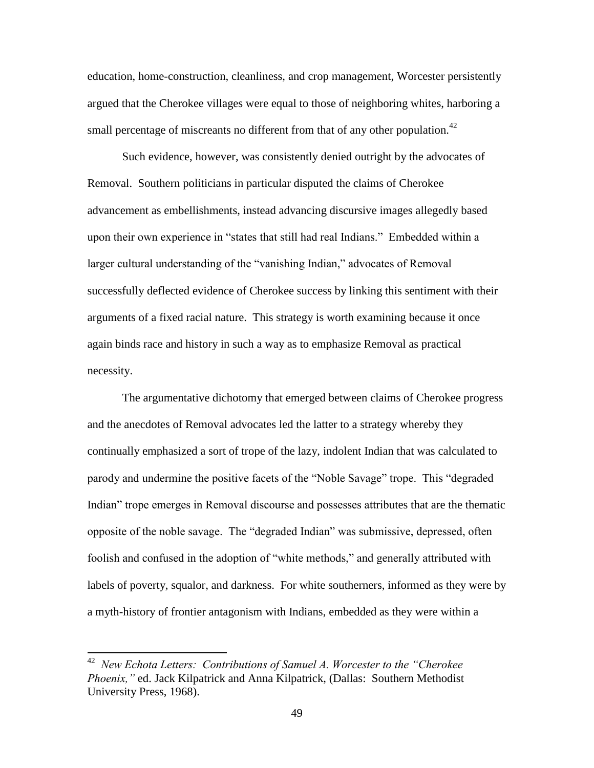education, home-construction, cleanliness, and crop management, Worcester persistently argued that the Cherokee villages were equal to those of neighboring whites, harboring a small percentage of miscreants no different from that of any other population.<sup>42</sup>

Such evidence, however, was consistently denied outright by the advocates of Removal. Southern politicians in particular disputed the claims of Cherokee advancement as embellishments, instead advancing discursive images allegedly based upon their own experience in "states that still had real Indians." Embedded within a larger cultural understanding of the "vanishing Indian," advocates of Removal successfully deflected evidence of Cherokee success by linking this sentiment with their arguments of a fixed racial nature. This strategy is worth examining because it once again binds race and history in such a way as to emphasize Removal as practical necessity.

The argumentative dichotomy that emerged between claims of Cherokee progress and the anecdotes of Removal advocates led the latter to a strategy whereby they continually emphasized a sort of trope of the lazy, indolent Indian that was calculated to parody and undermine the positive facets of the "Noble Savage" trope. This "degraded Indian" trope emerges in Removal discourse and possesses attributes that are the thematic opposite of the noble savage. The "degraded Indian" was submissive, depressed, often foolish and confused in the adoption of "white methods," and generally attributed with labels of poverty, squalor, and darkness. For white southerners, informed as they were by a myth-history of frontier antagonism with Indians, embedded as they were within a

<sup>42</sup> *New Echota Letters: Contributions of Samuel A. Worcester to the "Cherokee Phoenix,"* ed. Jack Kilpatrick and Anna Kilpatrick, (Dallas: Southern Methodist University Press, 1968).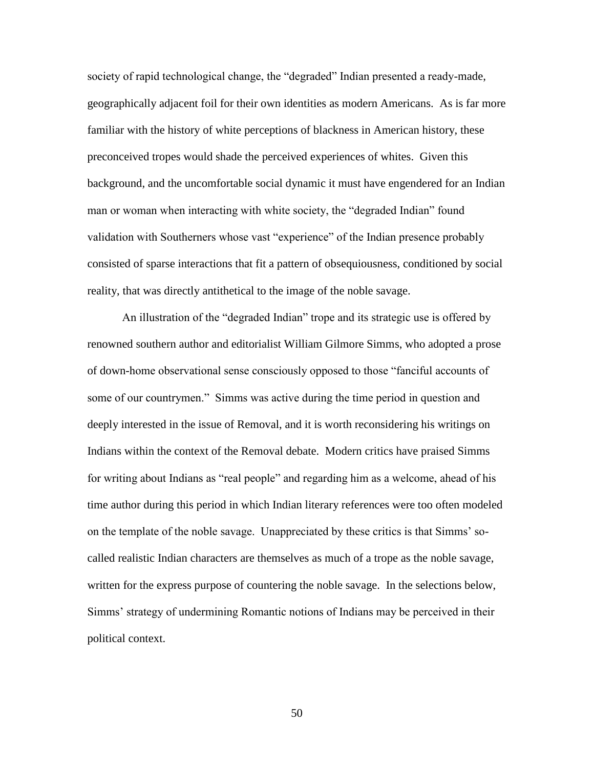society of rapid technological change, the "degraded" Indian presented a ready-made, geographically adjacent foil for their own identities as modern Americans. As is far more familiar with the history of white perceptions of blackness in American history, these preconceived tropes would shade the perceived experiences of whites. Given this background, and the uncomfortable social dynamic it must have engendered for an Indian man or woman when interacting with white society, the "degraded Indian" found validation with Southerners whose vast "experience" of the Indian presence probably consisted of sparse interactions that fit a pattern of obsequiousness, conditioned by social reality, that was directly antithetical to the image of the noble savage.

An illustration of the "degraded Indian" trope and its strategic use is offered by renowned southern author and editorialist William Gilmore Simms, who adopted a prose of down-home observational sense consciously opposed to those "fanciful accounts of some of our countrymen." Simms was active during the time period in question and deeply interested in the issue of Removal, and it is worth reconsidering his writings on Indians within the context of the Removal debate. Modern critics have praised Simms for writing about Indians as "real people" and regarding him as a welcome, ahead of his time author during this period in which Indian literary references were too often modeled on the template of the noble savage. Unappreciated by these critics is that Simms' socalled realistic Indian characters are themselves as much of a trope as the noble savage, written for the express purpose of countering the noble savage. In the selections below, Simms' strategy of undermining Romantic notions of Indians may be perceived in their political context.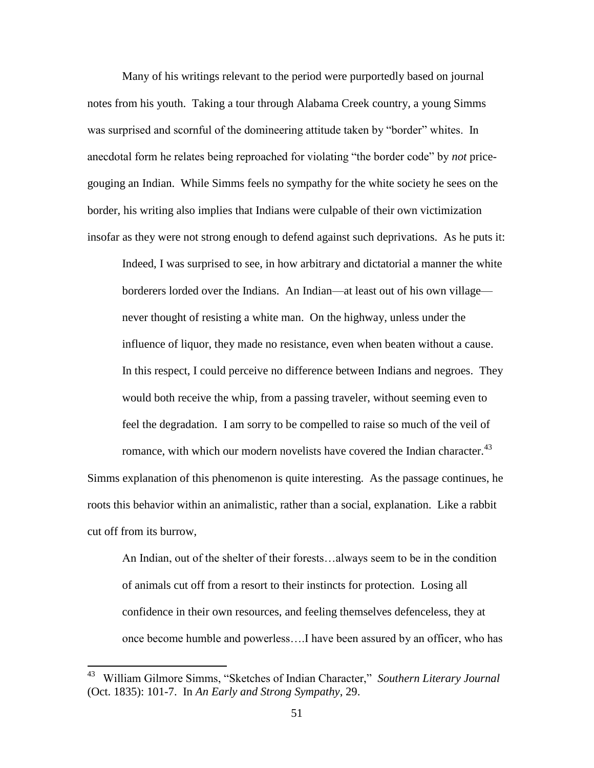Many of his writings relevant to the period were purportedly based on journal notes from his youth. Taking a tour through Alabama Creek country, a young Simms was surprised and scornful of the domineering attitude taken by "border" whites. In anecdotal form he relates being reproached for violating "the border code" by *not* pricegouging an Indian. While Simms feels no sympathy for the white society he sees on the border, his writing also implies that Indians were culpable of their own victimization insofar as they were not strong enough to defend against such deprivations. As he puts it:

Indeed, I was surprised to see, in how arbitrary and dictatorial a manner the white borderers lorded over the Indians. An Indian—at least out of his own village never thought of resisting a white man. On the highway, unless under the influence of liquor, they made no resistance, even when beaten without a cause. In this respect, I could perceive no difference between Indians and negroes. They would both receive the whip, from a passing traveler, without seeming even to feel the degradation. I am sorry to be compelled to raise so much of the veil of

Simms explanation of this phenomenon is quite interesting. As the passage continues, he roots this behavior within an animalistic, rather than a social, explanation. Like a rabbit cut off from its burrow,

romance, with which our modern novelists have covered the Indian character.<sup>43</sup>

An Indian, out of the shelter of their forests…always seem to be in the condition of animals cut off from a resort to their instincts for protection. Losing all confidence in their own resources, and feeling themselves defenceless, they at once become humble and powerless….I have been assured by an officer, who has

 43 William Gilmore Simms, "Sketches of Indian Character," *Southern Literary Journal*  (Oct. 1835): 101-7. In *An Early and Strong Sympathy*, 29.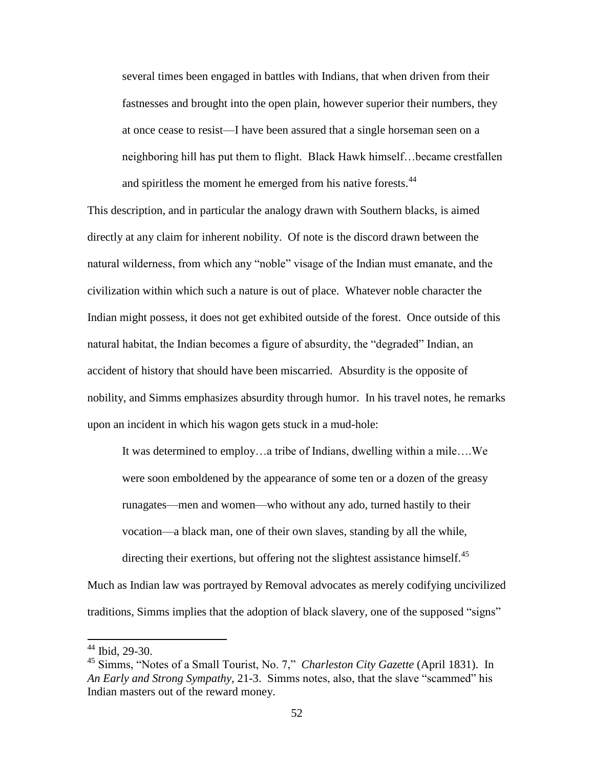several times been engaged in battles with Indians, that when driven from their fastnesses and brought into the open plain, however superior their numbers, they at once cease to resist—I have been assured that a single horseman seen on a neighboring hill has put them to flight. Black Hawk himself…became crestfallen and spiritless the moment he emerged from his native forests.<sup>44</sup>

This description, and in particular the analogy drawn with Southern blacks, is aimed directly at any claim for inherent nobility. Of note is the discord drawn between the natural wilderness, from which any "noble" visage of the Indian must emanate, and the civilization within which such a nature is out of place. Whatever noble character the Indian might possess, it does not get exhibited outside of the forest. Once outside of this natural habitat, the Indian becomes a figure of absurdity, the "degraded" Indian, an accident of history that should have been miscarried. Absurdity is the opposite of nobility, and Simms emphasizes absurdity through humor. In his travel notes, he remarks upon an incident in which his wagon gets stuck in a mud-hole:

It was determined to employ…a tribe of Indians, dwelling within a mile….We were soon emboldened by the appearance of some ten or a dozen of the greasy runagates—men and women—who without any ado, turned hastily to their vocation—a black man, one of their own slaves, standing by all the while, directing their exertions, but offering not the slightest assistance himself.<sup>45</sup>

Much as Indian law was portrayed by Removal advocates as merely codifying uncivilized traditions, Simms implies that the adoption of black slavery, one of the supposed "signs"

 $\overline{a}$ 

<sup>44</sup> Ibid, 29-30.

<sup>45</sup> Simms, "Notes of a Small Tourist, No. 7," *Charleston City Gazette* (April 1831). In *An Early and Strong Sympathy,* 21-3. Simms notes, also, that the slave "scammed" his Indian masters out of the reward money.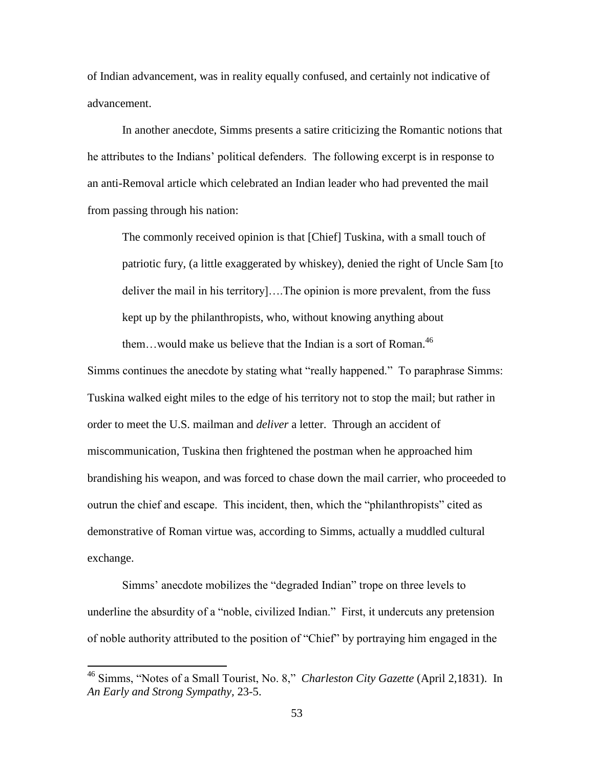of Indian advancement, was in reality equally confused, and certainly not indicative of advancement.

In another anecdote, Simms presents a satire criticizing the Romantic notions that he attributes to the Indians' political defenders. The following excerpt is in response to an anti-Removal article which celebrated an Indian leader who had prevented the mail from passing through his nation:

The commonly received opinion is that [Chief] Tuskina, with a small touch of patriotic fury, (a little exaggerated by whiskey), denied the right of Uncle Sam [to deliver the mail in his territory]….The opinion is more prevalent, from the fuss kept up by the philanthropists, who, without knowing anything about them...would make us believe that the Indian is a sort of Roman.<sup>46</sup>

Simms continues the anecdote by stating what "really happened." To paraphrase Simms: Tuskina walked eight miles to the edge of his territory not to stop the mail; but rather in order to meet the U.S. mailman and *deliver* a letter. Through an accident of miscommunication, Tuskina then frightened the postman when he approached him brandishing his weapon, and was forced to chase down the mail carrier, who proceeded to outrun the chief and escape. This incident, then, which the "philanthropists" cited as demonstrative of Roman virtue was, according to Simms, actually a muddled cultural exchange.

Simms' anecdote mobilizes the "degraded Indian" trope on three levels to underline the absurdity of a "noble, civilized Indian." First, it undercuts any pretension of noble authority attributed to the position of "Chief" by portraying him engaged in the

<sup>46</sup> Simms, "Notes of a Small Tourist, No. 8," *Charleston City Gazette* (April 2,1831). In *An Early and Strong Sympathy,* 23-5.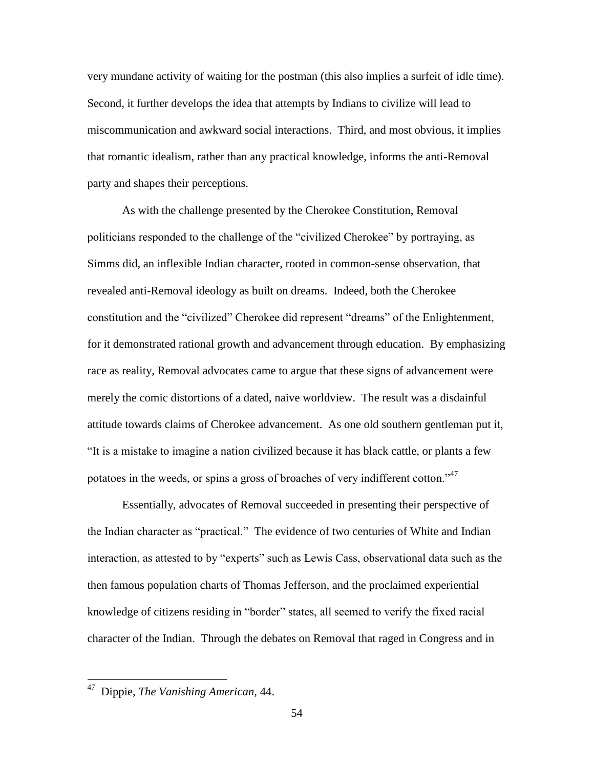very mundane activity of waiting for the postman (this also implies a surfeit of idle time). Second, it further develops the idea that attempts by Indians to civilize will lead to miscommunication and awkward social interactions. Third, and most obvious, it implies that romantic idealism, rather than any practical knowledge, informs the anti-Removal party and shapes their perceptions.

As with the challenge presented by the Cherokee Constitution, Removal politicians responded to the challenge of the "civilized Cherokee" by portraying, as Simms did, an inflexible Indian character, rooted in common-sense observation, that revealed anti-Removal ideology as built on dreams. Indeed, both the Cherokee constitution and the "civilized" Cherokee did represent "dreams" of the Enlightenment, for it demonstrated rational growth and advancement through education. By emphasizing race as reality, Removal advocates came to argue that these signs of advancement were merely the comic distortions of a dated, naive worldview. The result was a disdainful attitude towards claims of Cherokee advancement. As one old southern gentleman put it, "It is a mistake to imagine a nation civilized because it has black cattle, or plants a few potatoes in the weeds, or spins a gross of broaches of very indifferent cotton."<sup>47</sup>

Essentially, advocates of Removal succeeded in presenting their perspective of the Indian character as "practical." The evidence of two centuries of White and Indian interaction, as attested to by "experts" such as Lewis Cass, observational data such as the then famous population charts of Thomas Jefferson, and the proclaimed experiential knowledge of citizens residing in "border" states, all seemed to verify the fixed racial character of the Indian. Through the debates on Removal that raged in Congress and in

 47 Dippie, *The Vanishing American,* 44.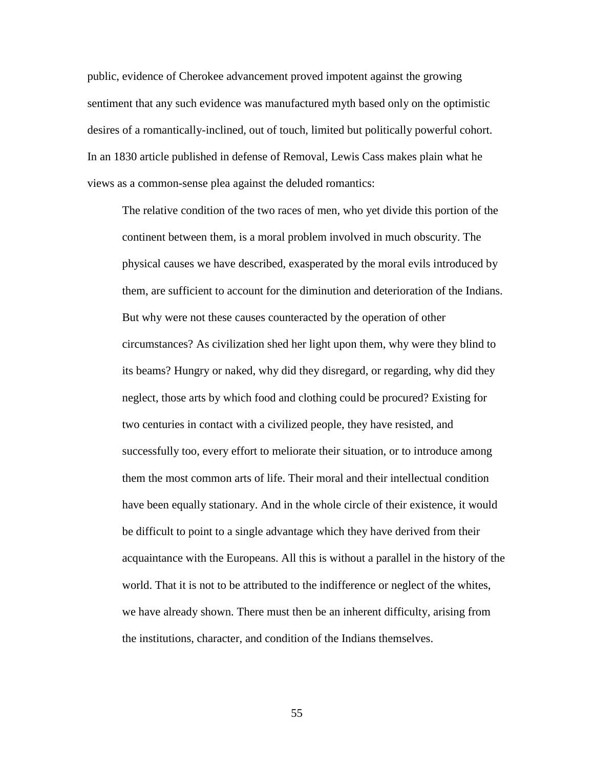public, evidence of Cherokee advancement proved impotent against the growing sentiment that any such evidence was manufactured myth based only on the optimistic desires of a romantically-inclined, out of touch, limited but politically powerful cohort. In an 1830 article published in defense of Removal, Lewis Cass makes plain what he views as a common-sense plea against the deluded romantics:

The relative condition of the two races of men, who yet divide this portion of the continent between them, is a moral problem involved in much obscurity. The physical causes we have described, exasperated by the moral evils introduced by them, are sufficient to account for the diminution and deterioration of the Indians. But why were not these causes counteracted by the operation of other circumstances? As civilization shed her light upon them, why were they blind to its beams? Hungry or naked, why did they disregard, or regarding, why did they neglect, those arts by which food and clothing could be procured? Existing for two centuries in contact with a civilized people, they have resisted, and successfully too, every effort to meliorate their situation, or to introduce among them the most common arts of life. Their moral and their intellectual condition have been equally stationary. And in the whole circle of their existence, it would be difficult to point to a single advantage which they have derived from their acquaintance with the Europeans. All this is without a parallel in the history of the world. That it is not to be attributed to the indifference or neglect of the whites, we have already shown. There must then be an inherent difficulty, arising from the institutions, character, and condition of the Indians themselves.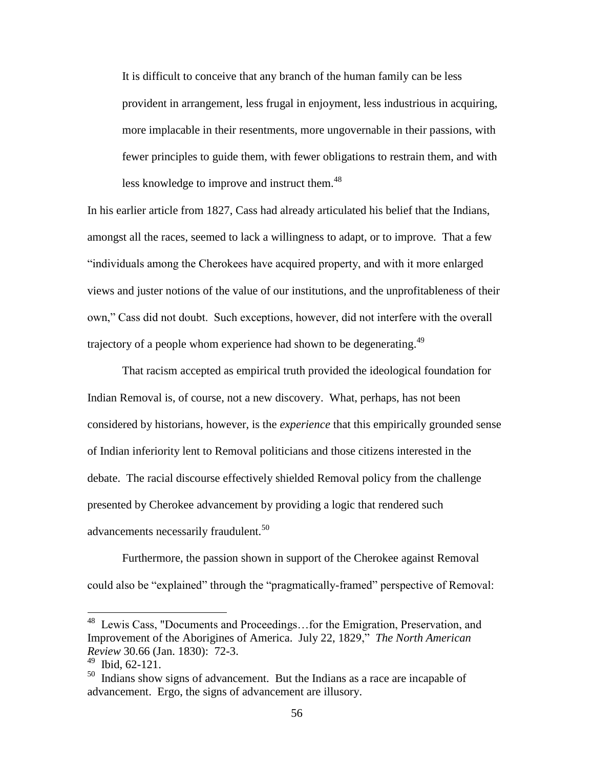It is difficult to conceive that any branch of the human family can be less provident in arrangement, less frugal in enjoyment, less industrious in acquiring, more implacable in their resentments, more ungovernable in their passions, with fewer principles to guide them, with fewer obligations to restrain them, and with less knowledge to improve and instruct them.<sup>48</sup>

In his earlier article from 1827, Cass had already articulated his belief that the Indians, amongst all the races, seemed to lack a willingness to adapt, or to improve. That a few "individuals among the Cherokees have acquired property, and with it more enlarged views and juster notions of the value of our institutions, and the unprofitableness of their own," Cass did not doubt. Such exceptions, however, did not interfere with the overall trajectory of a people whom experience had shown to be degenerating.<sup>49</sup>

That racism accepted as empirical truth provided the ideological foundation for Indian Removal is, of course, not a new discovery. What, perhaps, has not been considered by historians, however, is the *experience* that this empirically grounded sense of Indian inferiority lent to Removal politicians and those citizens interested in the debate. The racial discourse effectively shielded Removal policy from the challenge presented by Cherokee advancement by providing a logic that rendered such advancements necessarily fraudulent.<sup>50</sup>

Furthermore, the passion shown in support of the Cherokee against Removal could also be "explained" through the "pragmatically-framed" perspective of Removal:

 48 Lewis Cass, "Documents and Proceedings…for the Emigration, Preservation, and Improvement of the Aborigines of America. July 22, 1829," *The North American Review* 30.66 (Jan. 1830): 72-3.

 $49$  Ibid, 62-121.

 $50$  Indians show signs of advancement. But the Indians as a race are incapable of advancement. Ergo, the signs of advancement are illusory.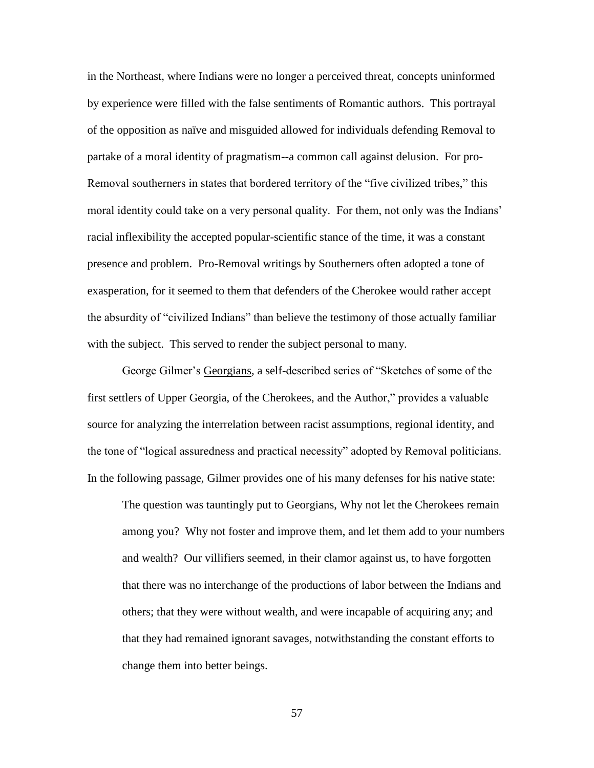in the Northeast, where Indians were no longer a perceived threat, concepts uninformed by experience were filled with the false sentiments of Romantic authors. This portrayal of the opposition as naïve and misguided allowed for individuals defending Removal to partake of a moral identity of pragmatism--a common call against delusion. For pro-Removal southerners in states that bordered territory of the "five civilized tribes," this moral identity could take on a very personal quality. For them, not only was the Indians' racial inflexibility the accepted popular-scientific stance of the time, it was a constant presence and problem. Pro-Removal writings by Southerners often adopted a tone of exasperation, for it seemed to them that defenders of the Cherokee would rather accept the absurdity of "civilized Indians" than believe the testimony of those actually familiar with the subject. This served to render the subject personal to many.

George Gilmer's Georgians, a self-described series of "Sketches of some of the first settlers of Upper Georgia, of the Cherokees, and the Author," provides a valuable source for analyzing the interrelation between racist assumptions, regional identity, and the tone of "logical assuredness and practical necessity" adopted by Removal politicians. In the following passage, Gilmer provides one of his many defenses for his native state:

The question was tauntingly put to Georgians, Why not let the Cherokees remain among you? Why not foster and improve them, and let them add to your numbers and wealth? Our villifiers seemed, in their clamor against us, to have forgotten that there was no interchange of the productions of labor between the Indians and others; that they were without wealth, and were incapable of acquiring any; and that they had remained ignorant savages, notwithstanding the constant efforts to change them into better beings.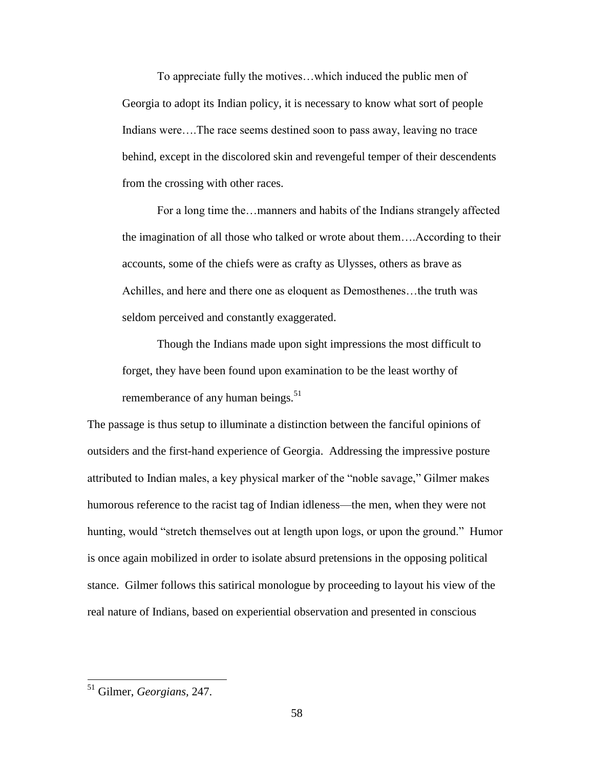To appreciate fully the motives…which induced the public men of Georgia to adopt its Indian policy, it is necessary to know what sort of people Indians were….The race seems destined soon to pass away, leaving no trace behind, except in the discolored skin and revengeful temper of their descendents from the crossing with other races.

For a long time the…manners and habits of the Indians strangely affected the imagination of all those who talked or wrote about them….According to their accounts, some of the chiefs were as crafty as Ulysses, others as brave as Achilles, and here and there one as eloquent as Demosthenes…the truth was seldom perceived and constantly exaggerated.

Though the Indians made upon sight impressions the most difficult to forget, they have been found upon examination to be the least worthy of rememberance of any human beings. $51$ 

The passage is thus setup to illuminate a distinction between the fanciful opinions of outsiders and the first-hand experience of Georgia. Addressing the impressive posture attributed to Indian males, a key physical marker of the "noble savage," Gilmer makes humorous reference to the racist tag of Indian idleness—the men, when they were not hunting, would "stretch themselves out at length upon logs, or upon the ground." Humor is once again mobilized in order to isolate absurd pretensions in the opposing political stance. Gilmer follows this satirical monologue by proceeding to layout his view of the real nature of Indians, based on experiential observation and presented in conscious

<sup>51</sup> Gilmer, *Georgians,* 247.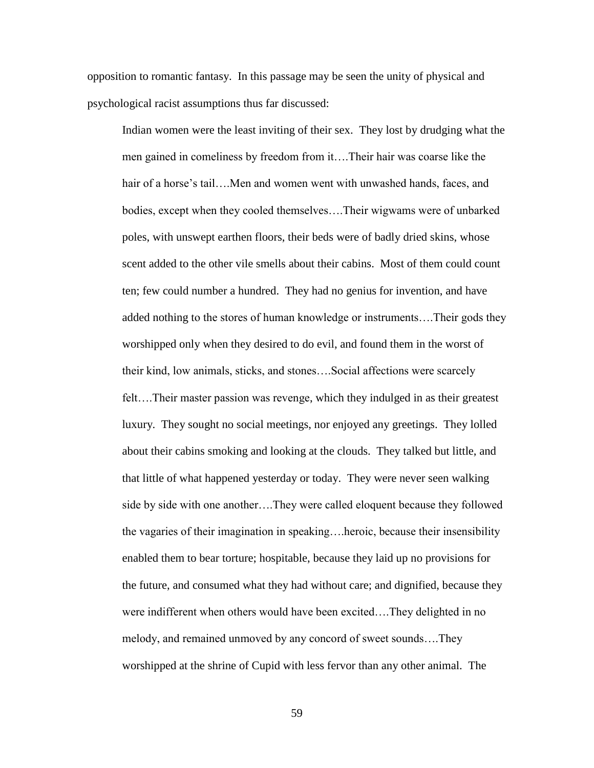opposition to romantic fantasy. In this passage may be seen the unity of physical and psychological racist assumptions thus far discussed:

Indian women were the least inviting of their sex. They lost by drudging what the men gained in comeliness by freedom from it….Their hair was coarse like the hair of a horse's tail….Men and women went with unwashed hands, faces, and bodies, except when they cooled themselves….Their wigwams were of unbarked poles, with unswept earthen floors, their beds were of badly dried skins, whose scent added to the other vile smells about their cabins. Most of them could count ten; few could number a hundred. They had no genius for invention, and have added nothing to the stores of human knowledge or instruments….Their gods they worshipped only when they desired to do evil, and found them in the worst of their kind, low animals, sticks, and stones….Social affections were scarcely felt….Their master passion was revenge, which they indulged in as their greatest luxury. They sought no social meetings, nor enjoyed any greetings. They lolled about their cabins smoking and looking at the clouds. They talked but little, and that little of what happened yesterday or today. They were never seen walking side by side with one another….They were called eloquent because they followed the vagaries of their imagination in speaking….heroic, because their insensibility enabled them to bear torture; hospitable, because they laid up no provisions for the future, and consumed what they had without care; and dignified, because they were indifferent when others would have been excited….They delighted in no melody, and remained unmoved by any concord of sweet sounds….They worshipped at the shrine of Cupid with less fervor than any other animal. The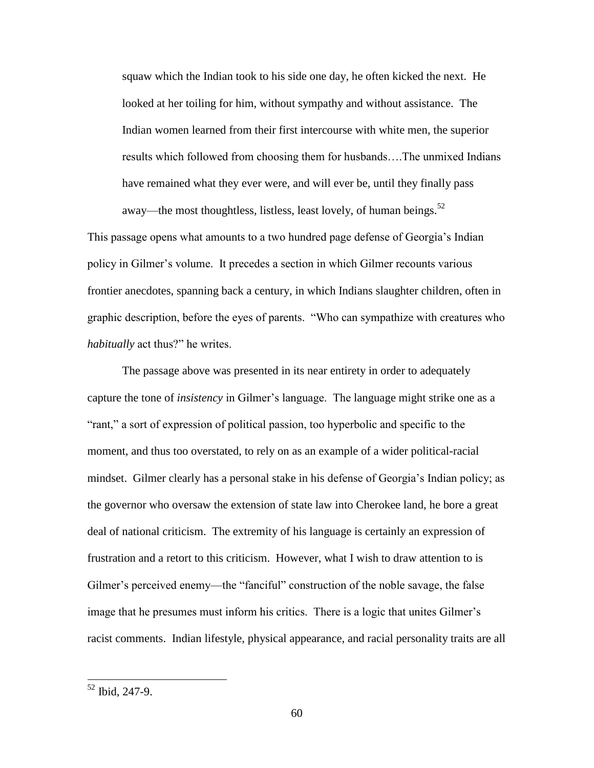squaw which the Indian took to his side one day, he often kicked the next. He looked at her toiling for him, without sympathy and without assistance. The Indian women learned from their first intercourse with white men, the superior results which followed from choosing them for husbands….The unmixed Indians have remained what they ever were, and will ever be, until they finally pass away—the most thoughtless, listless, least lovely, of human beings. $52$ 

This passage opens what amounts to a two hundred page defense of Georgia's Indian policy in Gilmer's volume. It precedes a section in which Gilmer recounts various frontier anecdotes, spanning back a century, in which Indians slaughter children, often in graphic description, before the eyes of parents. "Who can sympathize with creatures who *habitually* act thus?" he writes.

The passage above was presented in its near entirety in order to adequately capture the tone of *insistency* in Gilmer's language. The language might strike one as a "rant," a sort of expression of political passion, too hyperbolic and specific to the moment, and thus too overstated, to rely on as an example of a wider political-racial mindset. Gilmer clearly has a personal stake in his defense of Georgia's Indian policy; as the governor who oversaw the extension of state law into Cherokee land, he bore a great deal of national criticism. The extremity of his language is certainly an expression of frustration and a retort to this criticism. However, what I wish to draw attention to is Gilmer's perceived enemy—the "fanciful" construction of the noble savage, the false image that he presumes must inform his critics. There is a logic that unites Gilmer's racist comments. Indian lifestyle, physical appearance, and racial personality traits are all

<sup>52</sup> Ibid, 247-9.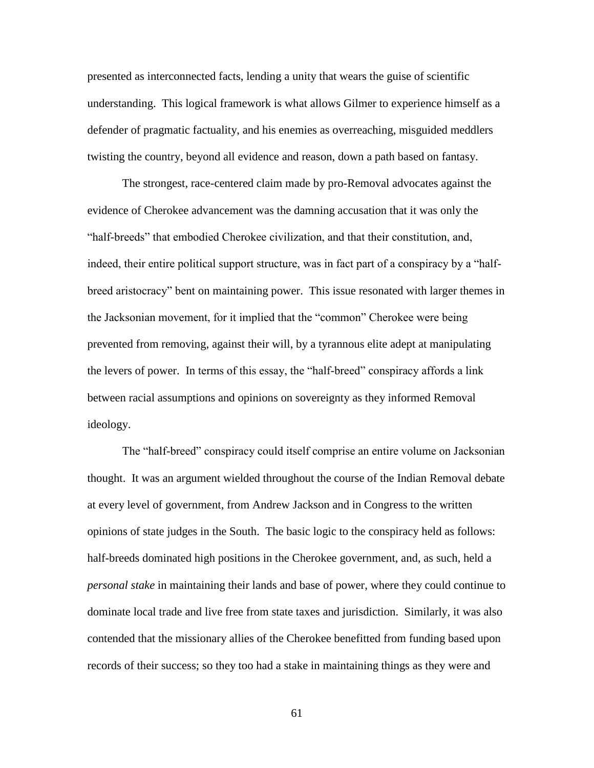presented as interconnected facts, lending a unity that wears the guise of scientific understanding. This logical framework is what allows Gilmer to experience himself as a defender of pragmatic factuality, and his enemies as overreaching, misguided meddlers twisting the country, beyond all evidence and reason, down a path based on fantasy.

The strongest, race-centered claim made by pro-Removal advocates against the evidence of Cherokee advancement was the damning accusation that it was only the "half-breeds" that embodied Cherokee civilization, and that their constitution, and, indeed, their entire political support structure, was in fact part of a conspiracy by a "halfbreed aristocracy" bent on maintaining power. This issue resonated with larger themes in the Jacksonian movement, for it implied that the "common" Cherokee were being prevented from removing, against their will, by a tyrannous elite adept at manipulating the levers of power. In terms of this essay, the "half-breed" conspiracy affords a link between racial assumptions and opinions on sovereignty as they informed Removal ideology.

The "half-breed" conspiracy could itself comprise an entire volume on Jacksonian thought. It was an argument wielded throughout the course of the Indian Removal debate at every level of government, from Andrew Jackson and in Congress to the written opinions of state judges in the South. The basic logic to the conspiracy held as follows: half-breeds dominated high positions in the Cherokee government, and, as such, held a *personal stake* in maintaining their lands and base of power, where they could continue to dominate local trade and live free from state taxes and jurisdiction. Similarly, it was also contended that the missionary allies of the Cherokee benefitted from funding based upon records of their success; so they too had a stake in maintaining things as they were and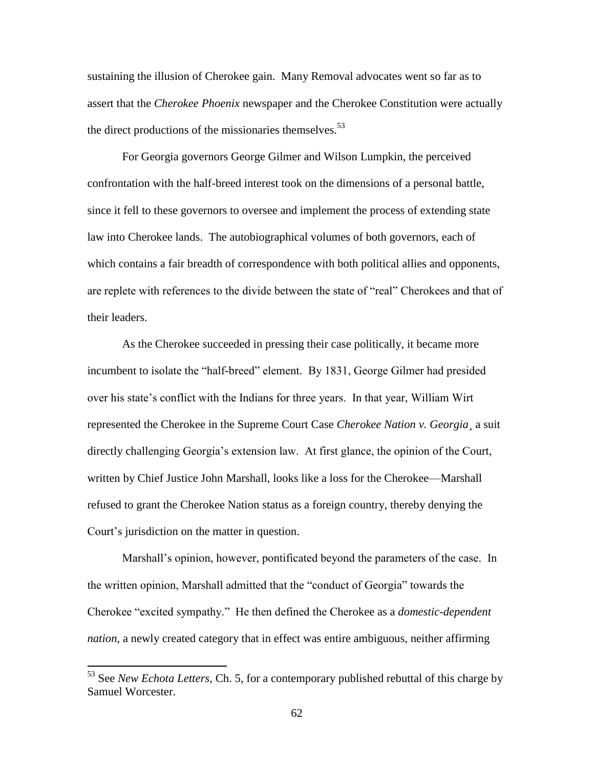sustaining the illusion of Cherokee gain. Many Removal advocates went so far as to assert that the *Cherokee Phoenix* newspaper and the Cherokee Constitution were actually the direct productions of the missionaries themselves.  $53$ 

For Georgia governors George Gilmer and Wilson Lumpkin, the perceived confrontation with the half-breed interest took on the dimensions of a personal battle, since it fell to these governors to oversee and implement the process of extending state law into Cherokee lands. The autobiographical volumes of both governors, each of which contains a fair breadth of correspondence with both political allies and opponents, are replete with references to the divide between the state of "real" Cherokees and that of their leaders.

As the Cherokee succeeded in pressing their case politically, it became more incumbent to isolate the "half-breed" element. By 1831, George Gilmer had presided over his state's conflict with the Indians for three years. In that year, William Wirt represented the Cherokee in the Supreme Court Case *Cherokee Nation v. Georgia¸* a suit directly challenging Georgia's extension law. At first glance, the opinion of the Court, written by Chief Justice John Marshall, looks like a loss for the Cherokee—Marshall refused to grant the Cherokee Nation status as a foreign country, thereby denying the Court's jurisdiction on the matter in question.

Marshall's opinion, however, pontificated beyond the parameters of the case. In the written opinion, Marshall admitted that the "conduct of Georgia" towards the Cherokee "excited sympathy." He then defined the Cherokee as a *domestic-dependent nation*, a newly created category that in effect was entire ambiguous, neither affirming

<sup>53</sup> See *New Echota Letters*, Ch. 5, for a contemporary published rebuttal of this charge by Samuel Worcester.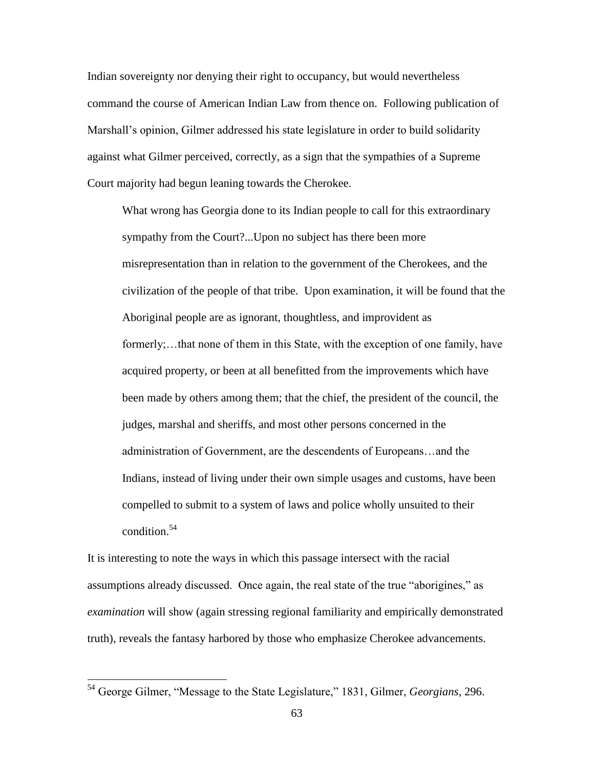Indian sovereignty nor denying their right to occupancy, but would nevertheless command the course of American Indian Law from thence on. Following publication of Marshall's opinion, Gilmer addressed his state legislature in order to build solidarity against what Gilmer perceived, correctly, as a sign that the sympathies of a Supreme Court majority had begun leaning towards the Cherokee.

What wrong has Georgia done to its Indian people to call for this extraordinary sympathy from the Court?...Upon no subject has there been more misrepresentation than in relation to the government of the Cherokees, and the civilization of the people of that tribe. Upon examination, it will be found that the Aboriginal people are as ignorant, thoughtless, and improvident as formerly;…that none of them in this State, with the exception of one family, have acquired property, or been at all benefitted from the improvements which have been made by others among them; that the chief, the president of the council, the judges, marshal and sheriffs, and most other persons concerned in the administration of Government, are the descendents of Europeans…and the Indians, instead of living under their own simple usages and customs, have been compelled to submit to a system of laws and police wholly unsuited to their condition.<sup>54</sup>

It is interesting to note the ways in which this passage intersect with the racial assumptions already discussed. Once again, the real state of the true "aborigines," as *examination* will show (again stressing regional familiarity and empirically demonstrated truth), reveals the fantasy harbored by those who emphasize Cherokee advancements.

<sup>54</sup> George Gilmer, "Message to the State Legislature," 1831, Gilmer, *Georgians*, 296.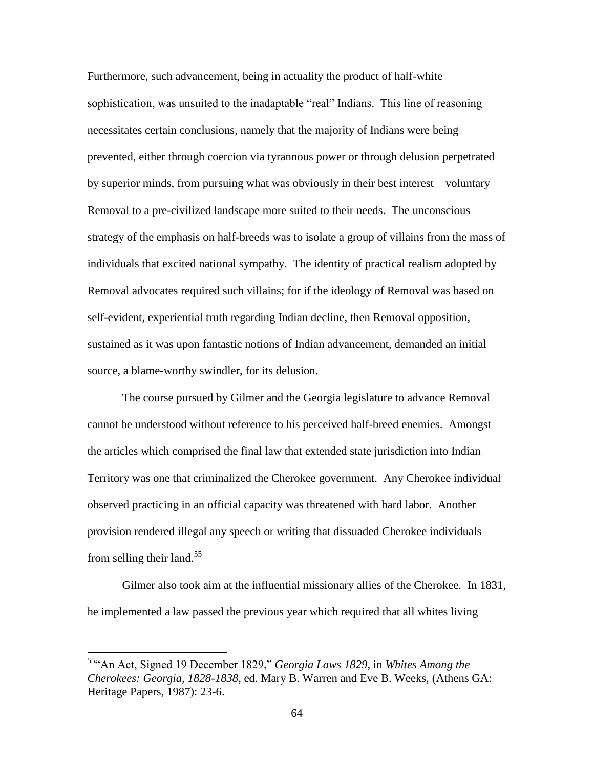Furthermore, such advancement, being in actuality the product of half-white sophistication, was unsuited to the inadaptable "real" Indians. This line of reasoning necessitates certain conclusions, namely that the majority of Indians were being prevented, either through coercion via tyrannous power or through delusion perpetrated by superior minds, from pursuing what was obviously in their best interest—voluntary Removal to a pre-civilized landscape more suited to their needs. The unconscious strategy of the emphasis on half-breeds was to isolate a group of villains from the mass of individuals that excited national sympathy. The identity of practical realism adopted by Removal advocates required such villains; for if the ideology of Removal was based on self-evident, experiential truth regarding Indian decline, then Removal opposition, sustained as it was upon fantastic notions of Indian advancement, demanded an initial source, a blame-worthy swindler, for its delusion.

The course pursued by Gilmer and the Georgia legislature to advance Removal cannot be understood without reference to his perceived half-breed enemies. Amongst the articles which comprised the final law that extended state jurisdiction into Indian Territory was one that criminalized the Cherokee government. Any Cherokee individual observed practicing in an official capacity was threatened with hard labor. Another provision rendered illegal any speech or writing that dissuaded Cherokee individuals from selling their land.<sup>55</sup>

Gilmer also took aim at the influential missionary allies of the Cherokee. In 1831, he implemented a law passed the previous year which required that all whites living

<sup>55</sup>"An Act, Signed 19 December 1829," *Georgia Laws 1829*, in *Whites Among the Cherokees: Georgia, 1828-1838*, ed. Mary B. Warren and Eve B. Weeks, (Athens GA: Heritage Papers, 1987): 23-6.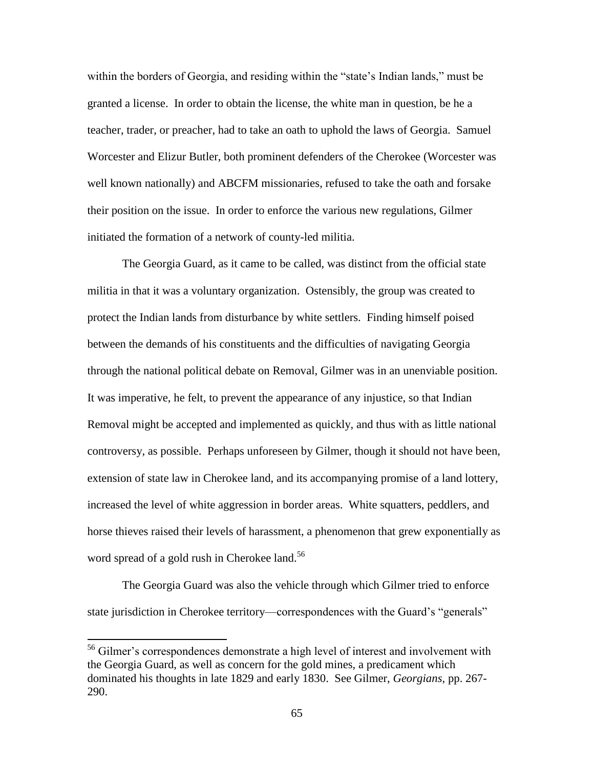within the borders of Georgia, and residing within the "state's Indian lands," must be granted a license. In order to obtain the license, the white man in question, be he a teacher, trader, or preacher, had to take an oath to uphold the laws of Georgia. Samuel Worcester and Elizur Butler, both prominent defenders of the Cherokee (Worcester was well known nationally) and ABCFM missionaries, refused to take the oath and forsake their position on the issue. In order to enforce the various new regulations, Gilmer initiated the formation of a network of county-led militia.

The Georgia Guard, as it came to be called, was distinct from the official state militia in that it was a voluntary organization. Ostensibly, the group was created to protect the Indian lands from disturbance by white settlers. Finding himself poised between the demands of his constituents and the difficulties of navigating Georgia through the national political debate on Removal, Gilmer was in an unenviable position. It was imperative, he felt, to prevent the appearance of any injustice, so that Indian Removal might be accepted and implemented as quickly, and thus with as little national controversy, as possible. Perhaps unforeseen by Gilmer, though it should not have been, extension of state law in Cherokee land, and its accompanying promise of a land lottery, increased the level of white aggression in border areas. White squatters, peddlers, and horse thieves raised their levels of harassment, a phenomenon that grew exponentially as word spread of a gold rush in Cherokee land.<sup>56</sup>

The Georgia Guard was also the vehicle through which Gilmer tried to enforce state jurisdiction in Cherokee territory—correspondences with the Guard's "generals"

 $\overline{a}$ 

<sup>&</sup>lt;sup>56</sup> Gilmer's correspondences demonstrate a high level of interest and involvement with the Georgia Guard, as well as concern for the gold mines, a predicament which dominated his thoughts in late 1829 and early 1830. See Gilmer, *Georgians,* pp. 267- 290.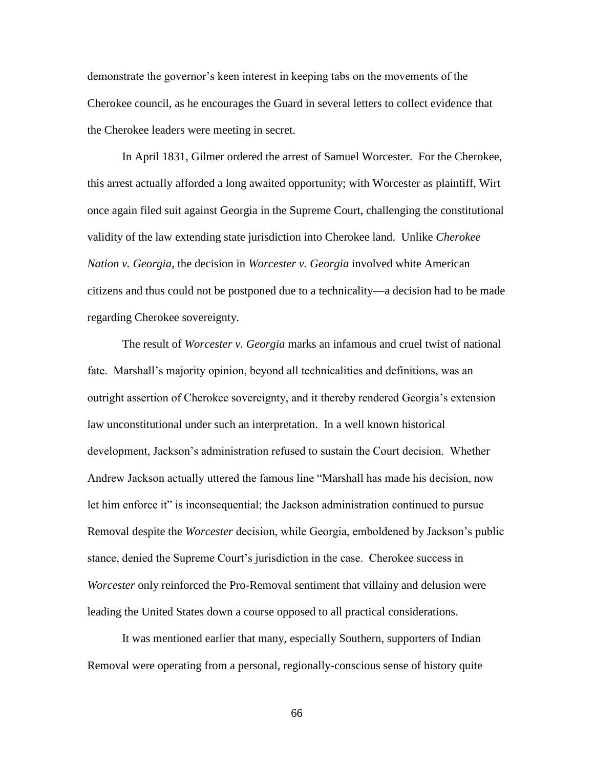demonstrate the governor's keen interest in keeping tabs on the movements of the Cherokee council, as he encourages the Guard in several letters to collect evidence that the Cherokee leaders were meeting in secret.

In April 1831, Gilmer ordered the arrest of Samuel Worcester. For the Cherokee, this arrest actually afforded a long awaited opportunity; with Worcester as plaintiff, Wirt once again filed suit against Georgia in the Supreme Court, challenging the constitutional validity of the law extending state jurisdiction into Cherokee land. Unlike *Cherokee Nation v. Georgia*, the decision in *Worcester v. Georgia* involved white American citizens and thus could not be postponed due to a technicality—a decision had to be made regarding Cherokee sovereignty.

The result of *Worcester v. Georgia* marks an infamous and cruel twist of national fate. Marshall's majority opinion, beyond all technicalities and definitions, was an outright assertion of Cherokee sovereignty, and it thereby rendered Georgia's extension law unconstitutional under such an interpretation. In a well known historical development, Jackson's administration refused to sustain the Court decision. Whether Andrew Jackson actually uttered the famous line "Marshall has made his decision, now let him enforce it" is inconsequential; the Jackson administration continued to pursue Removal despite the *Worcester* decision, while Georgia, emboldened by Jackson's public stance, denied the Supreme Court's jurisdiction in the case. Cherokee success in *Worcester* only reinforced the Pro-Removal sentiment that villainy and delusion were leading the United States down a course opposed to all practical considerations.

It was mentioned earlier that many, especially Southern, supporters of Indian Removal were operating from a personal, regionally-conscious sense of history quite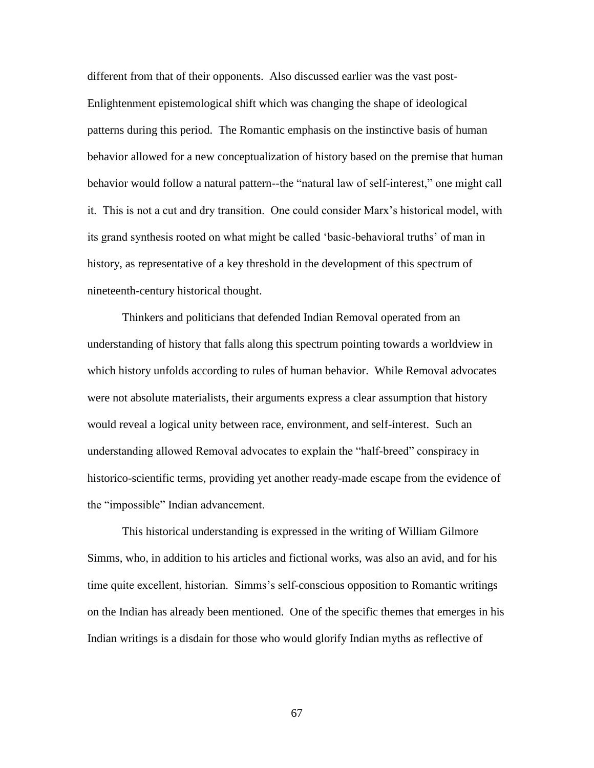different from that of their opponents. Also discussed earlier was the vast post-Enlightenment epistemological shift which was changing the shape of ideological patterns during this period. The Romantic emphasis on the instinctive basis of human behavior allowed for a new conceptualization of history based on the premise that human behavior would follow a natural pattern--the "natural law of self-interest," one might call it. This is not a cut and dry transition. One could consider Marx's historical model, with its grand synthesis rooted on what might be called 'basic-behavioral truths' of man in history, as representative of a key threshold in the development of this spectrum of nineteenth-century historical thought.

Thinkers and politicians that defended Indian Removal operated from an understanding of history that falls along this spectrum pointing towards a worldview in which history unfolds according to rules of human behavior. While Removal advocates were not absolute materialists, their arguments express a clear assumption that history would reveal a logical unity between race, environment, and self-interest. Such an understanding allowed Removal advocates to explain the "half-breed" conspiracy in historico-scientific terms, providing yet another ready-made escape from the evidence of the "impossible" Indian advancement.

This historical understanding is expressed in the writing of William Gilmore Simms, who, in addition to his articles and fictional works, was also an avid, and for his time quite excellent, historian. Simms's self-conscious opposition to Romantic writings on the Indian has already been mentioned. One of the specific themes that emerges in his Indian writings is a disdain for those who would glorify Indian myths as reflective of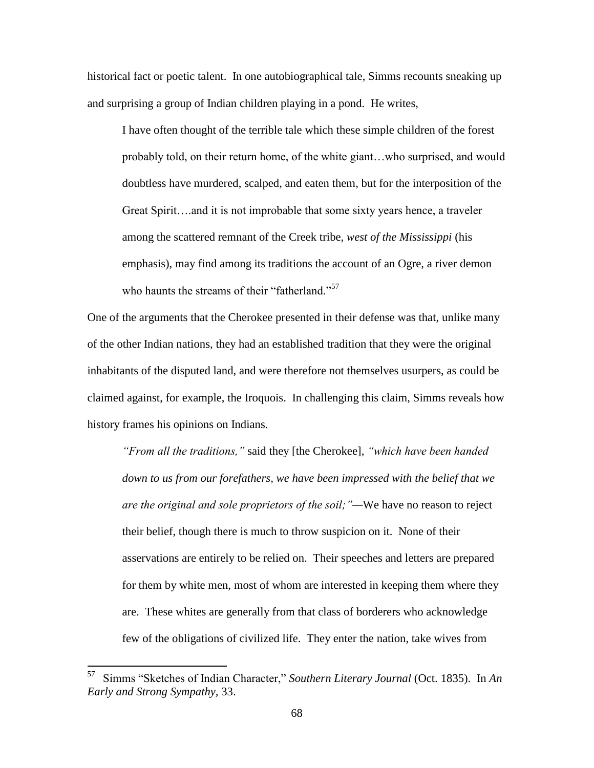historical fact or poetic talent. In one autobiographical tale, Simms recounts sneaking up and surprising a group of Indian children playing in a pond. He writes,

I have often thought of the terrible tale which these simple children of the forest probably told, on their return home, of the white giant…who surprised, and would doubtless have murdered, scalped, and eaten them, but for the interposition of the Great Spirit….and it is not improbable that some sixty years hence, a traveler among the scattered remnant of the Creek tribe, *west of the Mississippi* (his emphasis), may find among its traditions the account of an Ogre, a river demon who haunts the streams of their "fatherland."<sup>57</sup>

One of the arguments that the Cherokee presented in their defense was that, unlike many of the other Indian nations, they had an established tradition that they were the original inhabitants of the disputed land, and were therefore not themselves usurpers, as could be claimed against, for example, the Iroquois. In challenging this claim, Simms reveals how history frames his opinions on Indians.

*"From all the traditions,"* said they [the Cherokee], *"which have been handed down to us from our forefathers, we have been impressed with the belief that we are the original and sole proprietors of the soil;"—*We have no reason to reject their belief, though there is much to throw suspicion on it. None of their asservations are entirely to be relied on. Their speeches and letters are prepared for them by white men, most of whom are interested in keeping them where they are. These whites are generally from that class of borderers who acknowledge few of the obligations of civilized life. They enter the nation, take wives from

<sup>57</sup>  Simms "Sketches of Indian Character," *Southern Literary Journal* (Oct. 1835). In *An Early and Strong Sympathy,* 33.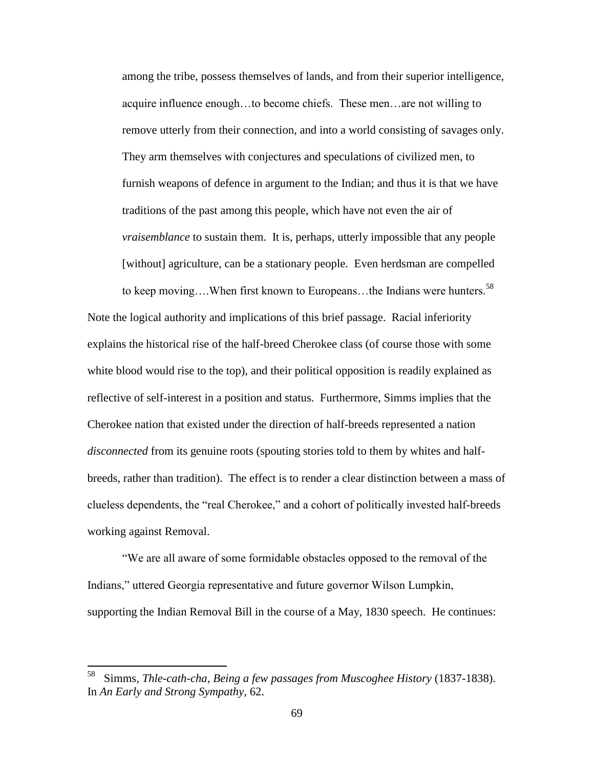among the tribe, possess themselves of lands, and from their superior intelligence, acquire influence enough…to become chiefs. These men…are not willing to remove utterly from their connection, and into a world consisting of savages only. They arm themselves with conjectures and speculations of civilized men, to furnish weapons of defence in argument to the Indian; and thus it is that we have traditions of the past among this people, which have not even the air of *vraisemblance* to sustain them. It is, perhaps, utterly impossible that any people [without] agriculture, can be a stationary people. Even herdsman are compelled

to keep moving....When first known to Europeans...the Indians were hunters.<sup>58</sup> Note the logical authority and implications of this brief passage. Racial inferiority explains the historical rise of the half-breed Cherokee class (of course those with some white blood would rise to the top), and their political opposition is readily explained as reflective of self-interest in a position and status. Furthermore, Simms implies that the Cherokee nation that existed under the direction of half-breeds represented a nation *disconnected* from its genuine roots (spouting stories told to them by whites and halfbreeds, rather than tradition). The effect is to render a clear distinction between a mass of clueless dependents, the "real Cherokee," and a cohort of politically invested half-breeds working against Removal.

"We are all aware of some formidable obstacles opposed to the removal of the Indians," uttered Georgia representative and future governor Wilson Lumpkin, supporting the Indian Removal Bill in the course of a May, 1830 speech. He continues:

<sup>—&</sup>lt;br>58 Simms, *Thle-cath-cha, Being a few passages from Muscoghee History* (1837-1838). In *An Early and Strong Sympathy,* 62.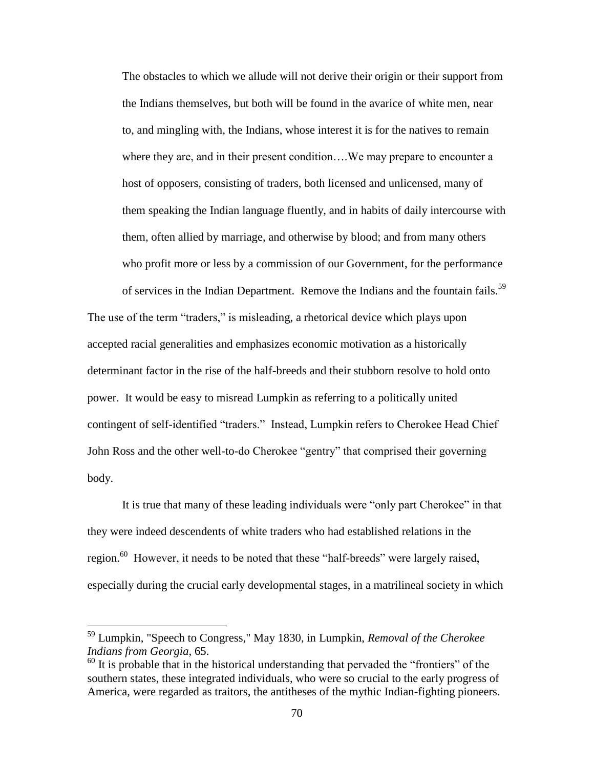The obstacles to which we allude will not derive their origin or their support from the Indians themselves, but both will be found in the avarice of white men, near to, and mingling with, the Indians, whose interest it is for the natives to remain where they are, and in their present condition….We may prepare to encounter a host of opposers, consisting of traders, both licensed and unlicensed, many of them speaking the Indian language fluently, and in habits of daily intercourse with them, often allied by marriage, and otherwise by blood; and from many others who profit more or less by a commission of our Government, for the performance

of services in the Indian Department. Remove the Indians and the fountain fails.<sup>59</sup> The use of the term "traders," is misleading, a rhetorical device which plays upon accepted racial generalities and emphasizes economic motivation as a historically determinant factor in the rise of the half-breeds and their stubborn resolve to hold onto power. It would be easy to misread Lumpkin as referring to a politically united contingent of self-identified "traders." Instead, Lumpkin refers to Cherokee Head Chief John Ross and the other well-to-do Cherokee "gentry" that comprised their governing body.

It is true that many of these leading individuals were "only part Cherokee" in that they were indeed descendents of white traders who had established relations in the region.<sup>60</sup> However, it needs to be noted that these "half-breeds" were largely raised, especially during the crucial early developmental stages, in a matrilineal society in which

l

<sup>59</sup> Lumpkin, "Speech to Congress," May 1830, in Lumpkin, *Removal of the Cherokee Indians from Georgia,* 65.

 $60$  It is probable that in the historical understanding that pervaded the "frontiers" of the southern states, these integrated individuals, who were so crucial to the early progress of America, were regarded as traitors, the antitheses of the mythic Indian-fighting pioneers.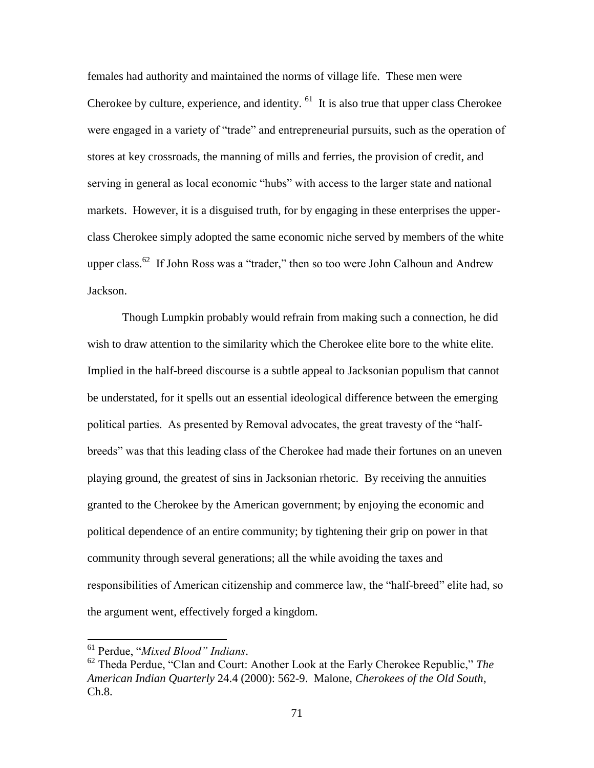females had authority and maintained the norms of village life. These men were Cherokee by culture, experience, and identity. <sup>61</sup> It is also true that upper class Cherokee were engaged in a variety of "trade" and entrepreneurial pursuits, such as the operation of stores at key crossroads, the manning of mills and ferries, the provision of credit, and serving in general as local economic "hubs" with access to the larger state and national markets. However, it is a disguised truth, for by engaging in these enterprises the upperclass Cherokee simply adopted the same economic niche served by members of the white upper class.<sup>62</sup> If John Ross was a "trader," then so too were John Calhoun and Andrew Jackson.

Though Lumpkin probably would refrain from making such a connection, he did wish to draw attention to the similarity which the Cherokee elite bore to the white elite. Implied in the half-breed discourse is a subtle appeal to Jacksonian populism that cannot be understated, for it spells out an essential ideological difference between the emerging political parties. As presented by Removal advocates, the great travesty of the "halfbreeds" was that this leading class of the Cherokee had made their fortunes on an uneven playing ground, the greatest of sins in Jacksonian rhetoric. By receiving the annuities granted to the Cherokee by the American government; by enjoying the economic and political dependence of an entire community; by tightening their grip on power in that community through several generations; all the while avoiding the taxes and responsibilities of American citizenship and commerce law, the "half-breed" elite had, so the argument went, effectively forged a kingdom.

 $\overline{a}$ 

<sup>61</sup> Perdue, "*Mixed Blood" Indians*.

<sup>62</sup> Theda Perdue, "Clan and Court: Another Look at the Early Cherokee Republic," *The American Indian Quarterly* 24.4 (2000): 562-9. Malone, *Cherokees of the Old South*, Ch.8.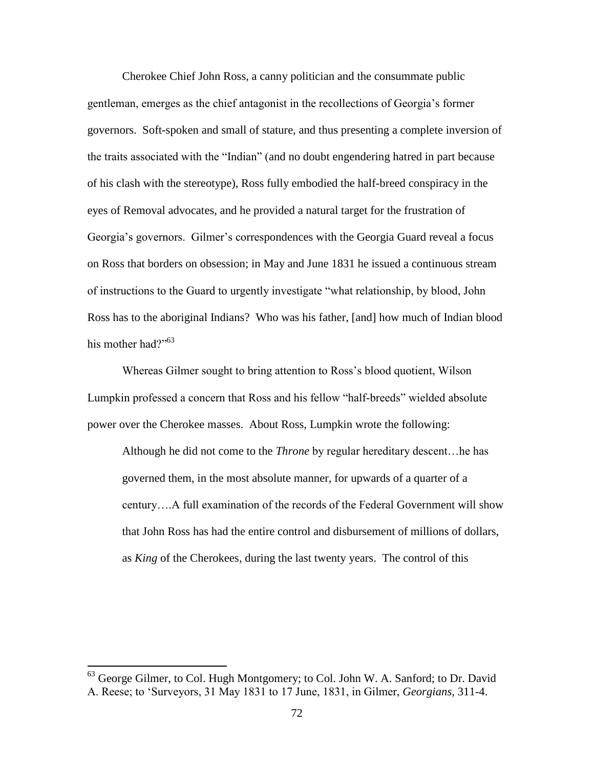Cherokee Chief John Ross, a canny politician and the consummate public gentleman, emerges as the chief antagonist in the recollections of Georgia's former governors. Soft-spoken and small of stature, and thus presenting a complete inversion of the traits associated with the "Indian" (and no doubt engendering hatred in part because of his clash with the stereotype), Ross fully embodied the half-breed conspiracy in the eyes of Removal advocates, and he provided a natural target for the frustration of Georgia's governors. Gilmer's correspondences with the Georgia Guard reveal a focus on Ross that borders on obsession; in May and June 1831 he issued a continuous stream of instructions to the Guard to urgently investigate "what relationship, by blood, John Ross has to the aboriginal Indians? Who was his father, [and] how much of Indian blood his mother had?"<sup>63</sup>

Whereas Gilmer sought to bring attention to Ross's blood quotient, Wilson Lumpkin professed a concern that Ross and his fellow "half-breeds" wielded absolute power over the Cherokee masses. About Ross, Lumpkin wrote the following:

Although he did not come to the *Throne* by regular hereditary descent…he has governed them, in the most absolute manner, for upwards of a quarter of a century….A full examination of the records of the Federal Government will show that John Ross has had the entire control and disbursement of millions of dollars, as *King* of the Cherokees, during the last twenty years. The control of this

 $\overline{\phantom{a}}$ 

<sup>&</sup>lt;sup>63</sup> George Gilmer, to Col. Hugh Montgomery; to Col. John W. A. Sanford; to Dr. David A. Reese; to 'Surveyors, 31 May 1831 to 17 June, 1831, in Gilmer, *Georgians,* 311-4.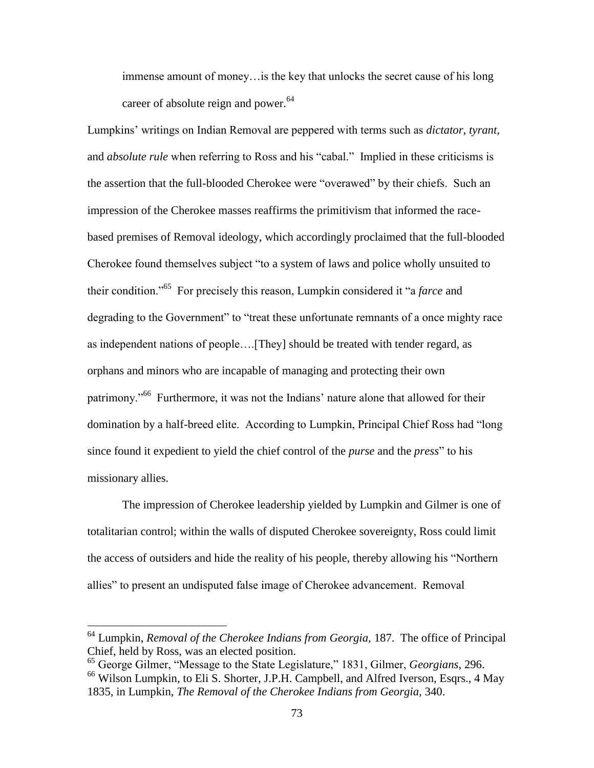immense amount of money…is the key that unlocks the secret cause of his long career of absolute reign and power.<sup>64</sup>

Lumpkins' writings on Indian Removal are peppered with terms such as *dictator*, *tyrant*, and *absolute rule* when referring to Ross and his "cabal." Implied in these criticisms is the assertion that the full-blooded Cherokee were "overawed" by their chiefs. Such an impression of the Cherokee masses reaffirms the primitivism that informed the racebased premises of Removal ideology, which accordingly proclaimed that the full-blooded Cherokee found themselves subject "to a system of laws and police wholly unsuited to their condition."<sup>65</sup> For precisely this reason, Lumpkin considered it "a *farce* and degrading to the Government" to "treat these unfortunate remnants of a once mighty race as independent nations of people….[They] should be treated with tender regard, as orphans and minors who are incapable of managing and protecting their own patrimony."<sup>66</sup> Furthermore, it was not the Indians' nature alone that allowed for their domination by a half-breed elite. According to Lumpkin, Principal Chief Ross had "long since found it expedient to yield the chief control of the *purse* and the *press*" to his missionary allies.

The impression of Cherokee leadership yielded by Lumpkin and Gilmer is one of totalitarian control; within the walls of disputed Cherokee sovereignty, Ross could limit the access of outsiders and hide the reality of his people, thereby allowing his "Northern allies" to present an undisputed false image of Cherokee advancement. Removal

l

<sup>64</sup> Lumpkin, *Removal of the Cherokee Indians from Georgia,* 187. The office of Principal Chief, held by Ross, was an elected position.

<sup>65</sup> George Gilmer, "Message to the State Legislature," 1831, Gilmer, *Georgians*, 296. <sup>66</sup> Wilson Lumpkin, to Eli S. Shorter, J.P.H. Campbell, and Alfred Iverson, Esqrs., 4 May 1835, in Lumpkin, *The Removal of the Cherokee Indians from Georgia,* 340.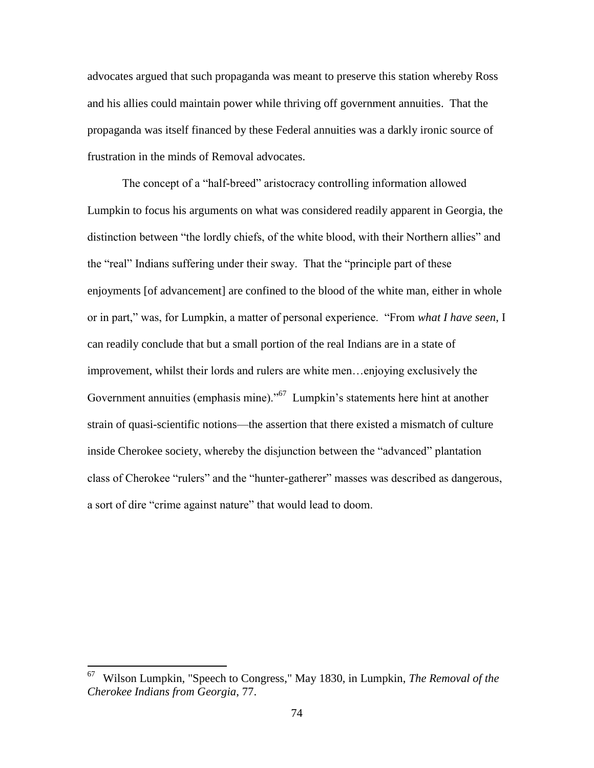advocates argued that such propaganda was meant to preserve this station whereby Ross and his allies could maintain power while thriving off government annuities. That the propaganda was itself financed by these Federal annuities was a darkly ironic source of frustration in the minds of Removal advocates.

The concept of a "half-breed" aristocracy controlling information allowed Lumpkin to focus his arguments on what was considered readily apparent in Georgia, the distinction between "the lordly chiefs, of the white blood, with their Northern allies" and the "real" Indians suffering under their sway. That the "principle part of these enjoyments [of advancement] are confined to the blood of the white man, either in whole or in part," was, for Lumpkin, a matter of personal experience. "From *what I have seen*, I can readily conclude that but a small portion of the real Indians are in a state of improvement, whilst their lords and rulers are white men…enjoying exclusively the Government annuities (emphasis mine)."<sup>67</sup> Lumpkin's statements here hint at another strain of quasi-scientific notions—the assertion that there existed a mismatch of culture inside Cherokee society, whereby the disjunction between the "advanced" plantation class of Cherokee "rulers" and the "hunter-gatherer" masses was described as dangerous, a sort of dire "crime against nature" that would lead to doom.

 $rac{1}{67}$  Wilson Lumpkin, "Speech to Congress," May 1830, in Lumpkin, *The Removal of the Cherokee Indians from Georgia*, 77.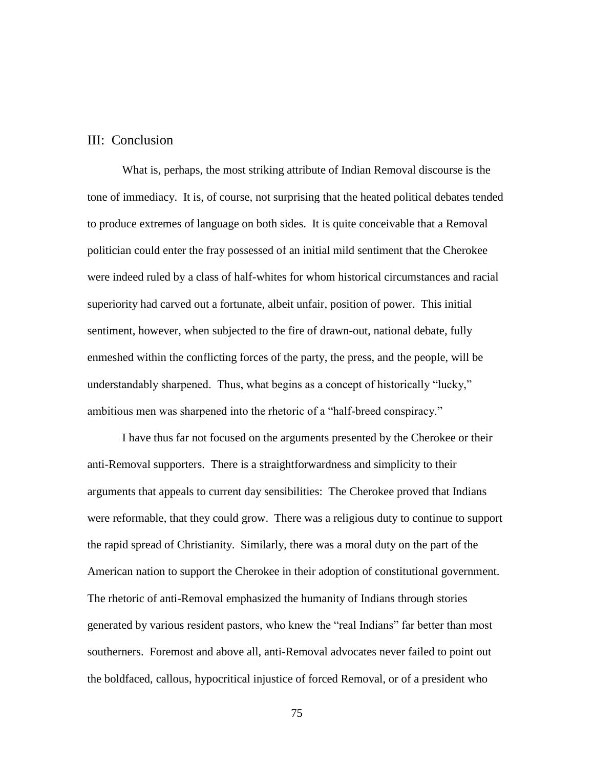## III: Conclusion

What is, perhaps, the most striking attribute of Indian Removal discourse is the tone of immediacy. It is, of course, not surprising that the heated political debates tended to produce extremes of language on both sides. It is quite conceivable that a Removal politician could enter the fray possessed of an initial mild sentiment that the Cherokee were indeed ruled by a class of half-whites for whom historical circumstances and racial superiority had carved out a fortunate, albeit unfair, position of power. This initial sentiment, however, when subjected to the fire of drawn-out, national debate, fully enmeshed within the conflicting forces of the party, the press, and the people, will be understandably sharpened. Thus, what begins as a concept of historically "lucky," ambitious men was sharpened into the rhetoric of a "half-breed conspiracy."

I have thus far not focused on the arguments presented by the Cherokee or their anti-Removal supporters. There is a straightforwardness and simplicity to their arguments that appeals to current day sensibilities: The Cherokee proved that Indians were reformable, that they could grow. There was a religious duty to continue to support the rapid spread of Christianity. Similarly, there was a moral duty on the part of the American nation to support the Cherokee in their adoption of constitutional government. The rhetoric of anti-Removal emphasized the humanity of Indians through stories generated by various resident pastors, who knew the "real Indians" far better than most southerners. Foremost and above all, anti-Removal advocates never failed to point out the boldfaced, callous, hypocritical injustice of forced Removal, or of a president who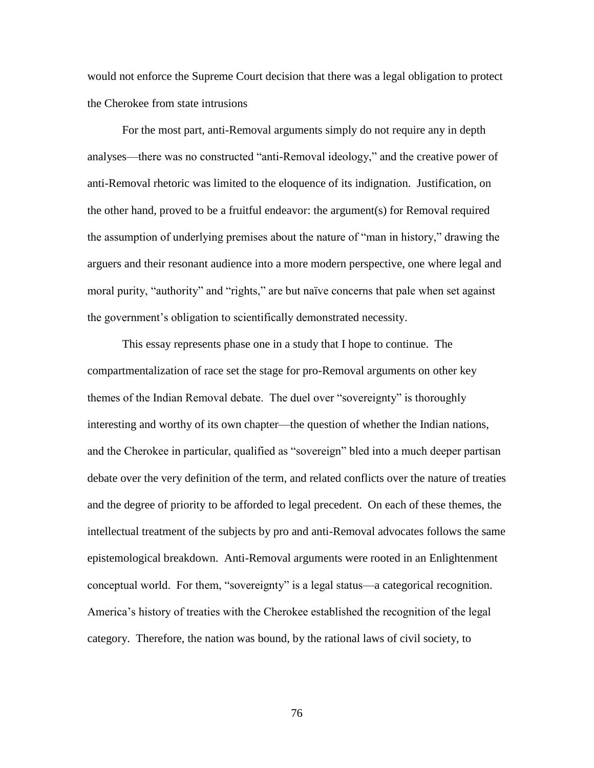would not enforce the Supreme Court decision that there was a legal obligation to protect the Cherokee from state intrusions

For the most part, anti-Removal arguments simply do not require any in depth analyses—there was no constructed "anti-Removal ideology," and the creative power of anti-Removal rhetoric was limited to the eloquence of its indignation. Justification, on the other hand, proved to be a fruitful endeavor: the argument(s) for Removal required the assumption of underlying premises about the nature of "man in history," drawing the arguers and their resonant audience into a more modern perspective, one where legal and moral purity, "authority" and "rights," are but naïve concerns that pale when set against the government's obligation to scientifically demonstrated necessity.

This essay represents phase one in a study that I hope to continue. The compartmentalization of race set the stage for pro-Removal arguments on other key themes of the Indian Removal debate. The duel over "sovereignty" is thoroughly interesting and worthy of its own chapter—the question of whether the Indian nations, and the Cherokee in particular, qualified as "sovereign" bled into a much deeper partisan debate over the very definition of the term, and related conflicts over the nature of treaties and the degree of priority to be afforded to legal precedent. On each of these themes, the intellectual treatment of the subjects by pro and anti-Removal advocates follows the same epistemological breakdown. Anti-Removal arguments were rooted in an Enlightenment conceptual world. For them, "sovereignty" is a legal status—a categorical recognition. America's history of treaties with the Cherokee established the recognition of the legal category. Therefore, the nation was bound, by the rational laws of civil society, to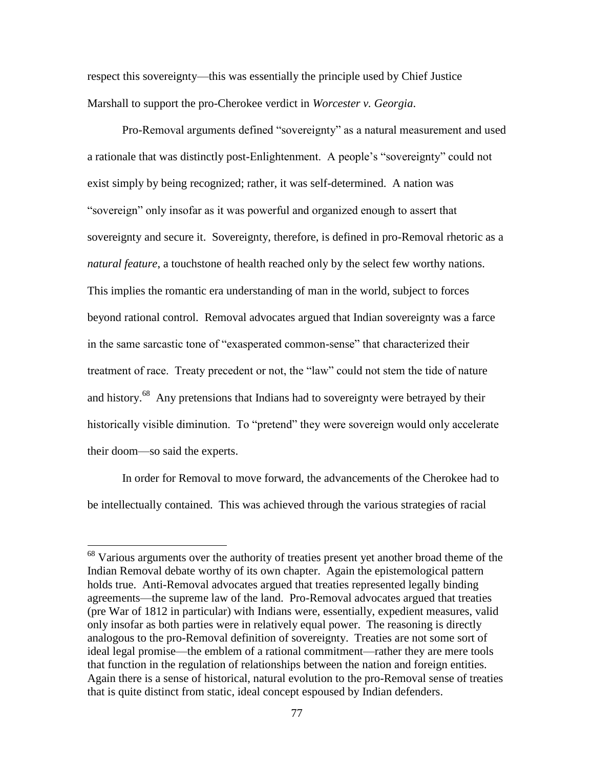respect this sovereignty—this was essentially the principle used by Chief Justice Marshall to support the pro-Cherokee verdict in *Worcester v. Georgia*.

Pro-Removal arguments defined "sovereignty" as a natural measurement and used a rationale that was distinctly post-Enlightenment. A people's "sovereignty" could not exist simply by being recognized; rather, it was self-determined. A nation was "sovereign" only insofar as it was powerful and organized enough to assert that sovereignty and secure it. Sovereignty, therefore, is defined in pro-Removal rhetoric as a *natural feature*, a touchstone of health reached only by the select few worthy nations. This implies the romantic era understanding of man in the world, subject to forces beyond rational control. Removal advocates argued that Indian sovereignty was a farce in the same sarcastic tone of "exasperated common-sense" that characterized their treatment of race. Treaty precedent or not, the "law" could not stem the tide of nature and history.<sup>68</sup> Any pretensions that Indians had to sovereignty were betrayed by their historically visible diminution. To "pretend" they were sovereign would only accelerate their doom—so said the experts.

In order for Removal to move forward, the advancements of the Cherokee had to be intellectually contained. This was achieved through the various strategies of racial

l

 $68$  Various arguments over the authority of treaties present yet another broad theme of the Indian Removal debate worthy of its own chapter. Again the epistemological pattern holds true. Anti-Removal advocates argued that treaties represented legally binding agreements—the supreme law of the land. Pro-Removal advocates argued that treaties (pre War of 1812 in particular) with Indians were, essentially, expedient measures, valid only insofar as both parties were in relatively equal power. The reasoning is directly analogous to the pro-Removal definition of sovereignty. Treaties are not some sort of ideal legal promise—the emblem of a rational commitment—rather they are mere tools that function in the regulation of relationships between the nation and foreign entities. Again there is a sense of historical, natural evolution to the pro-Removal sense of treaties that is quite distinct from static, ideal concept espoused by Indian defenders.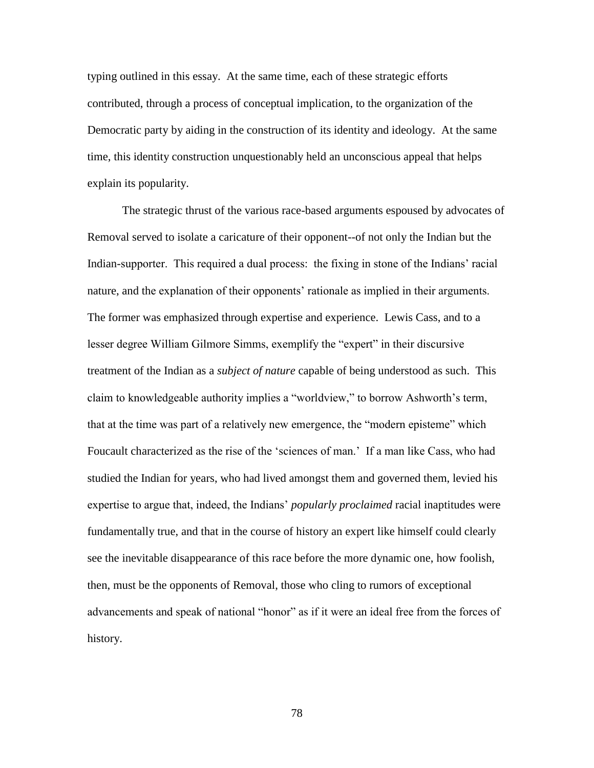typing outlined in this essay. At the same time, each of these strategic efforts contributed, through a process of conceptual implication, to the organization of the Democratic party by aiding in the construction of its identity and ideology. At the same time, this identity construction unquestionably held an unconscious appeal that helps explain its popularity.

The strategic thrust of the various race-based arguments espoused by advocates of Removal served to isolate a caricature of their opponent--of not only the Indian but the Indian-supporter. This required a dual process: the fixing in stone of the Indians' racial nature, and the explanation of their opponents' rationale as implied in their arguments. The former was emphasized through expertise and experience. Lewis Cass, and to a lesser degree William Gilmore Simms, exemplify the "expert" in their discursive treatment of the Indian as a *subject of nature* capable of being understood as such. This claim to knowledgeable authority implies a "worldview," to borrow Ashworth's term, that at the time was part of a relatively new emergence, the "modern episteme" which Foucault characterized as the rise of the 'sciences of man.' If a man like Cass, who had studied the Indian for years, who had lived amongst them and governed them, levied his expertise to argue that, indeed, the Indians' *popularly proclaimed* racial inaptitudes were fundamentally true, and that in the course of history an expert like himself could clearly see the inevitable disappearance of this race before the more dynamic one, how foolish, then, must be the opponents of Removal, those who cling to rumors of exceptional advancements and speak of national "honor" as if it were an ideal free from the forces of history.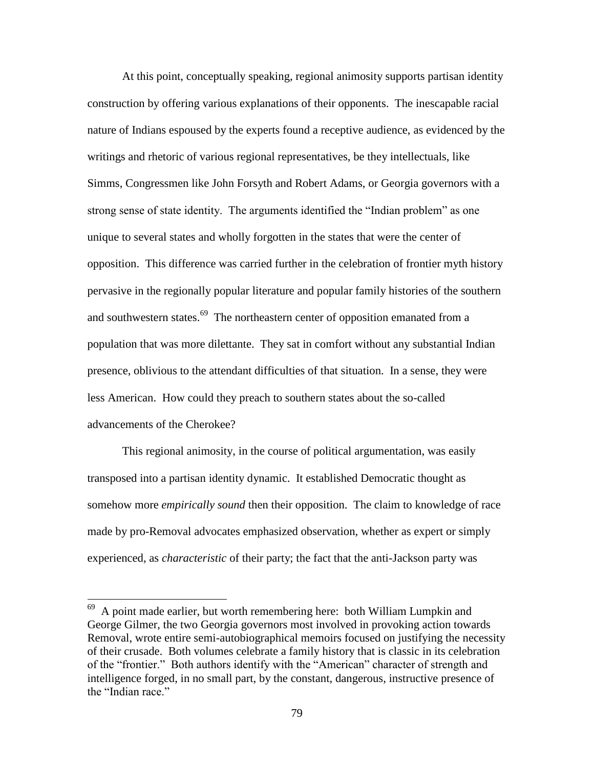At this point, conceptually speaking, regional animosity supports partisan identity construction by offering various explanations of their opponents. The inescapable racial nature of Indians espoused by the experts found a receptive audience, as evidenced by the writings and rhetoric of various regional representatives, be they intellectuals, like Simms, Congressmen like John Forsyth and Robert Adams, or Georgia governors with a strong sense of state identity. The arguments identified the "Indian problem" as one unique to several states and wholly forgotten in the states that were the center of opposition. This difference was carried further in the celebration of frontier myth history pervasive in the regionally popular literature and popular family histories of the southern and southwestern states.<sup>69</sup> The northeastern center of opposition emanated from a population that was more dilettante. They sat in comfort without any substantial Indian presence, oblivious to the attendant difficulties of that situation. In a sense, they were less American. How could they preach to southern states about the so-called advancements of the Cherokee?

This regional animosity, in the course of political argumentation, was easily transposed into a partisan identity dynamic. It established Democratic thought as somehow more *empirically sound* then their opposition. The claim to knowledge of race made by pro-Removal advocates emphasized observation, whether as expert or simply experienced, as *characteristic* of their party; the fact that the anti-Jackson party was

<sup>&</sup>lt;sup>69</sup> A point made earlier, but worth remembering here: both William Lumpkin and George Gilmer, the two Georgia governors most involved in provoking action towards Removal, wrote entire semi-autobiographical memoirs focused on justifying the necessity of their crusade. Both volumes celebrate a family history that is classic in its celebration of the "frontier." Both authors identify with the "American" character of strength and intelligence forged, in no small part, by the constant, dangerous, instructive presence of the "Indian race"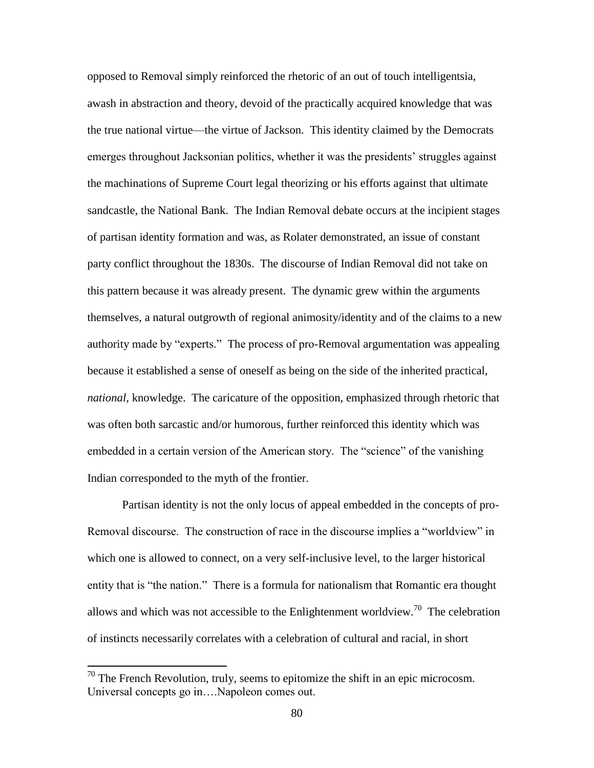opposed to Removal simply reinforced the rhetoric of an out of touch intelligentsia, awash in abstraction and theory, devoid of the practically acquired knowledge that was the true national virtue—the virtue of Jackson. This identity claimed by the Democrats emerges throughout Jacksonian politics, whether it was the presidents' struggles against the machinations of Supreme Court legal theorizing or his efforts against that ultimate sandcastle, the National Bank. The Indian Removal debate occurs at the incipient stages of partisan identity formation and was, as Rolater demonstrated, an issue of constant party conflict throughout the 1830s. The discourse of Indian Removal did not take on this pattern because it was already present. The dynamic grew within the arguments themselves, a natural outgrowth of regional animosity/identity and of the claims to a new authority made by "experts." The process of pro-Removal argumentation was appealing because it established a sense of oneself as being on the side of the inherited practical, *national,* knowledge. The caricature of the opposition, emphasized through rhetoric that was often both sarcastic and/or humorous, further reinforced this identity which was embedded in a certain version of the American story. The "science" of the vanishing Indian corresponded to the myth of the frontier.

Partisan identity is not the only locus of appeal embedded in the concepts of pro-Removal discourse. The construction of race in the discourse implies a "worldview" in which one is allowed to connect, on a very self-inclusive level, to the larger historical entity that is "the nation." There is a formula for nationalism that Romantic era thought allows and which was not accessible to the Enlightenment worldview.<sup>70</sup> The celebration of instincts necessarily correlates with a celebration of cultural and racial, in short

 $\overline{\phantom{a}}$ 

 $70$  The French Revolution, truly, seems to epitomize the shift in an epic microcosm. Universal concepts go in….Napoleon comes out.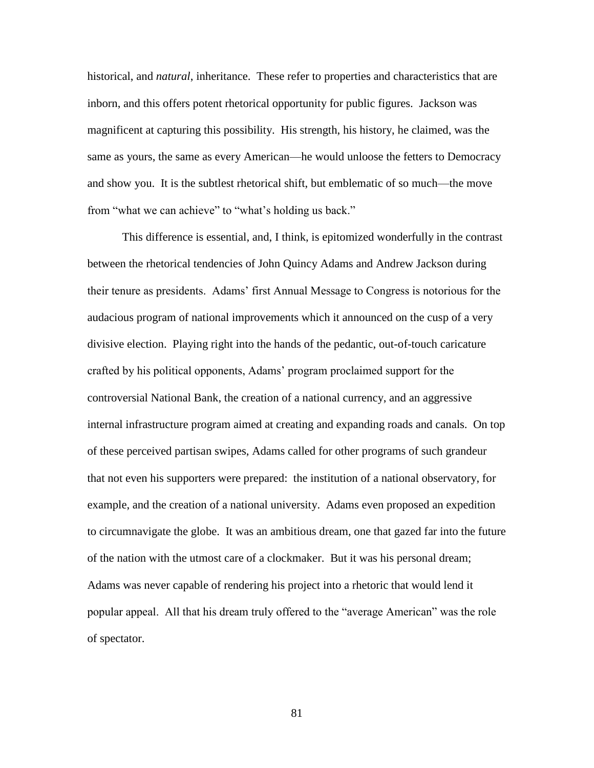historical, and *natural*, inheritance. These refer to properties and characteristics that are inborn, and this offers potent rhetorical opportunity for public figures. Jackson was magnificent at capturing this possibility. His strength, his history, he claimed, was the same as yours, the same as every American—he would unloose the fetters to Democracy and show you. It is the subtlest rhetorical shift, but emblematic of so much—the move from "what we can achieve" to "what's holding us back."

This difference is essential, and, I think, is epitomized wonderfully in the contrast between the rhetorical tendencies of John Quincy Adams and Andrew Jackson during their tenure as presidents. Adams' first Annual Message to Congress is notorious for the audacious program of national improvements which it announced on the cusp of a very divisive election. Playing right into the hands of the pedantic, out-of-touch caricature crafted by his political opponents, Adams' program proclaimed support for the controversial National Bank, the creation of a national currency, and an aggressive internal infrastructure program aimed at creating and expanding roads and canals. On top of these perceived partisan swipes, Adams called for other programs of such grandeur that not even his supporters were prepared: the institution of a national observatory, for example, and the creation of a national university. Adams even proposed an expedition to circumnavigate the globe. It was an ambitious dream, one that gazed far into the future of the nation with the utmost care of a clockmaker. But it was his personal dream; Adams was never capable of rendering his project into a rhetoric that would lend it popular appeal. All that his dream truly offered to the "average American" was the role of spectator.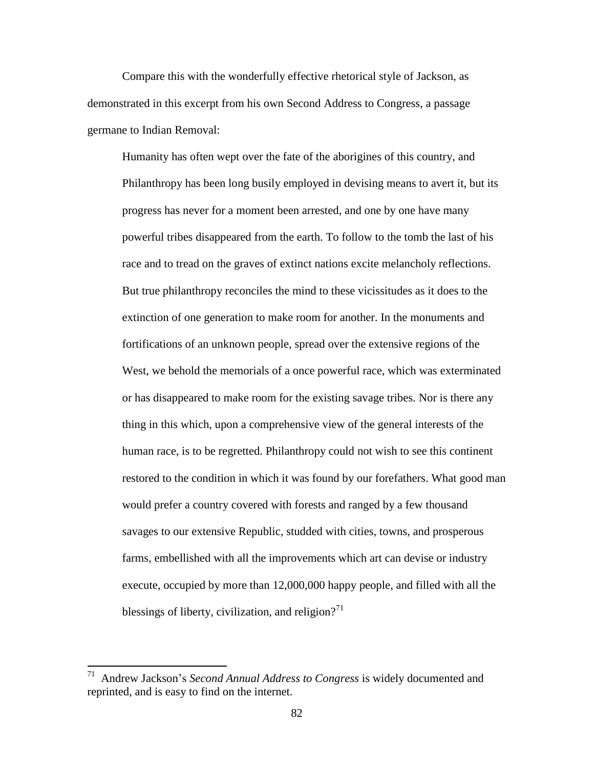Compare this with the wonderfully effective rhetorical style of Jackson, as demonstrated in this excerpt from his own Second Address to Congress, a passage germane to Indian Removal:

Humanity has often wept over the fate of the aborigines of this country, and Philanthropy has been long busily employed in devising means to avert it, but its progress has never for a moment been arrested, and one by one have many powerful tribes disappeared from the earth. To follow to the tomb the last of his race and to tread on the graves of extinct nations excite melancholy reflections. But true philanthropy reconciles the mind to these vicissitudes as it does to the extinction of one generation to make room for another. In the monuments and fortifications of an unknown people, spread over the extensive regions of the West, we behold the memorials of a once powerful race, which was exterminated or has disappeared to make room for the existing savage tribes. Nor is there any thing in this which, upon a comprehensive view of the general interests of the human race, is to be regretted. Philanthropy could not wish to see this continent restored to the condition in which it was found by our forefathers. What good man would prefer a country covered with forests and ranged by a few thousand savages to our extensive Republic, studded with cities, towns, and prosperous farms, embellished with all the improvements which art can devise or industry execute, occupied by more than 12,000,000 happy people, and filled with all the blessings of liberty, civilization, and religion?<sup>71</sup>

 71 Andrew Jackson's *Second Annual Address to Congress* is widely documented and reprinted, and is easy to find on the internet.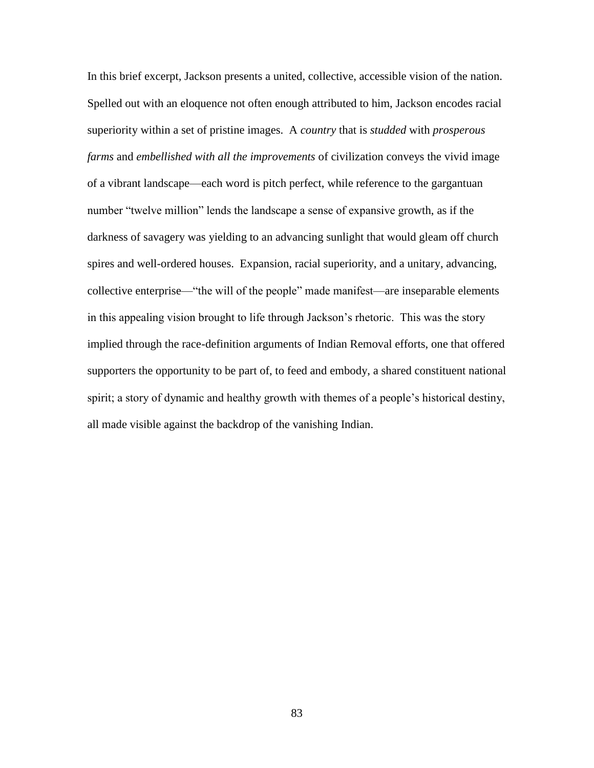In this brief excerpt, Jackson presents a united, collective, accessible vision of the nation. Spelled out with an eloquence not often enough attributed to him, Jackson encodes racial superiority within a set of pristine images. A *country* that is *studded* with *prosperous farms* and *embellished with all the improvements* of civilization conveys the vivid image of a vibrant landscape—each word is pitch perfect, while reference to the gargantuan number "twelve million" lends the landscape a sense of expansive growth, as if the darkness of savagery was yielding to an advancing sunlight that would gleam off church spires and well-ordered houses. Expansion, racial superiority, and a unitary, advancing, collective enterprise—"the will of the people" made manifest—are inseparable elements in this appealing vision brought to life through Jackson's rhetoric. This was the story implied through the race-definition arguments of Indian Removal efforts, one that offered supporters the opportunity to be part of, to feed and embody, a shared constituent national spirit; a story of dynamic and healthy growth with themes of a people's historical destiny, all made visible against the backdrop of the vanishing Indian.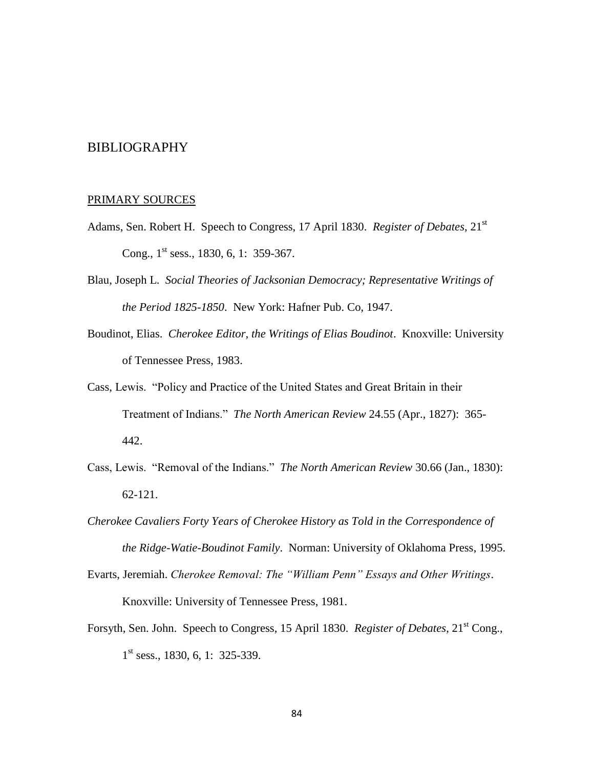## BIBLIOGRAPHY

## PRIMARY SOURCES

- Adams, Sen. Robert H. Speech to Congress, 17 April 1830. *Register of Debates*, 21<sup>st</sup> Cong.,  $1<sup>st</sup>$  sess., 1830, 6, 1: 359-367.
- Blau, Joseph L. *Social Theories of Jacksonian Democracy; Representative Writings of the Period 1825-1850*. New York: Hafner Pub. Co, 1947.
- Boudinot, Elias. *Cherokee Editor, the Writings of Elias Boudinot*. Knoxville: University of Tennessee Press, 1983.
- Cass, Lewis. "Policy and Practice of the United States and Great Britain in their Treatment of Indians." *The North American Review* 24.55 (Apr., 1827): 365- 442.
- Cass, Lewis. "Removal of the Indians." *The North American Review* 30.66 (Jan., 1830): 62-121.
- *Cherokee Cavaliers Forty Years of Cherokee History as Told in the Correspondence of the Ridge-Watie-Boudinot Family*. Norman: University of Oklahoma Press, 1995.
- Evarts, Jeremiah. *Cherokee Removal: The "William Penn" Essays and Other Writings*. Knoxville: University of Tennessee Press, 1981.
- Forsyth, Sen. John. Speech to Congress, 15 April 1830. *Register of Debates*, 21<sup>st</sup> Cong., 1<sup>st</sup> sess., 1830, 6, 1: 325-339.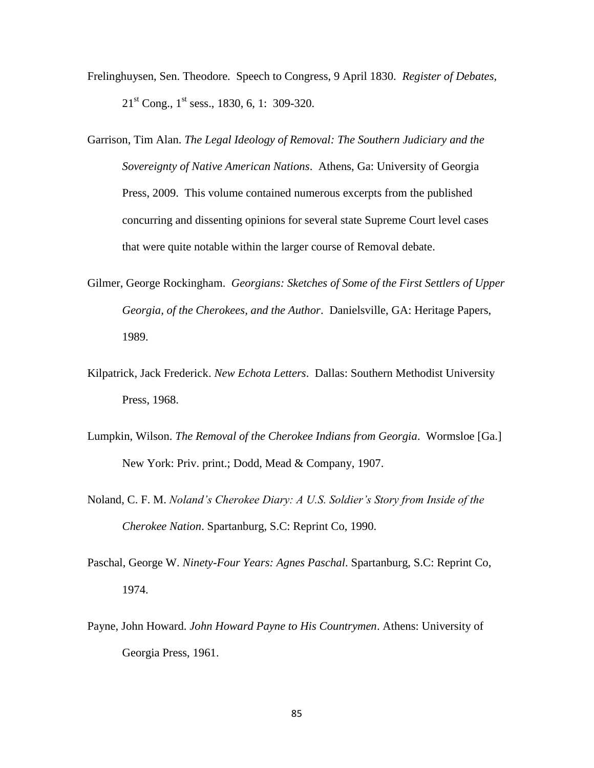- Frelinghuysen, Sen. Theodore. Speech to Congress, 9 April 1830. *Register of Debates,*  $21<sup>st</sup>$  Cong.,  $1<sup>st</sup>$  sess., 1830, 6, 1: 309-320.
- Garrison, Tim Alan. *The Legal Ideology of Removal: The Southern Judiciary and the Sovereignty of Native American Nations*. Athens, Ga: University of Georgia Press, 2009. This volume contained numerous excerpts from the published concurring and dissenting opinions for several state Supreme Court level cases that were quite notable within the larger course of Removal debate.
- Gilmer, George Rockingham. *Georgians: Sketches of Some of the First Settlers of Upper Georgia, of the Cherokees, and the Author*. Danielsville, GA: Heritage Papers, 1989.
- Kilpatrick, Jack Frederick. *New Echota Letters*. Dallas: Southern Methodist University Press, 1968.
- Lumpkin, Wilson. *The Removal of the Cherokee Indians from Georgia*. Wormsloe [Ga.] New York: Priv. print.; Dodd, Mead & Company, 1907.
- Noland, C. F. M. *Noland's Cherokee Diary: A U.S. Soldier's Story from Inside of the Cherokee Nation*. Spartanburg, S.C: Reprint Co, 1990.
- Paschal, George W. *Ninety-Four Years: Agnes Paschal*. Spartanburg, S.C: Reprint Co, 1974.
- Payne, John Howard. *John Howard Payne to His Countrymen*. Athens: University of Georgia Press, 1961.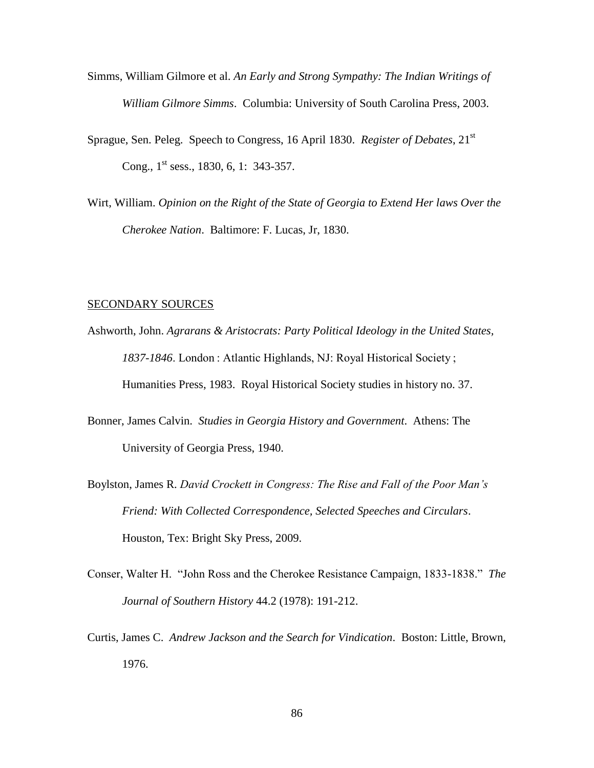- Simms, William Gilmore et al. *An Early and Strong Sympathy: The Indian Writings of William Gilmore Simms*. Columbia: University of South Carolina Press, 2003.
- Sprague, Sen. Peleg. Speech to Congress, 16 April 1830. *Register of Debates*, 21st Cong.,  $1^{\text{st}}$  sess., 1830, 6, 1: 343-357.
- Wirt, William. *Opinion on the Right of the State of Georgia to Extend Her laws Over the Cherokee Nation*. Baltimore: F. Lucas, Jr, 1830.

## SECONDARY SOURCES

- Ashworth, John. *Agrarans & Aristocrats: Party Political Ideology in the United States, 1837-1846*. London : Atlantic Highlands, NJ: Royal Historical Society ; Humanities Press, 1983. Royal Historical Society studies in history no. 37.
- Bonner, James Calvin. *Studies in Georgia History and Government*. Athens: The University of Georgia Press, 1940.
- Boylston, James R. *David Crockett in Congress: The Rise and Fall of the Poor Man's Friend: With Collected Correspondence, Selected Speeches and Circulars*. Houston, Tex: Bright Sky Press, 2009.
- Conser, Walter H. "John Ross and the Cherokee Resistance Campaign, 1833-1838." *The Journal of Southern History* 44.2 (1978): 191-212.
- Curtis, James C. *Andrew Jackson and the Search for Vindication*. Boston: Little, Brown, 1976.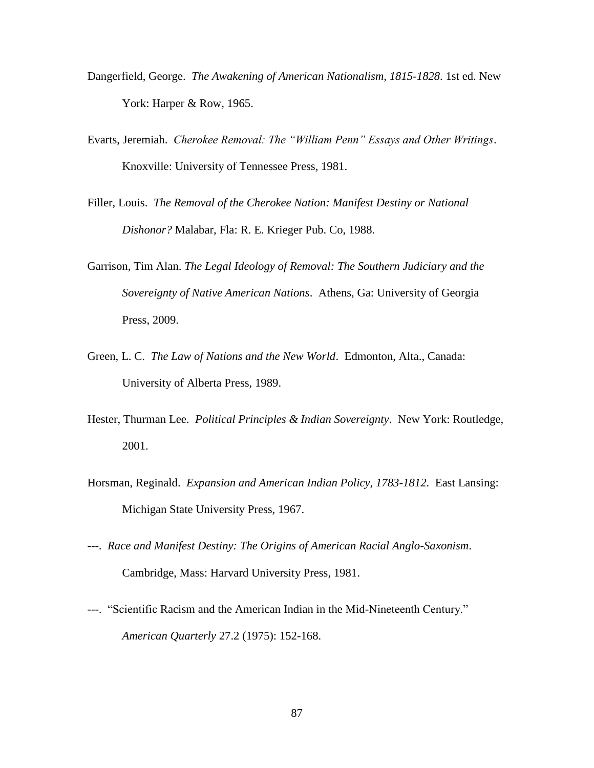- Dangerfield, George. *The Awakening of American Nationalism, 1815-1828*. 1st ed. New York: Harper & Row, 1965.
- Evarts, Jeremiah. *Cherokee Removal: The "William Penn" Essays and Other Writings*. Knoxville: University of Tennessee Press, 1981.
- Filler, Louis. *The Removal of the Cherokee Nation: Manifest Destiny or National Dishonor?* Malabar, Fla: R. E. Krieger Pub. Co, 1988.
- Garrison, Tim Alan. *The Legal Ideology of Removal: The Southern Judiciary and the Sovereignty of Native American Nations*. Athens, Ga: University of Georgia Press, 2009.
- Green, L. C. *The Law of Nations and the New World*. Edmonton, Alta., Canada: University of Alberta Press, 1989.
- Hester, Thurman Lee. *Political Principles & Indian Sovereignty*. New York: Routledge, 2001.
- Horsman, Reginald. *Expansion and American Indian Policy, 1783-1812*. East Lansing: Michigan State University Press, 1967.
- ---. *Race and Manifest Destiny: The Origins of American Racial Anglo-Saxonism*. Cambridge, Mass: Harvard University Press, 1981.
- ---. "Scientific Racism and the American Indian in the Mid-Nineteenth Century." *American Quarterly* 27.2 (1975): 152-168.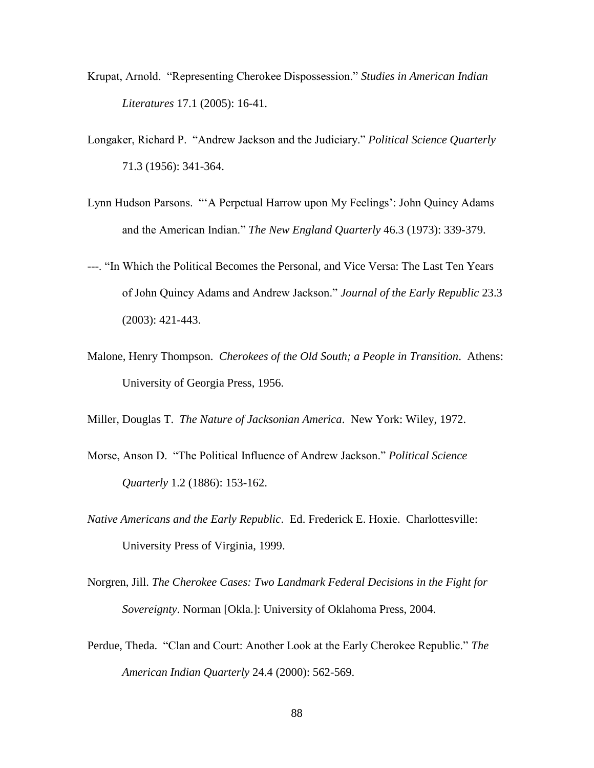- Krupat, Arnold. "Representing Cherokee Dispossession." *Studies in American Indian Literatures* 17.1 (2005): 16-41.
- Longaker, Richard P. "Andrew Jackson and the Judiciary." *Political Science Quarterly* 71.3 (1956): 341-364.
- Lynn Hudson Parsons. "'A Perpetual Harrow upon My Feelings': John Quincy Adams and the American Indian." *The New England Quarterly* 46.3 (1973): 339-379.
- ---. "In Which the Political Becomes the Personal, and Vice Versa: The Last Ten Years of John Quincy Adams and Andrew Jackson." *Journal of the Early Republic* 23.3 (2003): 421-443.
- Malone, Henry Thompson. *Cherokees of the Old South; a People in Transition*. Athens: University of Georgia Press, 1956.

Miller, Douglas T. *The Nature of Jacksonian America*. New York: Wiley, 1972.

- Morse, Anson D. "The Political Influence of Andrew Jackson." *Political Science Quarterly* 1.2 (1886): 153-162.
- *Native Americans and the Early Republic*. Ed. Frederick E. Hoxie. Charlottesville: University Press of Virginia, 1999.
- Norgren, Jill. *The Cherokee Cases: Two Landmark Federal Decisions in the Fight for Sovereignty*. Norman [Okla.]: University of Oklahoma Press, 2004.
- Perdue, Theda. "Clan and Court: Another Look at the Early Cherokee Republic." *The American Indian Quarterly* 24.4 (2000): 562-569.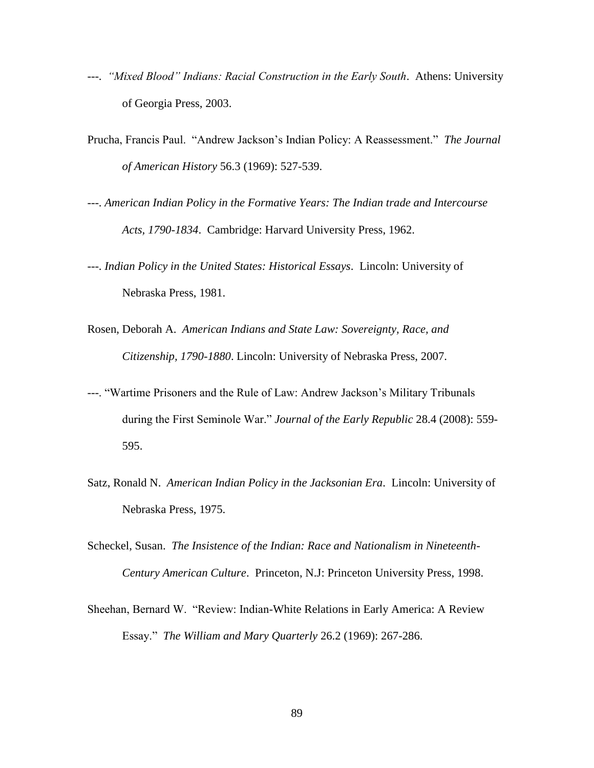- ---. *"Mixed Blood" Indians: Racial Construction in the Early South*. Athens: University of Georgia Press, 2003.
- Prucha, Francis Paul. "Andrew Jackson's Indian Policy: A Reassessment." *The Journal of American History* 56.3 (1969): 527-539.
- ---. *American Indian Policy in the Formative Years: The Indian trade and Intercourse Acts, 1790-1834*. Cambridge: Harvard University Press, 1962.
- ---. *Indian Policy in the United States: Historical Essays*. Lincoln: University of Nebraska Press, 1981.
- Rosen, Deborah A. *American Indians and State Law: Sovereignty, Race, and Citizenship, 1790-1880*. Lincoln: University of Nebraska Press, 2007.
- ---. "Wartime Prisoners and the Rule of Law: Andrew Jackson's Military Tribunals during the First Seminole War." *Journal of the Early Republic* 28.4 (2008): 559- 595.
- Satz, Ronald N. *American Indian Policy in the Jacksonian Era*. Lincoln: University of Nebraska Press, 1975.
- Scheckel, Susan. *The Insistence of the Indian: Race and Nationalism in Nineteenth-Century American Culture*. Princeton, N.J: Princeton University Press, 1998.
- Sheehan, Bernard W. "Review: Indian-White Relations in Early America: A Review Essay." *The William and Mary Quarterly* 26.2 (1969): 267-286.